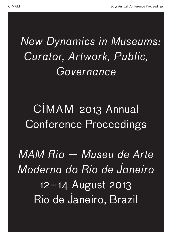# *New Dynamics in Museums: Curator, Artwork, Public, Governance*

# CIMAM 2013 Annual Conference Proceedings

*MAM Rio — Museu de Arte Moderna do Rio de Janeiro* 12–14 August 2013 Rio de Janeiro, Brazil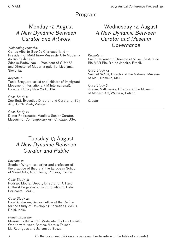## Program

## Monday 12 August *A New Dynamic Between Curator and Artwork*

### *Welcoming remarks:*

Carlos Alberto Gouvêa Chateaubriand — President of MAM Rio—Museu de Arte Moderna do Rio de Janeiro. Zdenka Badovinac — President of *CIMAM* and Director of Moderna galerija, Ljubljana,

### *Keynote 1:*

Slovenia.

Tania Bruguera, artist and initiator of Immigrant Movement International (IM International), Havana, Cuba / New York, USA.

### *Case Study 1:*

Zoe Butt, Executive Director and Curator at Sàn Art, Ho Chi Minh, Vietnam.

### *Case Study 2:*

Dieter Roelstraete, Manilow Senior Curator, Museum of Contemporary Art, Chicago, USA.

### Tuesday 13 August *A New Dynamic Between Curator and Public*

### *Keynote 2:*

Stephen Wright, art writer and professor of the practice of theory at the European School of Visual Arts, Angoulème/ Poitiers, France.

### *Case Study 3:*

Rodrigo Moura, Deputy Director of Art and Cultural Programs at Instituto Inhotim, Belo Horizonte, Brazil.

### *Case Study 4*:

Ravi Sundaram, Senior Fellow at the Centre for the Study of Developing Societies (CSDS), Delhi, India.

### *Panel discussion*

Museum is the World: Moderated by Luiz Camillo Osorio with Ivana Bentes, Marcus Faustini, Lia Rodrigues and Jailson de Souza.

## Wednesday 14 August *A New Dynamic Between Curator and Museum Governance*

### *Keynote 3:*

Paulo Herkenhoff, Director at Museu de Arte do Rio MAR Rio, Rio de Janeiro, Brazil.

*Case Study 5*: *Samuel Sidibé*, Director at the National Museum of Mali, Bamako, Mali.

*Case Study 6*: Joanna Mytkowska, Director at the Museum of Modern Art, Warsaw, Poland.

*Credits*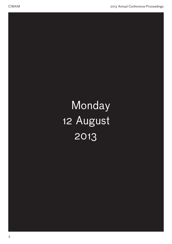# Monday 12 August 2013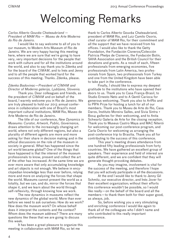## Welcoming Remarks

### *Carlos Alberto Gouvêa Chateaubriand — President of MAM Rio — Museu de Arte Moderna do Rio de Janeiro.*

I would like to say welcome to all of you to our museum, to Modern Arts Museum of Rio de Janeiro. We are very happy having this meeting here, where we are sure that we're going to have very, very important decisions for the people that work with culture and for all the institutions around the world, and also to say thank you to Zdenka and for the board of the *CIMAM*, and to Inés and Jenny and to all the people that worked hard for the success of this meeting. Thanks. Zdenka, please.

### *Zdenka Badovinac—President of CIMAM and Director of Moderna galerija, Ljubljana, Slovenia.*

Thank you. Dear colleagues and friends, as the president of *CIMAM* and on behalf of the board, I warmly welcome you in Rio de Janeiro. We are truly pleased to hold our 2013 annual conference in collaboration with one of Brazil's most important cultural institutions, MAM Rio, Museo de Arte Moderno de Rio de Janeiro.

The title of our conference, *New Dynamics in Museums: Curator, Artwork, Public, Governance*, draws attention to the increasingly changing art world, where not only different regions, but also a plurality of different agents are more and more asking for their share in decision making and in the ethical discussions on the role of the museum in society in general. What has happened since the art world became global? One of the things that have happened is that the interest of the museum professionals to know, present and collect the art of the other has increased. At the same time we are ever more aware that only accumulating knowledge and art objects is not enough. We believe in encyclopedian knowledge less than ever before, relying more and more on analyzing the forces that shape the world. Museums cannot present the world as a totality, but we can, and do, mirror the forces that shape it, and we learn about the world through self-reflexivity, through knowing how we work.

The new dynamics in museums reflect the new dynamics of the global world. More than ever before we need to ask ourselves: How do we work? How does the museum work? On whose behalf does it interpret the contents and the context? Whom does the museum address? There are many questions like these that we are going to discuss this week.

It has been a great pleasure to organize this meeting in collaboration with MAM Rio, so let me

thank to Carlos Alberto Gouvêa Chateaubriand, president of MAM Rio, and Luiz Camilo Osorio, chief curator of MAM Rio, for their commitment and all the support that we have received from his offices. I would also like to thank the Getty Foundation, the Fundación Cisneros/Colección Patricia Phelps de Cisneros, the Fundación Botín, SAHA Association and the British Council for their donations and grants. As a result of each, fifteen professionals from emerging economies, five professionals from Latin America, two professionals from Spain, two professionals from Turkey and one from the United Kingdom have been able to take part in the conference.

Finally, I should like to express my deepest gratitude to the institutions who have opened their doors to us. Thank you to Casa França-Brasil, to Studio Ernesto Neto and to A Gentil Carioca for generous welcoming. Thank you also to ArtRio and to PIPA Prize for hosting a lunch for all of our members. Thank you to Museu de Arte do Rio, Casa Daros, Instituto Moreira Salles, and Sivia Sintra + Box4 galleries for their welcoming, and to Anita Schwartz Galeria de Arte for the closing reception. Thank you to Museus Castro Maya and MAC Niterói for welcoming our post-conference program, and Carla Osorio for welcoming us arranging the post-conference trip to Brasilia. Thank you all for contributing to the success of this conference.

This year's meeting draws attendance from one hundred fifty leading professionals from forty countries. We have gathered an excellent group of speakers. Their experience and field of interest are quite different, and we are confident that they will generate thought-provoking debates.

As you may imagine, involvement is vital for the success of the meeting, and therefore I hope that you will actively participate in all the discussions.

At the end I would like to thank to Jenny Gil Schmitz, our executive director, and Inés Jover for their excellent organization; without their efforts this conference wouldn't be possible, so I would like really—on the behalf of the board and all the members—to thank them both for their super good, as always, job.

So, before wishing you a very stimulating and enriching conference I would like again to thank all of the colleagues who I didn't name and who contributed to this really important conference.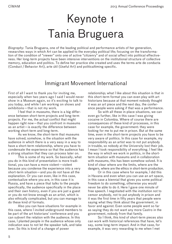# Keynote 1 Tania Bruguera

*Biography:* Tania Bruguera, one of the leading political and performance artists of her generation, researches ways in which Art can be applied to the everyday political life; focusing on the transformation of the condition of "viewer" onto one of active "citizenry" and of social affect into political effectiveness. Her long-term projects have been intensive interventions on the institutional structure of collective memory, education and politics. To define her practice she created and uses the terms arte de conducta (Conduct / Behavior Art), arte útil (Useful Art) and politicaltiming specific.

## Immigrant Movement International

First of all I want to thank you for inviting me, especially when two years ago I said I would never show in a Museum again, so it's exciting to talk to you today, and while I am working on shows and exhibitions—that is not my work.

I feel that in museums, there is a big difference between short-term projects and long-term projects. For me, the actual conflict that might happen right now—that you confront in museums as an artist—is exactly the difference between working short-term and long-term.

As we know, the short-term that museums have solved, somehow, is the situation with the audience in which there is a very easy in a way to have a short-term relationship, where you have to condensate the experience so that the audience has a strong situation that they can process later on.

This is some of my work. So basically, what you do in this kind of presentation is more traditional, you can have a more violent—violent because you condense the experience into a very short-term situation—and you do not have all the explanation. Or you can even, like in this case, contextualize where you are, in this case it is Russia, and have a piece that talks to the people specifically, the audience specifically in the place and their own history, even if you are just a guest or you do not know enough as an artist, which is also ethically complicated, but you can manage to do these kind of formats.

Also you can have situations for example in this case, where I invited underground members to be part of the art historians' conference and you can subvert the relation with the audience. In this case, I planted people in the audience whose only indication was to not let the speaker talk, and take over. So this is kind of a change of power

relationship; what I like about this situation is that in this short-term format you can even play with art historians because at that moment nobody thought it was an art piece and the next day, the conference people were asking if that was a performance.

So with all these in-place situations, we can even go further, like in this case I was giving cocaine in Colombia. Where of course there are consequences of these kind of processes, in this case for example, the government: they were looking for me to put me in prison. But at the same time, even in the short-term projects you have to be very aware of politics. In this case for example, my responsibility as an artist was to not put anybody in trouble, so nobody at the University lost their job. I mean I took responsibility of everything. I feel like the way in which we work in politics, in the shortterm situation with museums and in collaboration with museums, this has been somehow solved. It is kind of clear where are the limits, where are the dangers, where are the ethics in short-term production.

Or in this case where for example, I did this in Havana and even when you can use an art space, in this case a biennial that gives you some political freedom to do something, otherwise you would never be able to do it. Here I gave one minute of free speech. I negotiated with the institution not to censor anybody, not to put anybody in prison and it was the first time in fifty years that people were saying what they think about the government, in favor and against. Even some people went so far as saying they do not want any more Castro in the government, nobody from that family.

So I think, this kind of short-term pieces also can work with historical references that have, let's say, some long-term impact. And in that case, for example, it was very rewarding to me when I met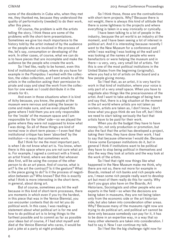some of the dissidents in Cuba who, when they met me, they thanked me, because they understood the quality of performativity (needed) to do their work, after this piece.

Of course, the problem is with the artists telling the story. I think these are some of the problems with the short-term presentations. Sometimes we give too much importance to the history told by the artist instead of by the audience or the people who are involved in the process of the, let's say, consumption or developing of the work. In other cases, of course, what we can do is to have pieces that are incomplete and make the audience be the people who create the work.

So I feel like, really to be honest, even this kind of institutional critique, where do you have for example in the Pompidou: I worked with the collection, the video collection, and I sent emails to all the artists in the collection asking their permission to pirate and copy and steal the work from the collection for one week so I could distribute it in the streets for €1.

And even in those situations when it is kind of itchy because, you know, the people at the museum were nervous and asking the lawyer to come and make sure, and we even played this game where I told them you are only responsible for the 'inside' of the museum space and I am responsible for the 'other' side—so we played the game where they were not supposed to know what I was doing. So all of these things are kind of normal now in short-term pieces—I even feel that institutional critique has been 'absorbed' by the institution—in ways that sometimes work.

But I think for me the most important part. is when I do not know what art is. You know, when there is this space where you are not sure what art is. For example, I signed a contract with a friend, an artist friend, where we decided that whoever dies first, will be using the corpse of the other person to do an art piece. And of course, what is art? Is the art the contract? Is it the gesture? What is the piece going to do? Is it the process of negotiation between us? Who knows? But this is exactly what I think is more interesting in the short-term, in general, about doing art.

But of course, sometimes you hit the wall because in this kind of short-term processes, there are moments in which even if you try the hardest, in this piece that was in the Venice Biennial, you can encounter contexts that do not let you do political work. In this case, I was reading a statement about what political art is for me and how to do political art is to bring things to the farthest possible and to commit as far as possible your ideas but of course, if I had shot myself and died at the Venice Biennial who cares, it would be just a joke at a party at night probably.

So I think those, those are the contradictions with short-term projects. Why? Because there is not weight, there is always this kind of attitude that there is some lightness to the projects and where everything is taken in a way ironically or cynically.

I have been talking to a lot of people in the industry, because the art world is an industry at the moment, and I have been seeing a lot of interest in political art. And it is interesting because recently I went to the New Museum for a conference and while I was waiting I was looking at the wall and I was looking at the names of people who were benefactors or were helping the museum and in there—a very, very, very small list of artists. Yet this is one of the most political institutions in the United States from the beginning (originally), where you had a lot of artists on the board and a few people giving money.

So I feel that, as an artist, it is very hard to work in that kind of institution, where your voice is only part of a very small space. When you have to negotiate also things like the precariousness of the artist. And I want to take advantage of being here and say that, there is a big situation at the moment in the art world where artists are not taken as workers, artists are taken as, I don't know, I don't know what you guys think do we live off, but I think we need to start taking seriously the fact that artists have to be paid for their work.

When you do the budget they have to have money for, not only production or promotion, but also the fact that the artist has developed a project, taking their time, they have done their work. I had to say that because otherwise I would die. Because I know some European institutions do it, but in general I think if institutions want to be political they have to stop being political in themselves and also the way they look at artists and the way look at the work of the artists.

So I feel that right now things like what happened in the New Museum make me think, why there are not so, there not more for example in Boards, instead of rich banks and rich people who are, I mean some rich people really want to develop art but most of them really do this for vanity. Why don't you guys also have on the Boards, Art Historians, Sociologists and other people who are experts in the field—so when the decisions are being taken in museums, they are not being taken only from the economic side or the art historian side, but also taken into consideration other areas. Why? Because many of the museums right now are trying to do political art, and political art cannot be done only because somebody can pay for it, it has to be done in an expertise way, in a way that so many other elements are taken into consideration. I had to say it. Now I can continue my talk.

So I feel like the big challenge right now for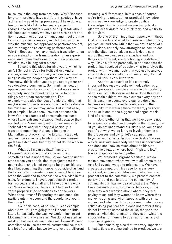museums is the long-term projects. Why? Because long-term projects have a different, strategy, have a different way of being processed. I have done a few projects like I did a ten years' project of redoing Ana Mendieta's work. And I just talk about this because recently we have seen a re-appropriation, reenactment of performance and I feel that the long-term projects are very much linked with the way the museum has approached performance art, and re-doing and re-enacting performance art. Why?—Because they have made a translation of an image instead of the transfiguration of an experience. And I think that's one of the main problems we also have in long-term pieces.

I also did this piece for nine years, which is an Art School in Cuba for Political Art. And of course, some of the critique you have is wow—the image is always people together! Well why not. You know, this is what you do, you act together and you develop a community. So I think this idea of approaching aesthetics in a different way also is extremely important and having value to other things, other than representation. For example—and also the idea of understanding that maybe some projects are not possible to be done in the museum—as you may know. But in that case, for example, I have seen, I have experienced in New York the example of some main museums where I was extremely disappointed because they wanted to do "community art" or they wanted to "political art" and what they did basically is transport something that could be done in Manhattan to Brooklyn or the Bronx, instead of, and just the same people who go to one museum go these exhibitions, but they do not do the work in the field.

What do I mean by that? Immigrant Movement is a project that came out from something that is not artistic. So you have to understand when you do this kind of projects that the main relationship is not going to be the art history itself but something that happens outside of art and that also have to create the environment to understand the work and to process the work. Also in this case, for example, I have been doing this project for two years and a half and I have done my work yet. Why?—Because I have spent two and a half years preparing the conditions to do the work. What does it mean? Preparing the audience, the participants, the users and the people involved in the project.

So in this case, of course, it is an example about Arte Útil, I am going to talk about it a little later. So basically, the way we work in Immigrant Movement is that we use art. We do not use art as art itself but we instrumentalize art. I know it's very complicated to use the word instrumentalize, there is a lot of prejudice but we try to give art a different

meaning, a different use. In this case of course, we're trying to put together practical knowledge with creative knowledge to create political knowledge. So this is what we are trying to do. Also we are trying to do a think tank, and we try to do artivism.

So one of the things that happens with these kind of projects and what happens in contemporary political art and Arte Útil is that we are in need of a new lexicon, not only new strategies on how to deal with the situation but also a new lexicon, new words that we can use so we understand that things are different, are functioning in a different way. I have suffered personally in critiques that the project has received of people trying to analyze the project with the same tools that you use to analyze an exhibition, or a sculpture or something like that. So I think this is very important.

And for us education it is extremely important because we believe in education as a holistic process in this case where art is creativity, of course. So in this case we have done this year as the main subject, we have events every day and in this case, the events every day are done just because we need to create confidence in the community: that we are there for them, you know, and trust is one of the biggest challenges of this kind of projects.

So the other thing that we have done is not to be condescendent with people in the project, like "if you do not understand our history so you do not get it" but what we do is try to involve them in all the processes and try to, let's say, put them together with experts. In this case Saskia Sassen was talking with somebody who was undocumented and does not know so much about politics, so create the situation where both, "high and low", (quote to quote) can be together.

We created a Migrant Manifesto, we do make a movement where we invite all artists to do Arte Útil events, we go to prisons, etc. We have created a campaign. This case for me is very important, in Immigrant Movement what we do is to present art to the community, we present contemporary art and public art to the community. A community that has no idea of what art is. Why? Because we talk about subjects, let's say, in this case they were worried about where, they are paying taxes and they wanted to know where their money is going and what happens with their tax money, and what we do is to present contemporary artists doing political art. It does not matter if they do not know the name of the artist, the year, the process, what kind of material they use—what it is important is for them is to open up to this kind of creative language.

But something else that was very important is that artists are being trained to produce, we are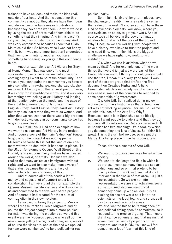trained to have an idea, and make the idea real, outside of our head. And that is something this community cannot do, they always have their ideas and always become fantasies or frustrations because they never realize them. So what we do is by using the tools of art to make them able to do something that they imagine. And in this case it's very simple, they put stamps on the money. And it was very complicated because I know that Cildo Meireles did that. So history-wise I was not happy with it, but it was more important that I understood that from one minute to another, you have something happening, so you gain this confidence in art.

Another example is an Art History for Stayat-Home Moms. That was one of the most successful projects because we had somebody coming saying I want to paint the community—and we said you can't paint the community: you have to give something in exchange. And she said ok, she made an Art History with the feminist point of view, it was only for stay-at-home moms. And it was very interesting how looking at Art History and looking at the relation between the model and the gaze of the artist to a woman, not only to teach them English - they learnt English, they learnt Art History but they also learnt who they were as women. And after that we realized that there was a big problem with domestic violence in our community so we had to go to a next level.

So I think this is kind of an example of how we want to use art and Art History in the project. And of course some of the main "exhibition" (quote to quote) of the project does not happen in Museums because this is not the kind of environment we want to deal with. It happens in places like the UN, or for example Occupy Wall Street or this kind of, let's say, community that we have created around the world, of artists. Because we also realize that many artists are immigrants without rights and we want to also make them aware of that status. Because there is a fantasy of artist-artists but we are doing all this.

And of course all of this needs a lot of money and needs a lot of support and a lot of collaboration. I am very glad that for example the Queens Museum has stepped in and will work with us and committed to the five year of the project. And of course it had created for them a lot of contradiction in their own system.

I also tried to bring the project to Mexico where I did the Partido Pueblo Migrante and of course the project changed into a more political format. It was during the elections so we did this event were the "voceros", people who yell out the news, were yelling the rights of immigrants, we did of course the visits etc. and at the end we applied for (we were number 45) to be a political—a real

political party.

So I think this kind of long term pieces have the challenge of reality, they are real: they enter the realm of the real. Of course you still have these kind of symbolic elements, you know, where you use cynicism on so on, to get your work. And of course we still believe in the power of image etcetera but that is not the core of the project. Why? Because we are working with people who have a history, who have to trust the project and who need time. And I think this is the biggest challenge we have right now, working with institutions.

Ok, what we use is artivism, what do we mean by that? And for example, one of the main things that we did is that we were part of the United Nations—and I think you should guys should use that too, I mean it is a very good tool $-i$  was part of the expert group that drafted the first document on Creative Rights and Artistic Censorship which is extremely useful in case you may need in some of the countries to respond to some censorship of governments.

Ok, Arte Útil. So I realized doing my own work—part of the situation was that autonomous art was not working anymore—for me. So I came up with this idea of the Arte Útil. Why? Because—and it is in Spanish, also politically, because I want people to understand that they do not have all the information. But also because UTIL in Spanish has two meanings: it's a tool, by which you do something and is usefulness. So I think it is great. This is the symbol we use, so we put the Marcel Duchamp piece in the bathroom again.

These are the elements of Arte Útil:

- 1. We want to propose new uses for art within society.
- 2. We want to challenge the field in which it operates. I mean so many times we see art exhibitions and so on, that pretend to be civic, pretend to work with law but do not intervene in the tissue of that area, it's just a representation. So we are not into representation, we are into activation, social activation. And also we want that if somebody come up with an idea, it is as exciting for the art world as it is for the scientists or the legal teams and so on, so it has to be creative in both areas.
- 3. We also wanted this to be "timing specific". And political timing specific sometimes, so it respond to the precise urgency. That means that it can be ephemeral and that means that sometimes this kind of project is not art anymore, and that is OK. You know, I feel sometimes a lot of fear that this kind of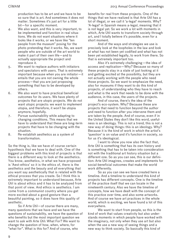production has to be art and we have to be so sure that is art. And sometimes it does not matter. Sometimes it's just art for a little bit—for a specific moment.

- 4. We also want, and this is very important, to be implemented and function in real situations. We do not want situations where it looks like it works, or we have like "ten people from the museum" posing for the photo pretending that it works. No, we want people who are outside of the art world to make it part of their own life—and to actually appropriate the project and reproduce it.
- 5. We want to replace authors with initiators and spectators with users. That is extremely important because when you are initiator—it entails that you are not owning the whole process—that you are just proposing something that has to be developed by others.
- 6. We also want to have practical beneficial outcomes for its users. We have plenty of projects that are utopic projects. We do not want utopic projects: we want to implement utopia, and therefore, it won't be utopia anymore, hopefully.
- 7. Pursue sustainability while adapting to changing conditions. This means that we have to understand that these are long-term projects that have to be changing with the situation.
- 8. Re-establish aesthetics as a system of transformation.

So the thing is, like we have of course certain hypothesis that we have to deal with. One of the biggest problems with this kind of projects is that there is a different way to look at the aesthetics. You know, aesthetics, in what we have proposed is 'Aest-ethics' so it is the ethics of, there is the aesthetics and the beauty and all everything that you want say aesthetically that is related with the ethical process that you create. So I think this is extremely important to understand because, Arte Útil is about ethics and it has to be analyzed from that point of view. And ethics is aesthetics. I am come from a communist country where you get more excited about a good gesture than a beautiful painting, so it does have this quality of aesthetic.

So if Arte Útil—of course there are many, many questions that we have and we have the questions of sustainability, we have the question of who benefits but the most important question we want to ask with Arte Útil: What For? We want to change the question of how, when, where, for "what for". What is this for? And of course, who

benefits for real from these projects. One of the things that we have realized is that Arte Útil has a lot of illegal, or we call it 'a-legal' moments. Why? 'A-legal' in Spanish means a-legal, meaning that it is not legal yet. So we work a lot with moments in which, Arte Útil wants to transform society through art, and I totally believe it's possible, even for a short moment.

And of the ways and strategies we use is precisely look at the loopholes in the law and look at what has not been yet codified and what has not been yet established legally, to work from there. So that is extremely important too.

Also it's extremely challenging—the idea of access and replication—Why? Because so many of these projects stay in a state of just looking at it and getting excited at the possibility, but they are not actually working with the people who need those projects. So we want to emphasize the need, also for museums if they want to do this kind of projects, of understanding who they have to reach and what is the work that needs to be done with the audience, in this case, the users of the projects.

And of course, there's the idea of the project's eco-system. Why? Because these are projects that need to function beyond the author and need to function after you intervene them and are taken by the people. And of course, even if in the United States they don't like this word, usefulness is an ideology. This is not a trend, this is not a new way of doing things: this is an ideology. Why? Because it is the kind of work in which the artist's 'question' is on value and it's function in society, so for us it's ideological.

I want to show you now also the fact that, Arte Útil is something that has its own history and is something that has to be taken into consideration not with the traditional art history situation but a different one. So as you can see, this is our definition: Arte Útil imagines, creates and implements for social-beneficial outcomes that make the world work differently.

So as you can see we have created here a timeline. And a timeline to understand this kind of projects has different concepts. One is the timeline of the practice itself that we can locate in the nineteenth century. Also we have the timeline of concepts, how we have dealt with the concept of this practice over time, and also some artworks. And of course we have art practices in the whole world, which is exciting, we have found a lot of this everywhere.

We want to start from people, so this is the kind of work that values creativity but also understands moments in which people have worked with the imaginary, not only when they use art but also when the use a new way of seeing things and a new way to think society. So basically this kind of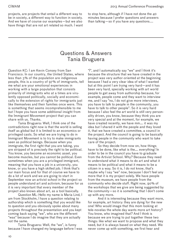projects, are projects that entail a different way to be in society, a different way to function in society. And we have of course our examples—but we also have things that are not art related so much. I want to stop here, although if I have not done the 40 minutes because I prefer questions and answers than talking—so if you have any questions....

### Questions & Answers Tania Bruguera

Question KC: I am Kevin Consey from San Francisco. In our country, the United States, where less than 3% of the population are indigenous people, this is a country of 97% of immigrants, tell me what are your emotional experiences in working with a large population that consists primarily of immigrants who at a times are virulently opposed politically, socially and economically to the extension of rights for immigrants just like themselves and their families once were. This is something that seems incomprehensible to me but I hope you have some additional insight from the Immigrant Movement project that you can share with us. Thanks.

Tania Bruguera: Well, I think one of the contradictions right now is that the world is selling itself as global but it is limited to an economics or privileged casts. So what we are trying to do in Immigrant Movement is to try to make immigrants seen as political beings. Because when you immigrate, the first right that you are taking, you are stripped of is precisely the right to be political. You know, you become an economic asset, you become muscles, but you cannot be political. Even sometimes when you are a privileged immigrant, meaning that you have a job in a university, you know, or you have a high skilled job. I think that's our main focus and for that of course we have to do a lot of work and we are going to start in September now an artivist school in the project so people understand art and activism, because for us it is very important that every member of the project also knows about art, as a tool basically.

Question ML: Hello my name is Maria Lind, I am from Stockholm, I have a question relating to authorship which is something that you would like to question and you obviously spoke about many projects throughout the presentation and you kept coming back saying "we", who are the different "was" because I do imagine that they are actually not the same.

Tania Bruguera: Well, the "we", is funny because I have changed my language before I was "i", and I automatically say "we" and I think it's because the structure that we have created in the project was very author-oriented at the beginning because I had a very clear idea of what I wanted but at this point I am trying very hard—and it has been very hard, specially working with art world people to get away from authorship because, for example, people come and they want to interview me, and I say "no, I do not give more interviews, you have to talk to people in the community, you have to talk to other people". So it is very hard because I also feel the art world is still very personality driven, you know, because they think you are very special and at the moment, for example, we have created recently, we have mm…. it was my idea but I shared it with the people and they loved it, that we have created a committee, a council in the project. And the council is going to be basically having people in the community who want to take care of the project.

So they decide from now on, how things have to be done, like what is the…. everything! In order to be in the council you have to graduate from the Artivist School. Why? Because they need to understand what it means to do art and what it means to be political and what it means to be a citizen in a way. So it is, I do not know, that's maybe why I say "we" now, because I don't feel any more that it is my project solely. We have people from the museum, we have people from the community who decide stuff. Right now, 90% of the workshops that we give are being suggested by the community—so it is something that I don't come up with any more.

And it is interesting because they want more, for example, art history: they are dying for the new one! Who would image that this mom looking at tele-novelas the whole day wants more art history? You know, who imagined that? And I think is because we are trying to put together these two things: like what we want to propose and what they need, but it is always based on what they need. We never come up with something, we first hear and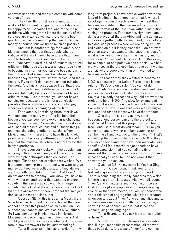see what happens and then we come up with some version of that.

The other thing that is very important for us is like a PhD student can go to our workshops and be happy. Why? Because I feel one of the main problems with immigrants is that the quality of the services are crap. So we want to give the best quality possible of everything that we do. Without money of course, but we try as much as possible.

And that is another thing, for example, one big challenge is the fact that, people who do critique of the work, now I have a rule that if you want to talk about work you have to be part of the work. You have to do this kind of immersive critical criticism. Either you give a workshop, or you have to become an intern or you have to become part of the process. And sometimes it is interesting because they are very well known critics. And that's the rule, if you don't do that; you cannot talk about the work. And this is just because I feel that these kinds of projects need a different approach, not only institutionally but also in the sense of how you criticize them. It is a process; you cannot have a conclusion, because there is not a conclusion possible; there is always a process of change, where everything is changing all the time.

For example, I am doing three interviews with one student every year. And it's beautiful because you can see how everything is changing through the interview. So we did one the first year, and I had all these questions and all these things, and now she doing another one… she is from Mexico, and It is interesting to have this kind of.... practice and it is a very different approach and I feel that the museum structure is not ready for that, in my experience.

I have been very lucky with the people I am working with at the moment, and I prefer that they work with philanthropists than collectors, for example. That's another problem that we had. We had people coming to our project who want to give money but they were collectors, and they always want something to take with them. And I say "no, I do not accept their money", you know, you have to work with a philanthropist that wants to change society in the same way you want to change society. That's kind of the experienced we had, not that there are many out there, not that the immigration issue is that popular either.

Question SB: Hi this is Sabrina Moura from Videobrasil in São Paulo. You mentioned that you cannot analyze this practice as an exhibition—so I suppose you cannot analyze it as an NGO either. So I was wondering in what ways Immigrant Movement is becoming an institution itself? And would you say that you are re-defining its parameters, a new framework for its understanding?

Tania Bruguera: I think, as an artist, for my

long-term projects, I have always worked with the idea of institution but I hope—and that is where I sabotage my own projects every time I feel they become an institution themselves—I try to work with the format of the institution without institutionalizing the practice. For example, right now I am doing a project at the Van Abbe and I am acting as a curator together with the team and; it's a collective decision process where we are doing an Arte Útil exhibition but it is very clear that  $\overline{I}$  do not want to be curator. I just want to challenge this idea of, what is the role of the artists in art history and to create one "movement", let's say. But in this case, for example, at one point we had a crisis—we had many crises in the project—but at one point we had a crisis where people working on it wanted to become an NGO.

The reason why they wanted to became an NGO is because in the United States there is one rule for NGO, one only rule, "You cannot do politics", which made me understand very well how political art works in the United States after that. So, this is exactly the reason why I did not want the project to be an NGO. And also, for example at some point we had to decide how much do we look like with other institutions that work with immigration, and the reason is that we have the freedom.

One day—this is very quirky, but it happened, one person came to the project and said: "what I like about this project is that I feel free". And I said, what do you mean? "It's like you come here and anything can be happening and I can be myself and I can do anything I want". That's something that does not happen with NGOs, they are very specific and they have their mandate very specific. So I feel that the project needs to have enough expansion that you can all the time re-invent the project and negate your own process, in case that you need to. I do not know if that answered your question.

Question MS: Hi, my name is Meghna Singh, and I am from Cape Town. Thank you for that brilliant inspiring talk and showing your work. There is something that really concerns me, which is there is a certain language when we talk about "them", and immigrants and if you might have a kind of more global population of people moving around or that have moved, so I am just concerned about this kind of segregation which is re-created when you talk about "them" and communities and…. so how does one get over with that, you know, a certain kind of connectiveness that is needed without using this language?

Tania Bruguera: You talk from an institution or from…?

MS: No, is just like in terms of a presentation, like you made this presentation, all the work that's been done, it is always "them" and communi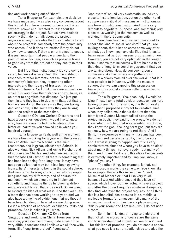ties and work coming out of "them".

Tania Bruguera: For example, one decision we have made and I was also very concerned about this is that, I am here presenting because it is an "expert" crowd and I wanted to talk about the art-strategy in the project. But we have decided recently that I do not talk about the project anymore so anywhere else that they invite us to talk about the project is somebody from the community who comes. And it does not matter if they do not know how to speak, if they are not trained to speak, it is just important that people understand their point of view. So I am, as much as possible trying to get away from the project so they can take their voice.

But I feel that institutionally it's very complicated, because it is very clear that the institution responds to other interests, not the immigrant community's interest, they respond to other interests and their board of trustees has very different interests. So I think there are moments in which it is very clear the distance and you have, as an artist to negotiate that distance. We just put them in and they have to deal with that, but that is how we are doing, the same way they are taking decisions now, is the same way they are talking about the project at the same time.

Question CD: I am Corinne Disserens and I have a very short question. I would like to know who/ how you constructed the timeline of the historical narrative you showed us in which you inspired yourself.

Tania Bruguera: Yeah, well at the moment we have been working for a year with the team at the Van Abbe. Gemma Medina is the main researcher, she is great, Alessandra Sabatini is also working, Nick Aikens and Annie Fletcher, and of course also Charles. And what we realized is that for Arte Útil - first of all there is something that has been happening for a long time- it may have not been called that way but it has been growing from artists' interests to being in the social sphere. And we started looking at examples where people imagined society differently, and of course the moment in which we should try to implement something and imagine things functioning differently, we want to call that art as well. So we want to extend the idea of what art is. And that yeah, it's a team that has been working for a year, and we also have a timeline of exhibitions that we thought have been building up to what we are doing now. So it's a timeline of concepts, exhibitions, texts and practices. And is online if you want.

Question KCK: I am KC Kwok from Singapore and working in China. From your presentation, you have tried to negotiate some of the very difficult tensions that I believe we all face with, terms like "long-term project", "contracts",

"eco-system" sound very systematic, sound very close to institutionalization, yet on the other hand you are very critical of museums as institutions or any form of institutionalization. And this is very difficult to negotiate I suppose, and something very close to us working in the museum as well as working in the art community.

Now, how has the museum come about to absorb the kind of social "activism" that you are talking about, that it has to come some way after all that, you know, you have clarified that it has to be an essential part of museum programming now. However, you are not very optimistic in the longer term. It seems that museums will not be able to do that kind of long-term social engagement that you are talking about. Now, do you see - given a conference like this, where is a gathering of museum workers from all over the world—that it is also possible to influence, within the museum sphere, that we can expedite this progression towards more social activism within the museum institution?

Tania Bruguera: Yes, absolutely. I would be lying if I say I am a total outsider because I am here talking to you. But for example, one thing I really liked when I proposed a project to Creative Time when they called me is that is the first time the team from Queens Museum talked about the project in public they said to the press, "we do not know what it is". And that was beautiful, you know, they knew the goal, the long-term goal but they did not know how we are going to get there. And I think, my experience with many museums has been that they need certain certainty, like to be sure about what is going to happen and this is very administrative situation where you have to be clear about many things - not everybody - but many of them. And I think, first of all, this idea of uncertainty is extremely important and to jump, you know, a "phase" you say?

The other thing, for example, is that, not every museum works the same way. You know like for example, there is this museum in Poland, Museum of Modern Art that I like very much because I worked with them, and they have no space, which I love. So they actually have a project and after the project requires whatever it requires, they find whatever the project requires. And I think this is a beautiful idea because it is a mobile, a malleable format for a museum. Like many of the museums I work with, they have a place and say, "this is your room" and I am like… well I do not need a room.

So I think this idea of trying to understand that not all the museums of course are the same and to understand that sometimes you do not need - for this kind of practice - you do not need a space, what you need is a set of relationships and also the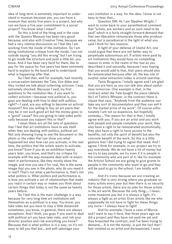idea of long-term is extremely important to understand in museum because yes, you can have a museum that works five years in a project, but why can we have a five year commitment to a social project? You know what I mean?

So this is kind of the thing and in the case with the Queens Museum has been very good because, and also with Creative Time, because we had a very intense discussions so I feel like I am working from the inside of the institution. So I am doing institutional critique from the inside. I am not outside saying "you did this wrong" but I am trying to go inside the structure and push a little bit, you know. And it has been very hard for them, like to pay for the space for five years has been extremely hard to explain to the board and to understand what is happening after that.

So I feel that, well for example, had recently a conversation between the Tate, Van Abbe and they invited me talk about collecting activism. I was extremely shocked. Because I said, my first questions to the institution like: if you want to collect activism—because now political is, you guys are dealing with how to deal with politics, right?—I said, are you willing to become an activist museum? Are you willing to buy an art piece that may be in not such good art but the money goes to a "good" cause? Are you going to take sides politically because you support this or that?

I mean these are all the sets of questions that I feel that art institutions have to ask itself when they are dealing with politics, political art. Not only showing trying to see the document or the photo or the video that can show you what happened but also how can you activate, in the real time, the politics that the artists wants to activate, you know? Even if you do an exhibition twenty years later, you know, and that's my critique for example with the way museums deal with re-enactment in performance, like they mostly show the image, and now you see it for real, this is the same image that you see in the photo, why do you need it in real? That's not what a performance is, that's not what politics is. What politics and performance is, is how you activate a set of relationships that make you react in certain way or makes you think about certain things that today is not the same as twenty years before.

So I feel this is the main challenge in a way because for very long time art institutions sell themselves as a-political in a way. You know, you take sides but you have to stay a little distanced sometimes, you know, in general, there are always exceptions. And I think, you guys if you want to deal with political art you have take risks, and risk your director position and risk everything you know? Because that is what politics is in a way, so it's not easy to tell you that but… and self-sabotage your

own institution in a way, for the idea. I know is not easy to hear that…

Question SW: Hi, I am Stephen Wright, I want to come back to your parenthetical comment that "artists, are workers and as such need to be paid" which is a fairly straight-forward demand that that neo-liberalism remunerate those who produce value, but is paradoxical in the light of what you said I think for two reasons.

In light of your defense of Useful Art, one could argue that there are not better way to perpetuate autonomous art. If artists were paid by art institutions they would have no compelling reason to enter in the realm of the real as you described it and secondly, because I was hoping that you would add to that, that users should also be remunerated because after all, the key site of surplus value extraction today is around usership.

Tania Bruguera: I totally agree and I am glad that you are here so you can talk also about usefulness tomorrow. One example is that, in the contract when the Tate bought the piece (details tbc) of Tatlin's Whisper, in the contract there is clause that says, "Anybody from the audience can take any sort of documentation and they can sell it for the market price of my work". Of course unfortunately I am not so expensive, but hopefully someday... The reason for that is that, I totally agree with you. If you are an artist and you work with people and people complete your work, they also have a right to be remunerated economically, they also have a right to have access to the benefits, not only the spirit of benefit but also the concrete benefit of the work. So this is a little gesture that I did trying to signal that need. And I agree, I think for example, in our project we try to pay everybody. We do not have a lot of money but we try to pay people, we try even if it is people in the community who are part of it, like for example the Artivist School we are going to give grants to people in the community who want to go and they will be paid to go to the school. I am totally with you.

And it's ironic because we are creating an industry that is very strong where you graduate so many artists every year but then there is no security for those artists, there are no jobs for those artists in the art world. Because the only thing…. I mean, some museums pay but it is always a fight, it's always a fight as an artist. Even artists like me who supposedly do not have to fight for these things any more— $\overline{I}$  always have to fight!

And for example, I have a case of Murcia and I want to say it here, that three years ago we did a project and they have not paid me yet and they breached the contract, and I've been trying to demand…. It is not the money, is just the fact that I feel violated as an artist and disrespected. I want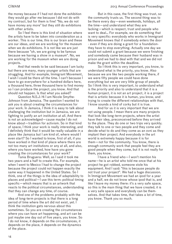the money because if I had not done the exhibition they would go after me because I did not do with my contract, but for them is fine! "No, we do not have money any more" but they still do exhibitions with other artists.

So I feel there is this kind of situation where the artists have to be taken into consideration as a worker. This is our time, this is our brain and these are our ideas, and we are working for the museum when we do exhibitions. It is not like we are just there because "oh, we are going to be famous because we having a show in a museum". No, we are working for the museum when we are doing projects.

And that needs to be said because I am lucky but there are many, many younger artists that are struggling. And for example, Immigrant Movement, I wish I could be there all the time. I can't because I have to go everywhere for a hundred dollars here. a thousand here, three thousand here to find money so I can produce the project, you know. And that should not happen. Is that what you asked?

Question N.S.J: Hi I am Nicole Smythe-Johnson from Jamaica. The question I wanted to ask you is about creating the circumstances for your work. In Jamaica, I think it is easy to talk about challenging the institution but in Jamaica, we are fighting to justify an art institution at all. And there is not an acknowledged—cause maybe I do not know about—tradition for activism. So in that kind of space, I think your work is really interesting, and I definitely think that it would be really valuable in a place like Jamaica but I am kind of, where would I even start? So I wanted to know, first of all, if you have worked in that kind of place where there are not too many art institutions or any at all, and also, where you have worked, how have you gone creating the circumstances for your work?

Tania Bruguera: Well, as I said it took me two years and a half to create this. For example, when I went to Mexico I had to change the project because the project could not happen exactly the same way it happened in the United States. So I think, one of the things is the idea of adaptability to  $p$  places and political— $\overline{p}$  use this term: political timing specific—which means that is an artwork that reacts to the political circumstances, understanding that they can change any time, of course.

And one of the problems probably with the idea of long-term projects is that there is a long period of time where the art did not exist, yet. I think the institution gets nervous about this sometimes. So you are creating the circumstances where you can have art happening, and art can be just maybe one day out of five years, you know. So I do not know, it depends on the circumstances, it depends on the place, it depends on the dynamics of the place.

But in this case, the first thing was trust, so the community trusts us. The second thing was to be there every day—even weekends, holidays, all the time—and understand what they are lacking—which is respect, trust and people who want to deal… For example, we do something that is very specific: everybody who works in Immigrant Movement knows that if somebody enters the door - even if they are doing a grant for a foundationthey have to stop everything. Actually one day we could not submit a grant because we were finishing and somebody came because their husband was in prison and we had to deal with that and we did not make the grant within the deadline.

So I think this is very important, you know, to understand what is the priority, you know. Also because we are like two people working there, if we were fifty people we could have done everything but we are very little group of people. So I think this is very important, to understand what is the priority and also to understand that it is a human project, it is not an art project, it is a project that is artistic because it is human, you know, and trying to create the different relationships with that, I know sounds a kind of corky but it is true.

And for us it is very important that we are not using people. I mean there are many projects that look like long-term projects, where the artist have their idea, preconceived before they arrived to the place. They do one or two trips very quickly; they talk to one or two people and they come and decide what to do and they come as an ovni as they implant their project. And everybody in the art world is extremely happy because it is for them—not for the community. You know, there is enough community work that people feel they are good people when they come, but it is not really for them, you know.

 $\ddot{\phantom{a}}$  i have a friend who—I won't mention his name—he is an artist who told me once that at his project he got robbed, someone stole his equipment. And I said: "this is because people do not trust your project". We had a huge discussion. In Immigrant Movement we had an ipod for a year and a half, we do not know whose ipod that is, and like I leave my money there: it's a very safe space, so this is the main thing that we have created, it is a very safe space and everybody can be themselves. And that takes time, that takes a lot of time, you know. Thank you so much.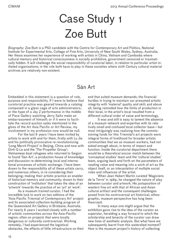# Case Study 1 Zoe Butt

*Biography:* Zoe Butt is a PhD candidate with the Centre for Contemporary Art and Politics, National Institute for Experimental Arts, College of Fine Arts, University of New South Wales, Sydney, Australia. Her thesis examines her experience of working with artists in China, Vietnam and Cambodia where cultural memory and historical consciousness is socially prohibitive, government censored or traumatically hidden. It will challenge the social responsibility of curatorial labor, in relation to particular artist-initiated organizations; in the role both have to play in these societies where 20th Century cultural material archives are relatively non-existent.

## Sàn Art

Embedded in this statement is a question of role, purpose and responsibility. If I were to believe that curatorial practice was geared towards a catalog composed in a glass cage of arts administrators; or the hype of a Jay Z performance in the middle of Pace Gallery watching Jerry Saltz make an embarrassment of himself; or if it were to facilitate the record auction sales mentioned in the gloss of the Art Asia Pacific or Art Review, my involvement in my profession now would be null.

For the last 8 years I have been invited by artists to work with and for them, firstly with Lu Jie and his politically provocative re-revolutionizing 'Long March Project' in Beijing, China and now with Dinh Q Le and the 'The Propeller Group'; Vietnamese boat refugees who returned to Saigon to found 'San Art', a production house of knowledge and discussion re-determining local and international processes of artistic exchange. I have been drawn to the responsibility all of these artists carry, and numerous others, in re-considering their belonging; making their artistic practice an enabler of historical memory and community; drawn to their construction of 'institution' that takes the idea of an 'artwork' towards the practice of an 'art' at 'work'.

As a museum trained curator, I had the incredible luck to work on two editions of the 'Asia-Pacific Triennial of Contemporary Art' project and its associated collection-building program of the Queensland Art Gallery in Brisbane, Australia. For nearly 8 years I worked closely with a number of artistic communities across the Asia-Pacific region; often on projects that were locally dangerous or culturally controversial. Working remotely, I had experienced the logistical obstacles, the effects of little infrastructure on their end that suited museum demands; the financial hurdles in trying to maintain our presumed artistic integrity with 'material' quality and skill; and above all, being reminded how the limits of production in their local, in the artist's local resulted from a different cultural order of value and terminology.

It was and still is easy to lament the absence of a museum network and expertise with its relatively small and confused local collector base—but most intriguingly was realizing how the commissioning funds for this Triennial's art projects were integral forms of livelihood for broader artistic communities that we as museum workers, had not asked enough about, in terms of impact and function. Inside the curatorial department there would be a theoretical soccer match between the 'conceptual studies' team and the 'cultural studies' team, arguing back and forth on the parameters of reading value and meaning into a work of art as the object itself, or an interpolation of multiple social roles and influences of the artist.

When Jean Hubert Martin curated 'Magiciens de la Terre' in 1989, he changed the nature of play between curator and artwork. His juxtaposition of western fine art with that of African and Asian cultural artifact and the consequent challenges posed from his controversial art historical, ethnographic, museum perspective has long been theorized.

In many ways one might argue that the exhibition gave rise to the idea of the curator as superstar, heralding a way forward to which the scholarship and tenacity of the curator can draw new lines of aesthetic analysis. But what have we subsequently learnt from this watershed moment? How is the museum project's history of collecting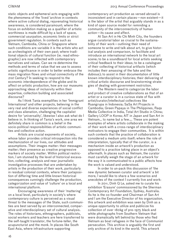static objects and ephemeral acts engaging with the phenomena of the 'lived 'archive in contexts where active cultural dialog, rejuvenating historical awareness, is considered paramount; where the focus on exhibition making as a qualifier of artistic worthiness is made difficult by a lack of space, commercial usurpation, economic limits or strict government regulation. In contexts such as Vietnam, Cambodia, China or Singapore where such conditions are variable it is the artists who act as archeologists of their own past; where traditional objects of cultural function (ie. read ethnographic) are now inflected with contemporary narratives and values. Can we re-determine the methods and terms of value that we use to assess artistic significance in order to better embrace the mass migration flows and virtual connectivity of the 21st Century? In seeking to respond to the economic interdependence of the globe and its affect on artistic production, how are our museums approaching ideas of inclusivity within their expertise, collection building and associated discourse?

As I think Tania exemplifies in her 'Immigrant International' and other projects, believing in the very real and diverse experiences of social conflict and class alienation, challenging the capitalist desire for 'universality', likewise I also ask what do I believe in. In thinking of Tania's work, one area we definitely share in common is a belief in the socio-political responsibilities of artistic communities and collective action.

Artists are crucial exponents of society, whose labor provides critical introspection into the mechanization of our lives, our attitudes and assumptions. Their images matter: their messages matter; their presence as creative progressive markers of society matter. Within political restriction, I am stunned by the level of historical excavation, collecting, analysis and near journalistic investigative processes that are undertaken by artists in the production of their work, particularly in residual colonial contexts, where their juxtaposition of differing time and little known historical consequences cunningly challenge the production, categorization and value of 'culture' on a local and international platform.

Encouraging awareness of their 'mattering' on a local level, particularly in society's where contemporary culture is perceived as a visual threat to the messages of the State, such communities are best served by an interconnected, comparative and interdisciplinary set of cultural analysis. The roles of historians, ethnographers, publicists, social workers and teachers are here transferred to the self-taught translator, the fortune-teller, the acupuncturist and the monk. In places like South East Asia, where infrastructure supporting

contemporary art production as versed abroad is inconsistent and in certain places—non existent—it is the labor of the artist that arguably stands in as a kind of open source model for reminding a community of the interconnectivity of human action—its cause and affect.

At San Art in Ho Chi Minh City, the founders argue curatorial labor as crucial to the sustainability of their work—outlining their need of someone to write and talk about art, to give historical analysis and comparison, to facilitate and introduce an international network to the local art scene; to be a soundboard for local artists seeking critical feedback to their ideas; to be a cataloguer of their collecting of historical artifacts (which includes their amassing of the fake and the dubious); to assist in their documentation of little known interdisciplinary histories; their delivering of critical artistic discourse and brainstorming strategies of dealing with government restriction.

The Western need to categorize the labor and product of creative collaborations as that of an artist or a curator is in a curious state of flux with artist/curator/intellectual collectives like Ruangrupa in Indonesia; SaSa Art Projects in Cambodia; Green Papaya in The Philippines, Raqs Media Collective in India, Total Art Studio in China; Gallery LOOP in Korea; AIT in Japan and San Art in Vietnam… to name but a few…. These are potent examples of where artists collaborate in the making of their work with a cross-range of interdisciplinary motivators to engage their communities. It is within such contexts that the practice of collaboration is considered a medium unto itself; where the role of interpretation, typically that of the curator, is a mechanism inside an artwork's production as opposed to a practice taking place in an object's aftermath. In places such as Vietnam, the curator must carefully weigh the stage of an artwork for the way it is communicated to a public affects how the work is valued and understood.

In order to un-pack this discussion of 'the new dynamic between curator and artwork' a bit more, I would like to share a few scenarios and anecdotes of the context I currently live and work:

In 2011, Dinh Q Le, asked me to curate his exhibition 'Erasure' commissioned by the Sherman Contemporary Art Foundation, Sydney, Australia. As he is the co-founder and Chairman of San Art and I am the Executive Director of his organization. this artwork and exhibition was seen by Dinh as a unique opportunity to utilize and publicize his collection of over 180kg of pre-1975 black and white photographs from Southern Vietnam that were dramatically left behind by those who fled Vietnam as boat refugees in the face of Communist persecution. This archive is arguably the first and only archive of its kind in the world. This artwork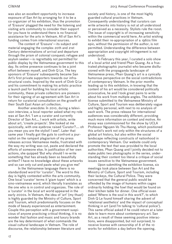was also an excellent opportunity to increase exposure of San Art by arranging for it to be a co-organizer of his exhibition, thus the promotion of 'Erasure' plugged the need for the listening and visiting arts community to consider their support for you have to understand there is no financial assistance for the arts in Vietnam. All of San Art's funding comes from international sources.

The content of 'Erasure'—its subject and material engaging the complex 20th and 21st Century determinations of arrival and departure through the prism of colonial conquest; refugee and asylum seeker—is regrettably not permitted for public display by the Vietnamese government to this day. Its online presence continues to be a joint effort between myself, and Dinh Q Le. The key sponsors of 'Erasure' subsequently became San Art's first private supporters towards our infrastructural costs. Inspired by the work of Dinh Q Le and his commitment to making his artistic practice a launch pad for building his local artistic community, these private collectors are pioneers for their signing of an agreement with San Art in return for curatorial consultation on the growth of their South East Asian art collection.

Another anecdote: In 2010, during a television interview, a local reporter asked what my role was at San Art. 'I am a curator and currently Director of San Art.... I work with artists, write about art, 'create projects'. She looked at me quizzically, with one eyebrow raised 'Curator?.... oh you mean you are the stylist! I see!'. Later that same year I finally got the guts to confront a journalist on the rampant plagiarism of my press releases across Vietnamese media, frustrated with the way my writing was cut, paste and declared the efforts of someone else. In justification of her own actions, she quipped 'But why should I re-write something that has already been so beautifully written? I have no knowledge about these artworks and so can only cut and paste what you give me!'

In the Vietnamese language there is no standardized word for 'curator'. The word to this day is highly contested within the arts community. One local 'curator' terms it 'giam tuyen' which is a sino-vietnamese word, which literally translates as the one who is in control and organizes. The role of a 'curator' in the local art world appeared in the early 2000s. In Vietnam, the idea of 'art' (my thuat) is highly guarded by the Ministry of Culture, Sport and Tourism, which predominantly focuses on the mode of beauty experienced as entertainment. Couple this perception with a government suspicious of anyone practicing critical thinking, it is no wonder that fashion and music and luxury brands are the key determinant of what commands the visual cultural landscape in Vietnam. The role of discourse, the relationship between literature and

society and history, is one of the most highly guarded cultural practices in Vietnam. Consequently understanding that curators can write artworks into history is not at all understood or perceived as a necessity. Stylists rule the roost. The issue of copyright is of increasing sensitivity within the commercial world here. An artist wishing to exhibit their re-appropriation of a 1960s film epic, without the permission of the author, is not permitted. Understanding the difference between appropriation and copyright infringement is not understood.

In February this year, I curated a solo show of a local artist and friend Phan Quang. As a frustrated photographic journalist who became disillusioned with the propaganda landscape of Vietnamese press, Phan Quang's art is a cynically humorous perspective on the social contradictions of contemporary Vietnam. In the prior months leading up to this exhibition, in knowing that the content of his art would be considered politically provocative, he and I took great pains to write about his work from multiple angles. The exhibition license submitted to the Vietnamese Ministry of Culture, Sport and Tourism was deliberately vague and highly personal, with next to no analysis of each work. The press release for international audiences was considerably different, providing much more information on context and motive. An essay was commissioned for the show by UCLA Professor Nguyen-Vo Thu-Huong, which positioned this artist's work not only within the structures of a global art history, but also within the social landscape reflecting constructs of nationhood in contemporary Vietnam. Our website could only promote the text that was provided to the local authorities. Phan Quang and I jointly decided not to make public two photographs in the series, understanding their content too literal a critique of social issues sensitive to the Vietnamese government.

Upon submitting the exhibition license, six meetings took place between San Art and the Ministry of Culture, Sport and Tourism, including their lackeys, the Cultural Police. They were concerned that the general public would be offended by the image of humans within cages ordinarily holding the fowl that would be found on their kitchen table for dinner. One official even asked 'Where is the soul in this work?', to which Dinh Q Le found himself sharing the advent of 'relational aesthetics' and the impact of conceptual thinking in art (and I'm talking to 'cultural police'). This same official asked if he could return at a later date to learn more about contemporary art. San Art, as a result of these seeming positive interactions, were disappointed, but not surprised, to receive license with censorship of 8 of the 10 works for exhibition a day before the opening.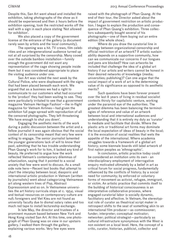Despite this, San Art went ahead and installed the exhibition, taking photographs of the show as it should be experienced and then 2 hours before the exhibition opening, took the restricted works off the wall with a sign in each place stating 'Not allowed for exhibition'.

We also placed a copy of the government license at the entrance of the gallery (a document rarely seen by artists and the local community).

The opening was a hit. TV crews, film celebrities and an intergenerational audience turned up not at all surprised by the censorship. Many cooed over the outside bamboo installation—funnily enough the government did not want any representation of the cage showing people inside them but it was considered appropriate to place the visiting audience under one.

San Art was visited the next week by the Cultural Police, who were displeased with the signs that had been placed beneath each work. We argued that as a business we had a right to communicate to our customers what had occurred to the 'product' they had been waiting to see. They were particularly irritated to see that a government magazine Vietnam Heritage Fashion'-the in-flight magazine for Vietnam Airlines—had given the exhibition full page spread with reproduction of all the censored photographs. They left threatening 'We have enough to shut you down'.

Engaging the aesthetic merits of the work during a public discussion between the artist and a fellow journalist it was again obvious that the social context of its censorship meant that very few were willing to engage. The senior journalist lamented the younger generations lack of will to know their past, admitting that he has trouble understanding Phan Quang's work for to him, it lacked any kind of beauty. He preferred to argue how the work reflected Vietnam's contemporary dilemmas of urbanization, saying that it pointed to a social anxiety that few were wont to discuss. As a small side note here—Recent text books that attempt to chart the interplay between local, diasporic and international artistic production in Vietnam (written by journalists) went about categorizing Vietnamese art along western lines of Pop, Abstract Expressionism and so on. In Vietnamese universities the art history curricula stops at c. 1954, visual and textual resources on contemporary culture are null; foreigners and Viet Kieu are not found as university faculty due to dismal salary rates and too much red tape to install lectureship exchange.

In late May, the director and trustees of a prominent museum based between New York and Hong Kong visited San Art. At this time, one photograph of Phan Quang was on view in our upstairs gallery. I walked them through the gallery, explaining various works. Very few eyes were

raised with the photograph of Phan Quang. At the end of their tour, the Director asked about the impact of government restriction on artistic production. I began to explain the production and consequence of Phan Quang's exhibition. Three collectors subsequently bought several of his photographs—one of them buying out an entire edition (the whole show).

Where do you draw the curatorial line in strategy between organizational-censorship and official restriction of an artwork? If artistic sustainability depends on a supportive community, how can we communicate our concerns if our tongues and pens are blocked? How can artworks be included that challenge the idea of a global art history if our artists and writers cannot be honest in their desired networks of knowledge (media; universities; publishing)? Can one argue that the social impact of a work of art is the determining value of its significance as opposed to its aesthetic merits?

Such questions have been forever present over the last 8 years of living in residual socialist contexts thirsty for capitalistic venture, working under the paranoid eye of the authorities. The greatest dilemma has been balancing the terminologies of reference and value of an artwork between local and international audiences and understanding that it is entirely my duty as 'curator' to mediate and facilitate that divide. Where the plastic arts or traditional art forms may dominate the local expectation of ideas of beauty in the local; it is the evocation of social realities that wets the appetite of the international. Where academia struggles towards a framework of a global art history; some biennale boards still label artwork of first nation peoples as 'ethnographic'.

In conclusion, artistic practice today could be considered an institution unto its own - an interdisciplinary employment of interrogative enquiry motivated ultimately by a belief in art as critical forum for social progress, fundamentally influenced by the conflicts of history; by a social need for community; by enforced or voluntary forms of movement as activist, refugee, immigrant, or victim. An artistic practice that commits itself to the building of historical consciousness is an interpretative collaborative process, where engaged curatorial labor is socially dynamic, facilitatory and affective. In Vietnam, the stereotypical role of curator as theatrical script maker in retrospect shifts to the seat of something akin to an international film producer—as commissioner; funder; interpreter; conceptual motivator; networker; political strategist—particularly as cultural infrastructure synonymous with the West is non existent on a local level. Here, the concept of a critic, curator, historian, publicist, collector and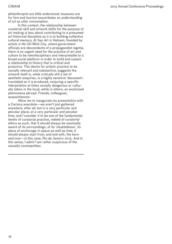philanthropist are little understood; museums are for hire and tourism exacerbates an understanding of art as utter consumption.

In this context, the relationship between curatorial skill and artwork shifts for the purpose of art making is less about contributing to a presumed art historical discipline as it is to building collective cultural memory. At San Art in Vietnam, founded by artists in Ho Chi Minh City, where government officials are descendants of a propagandist regime, there is an urgent need for the practice of art and culture to be interdisciplinary and interpretable to a broad social platform in order to build and sustain a relationship to history that is critical and proactive. This desire for artistic practice to be socially relevant and substantive, suggests the artwork itself is, while critically still a set of aesthetic enquiries, is a highly sensitive 'document', translated as it is produced, conjuring a specific interpolation at times socially dangerous or culturally taboo in the local, while in others, an exoticised phenomena abroad. Friends, colleagues, acquaintances:

Allow me to inaugurate my presentation with a Carioca anecdote—we aren't just gathered anywhere, after all, but in a very particular and peculiar place, at a very particular and peculiar time, and I consider it to be one of the fundamental tenets of curatorial practice, indeed of curatorial ethics as such, that it should always be maximally aware of its surroundings, of its 'situatedness', its place of anchorage in space as well as time; it should always start from, and end with, the hereand-now—in this case, Rio de Janeiro 2013. And in this sense, I admit I am rather suspicious of the casually cosmopolitan.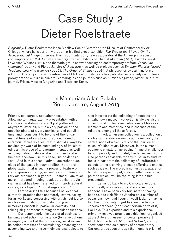# Case Study 2 Dieter Roelstraete

*Biography:* Dieter Roelstraete is the Manilow Senior Curator at the Museum of Contemporary Art Chicago, where he is currently preparing his first group exhibition *The Way of the Shovel: On the Archaeological Imaginary in Art*. From 2003 until 2011, he was a curator at the Antwerp museum of contemporary art MuHKA, where he organized exhibitions of Chantal Akerman (2012), Liam Gillick & Lawrence Weiner (2011), and thematic group shows focusing on contemporary art from Vancouver (*Intertidal*, 2005) and Rio de Janeiro (*A Rua*, 2011), as well as projects such as *Emotion Pictures* (2005), *Academy: Learning from Art* (2006), *The Order of Things* (2008). A philosopher by training, former editor of Afterall journal and co-founder of FR David, Roelstraete has published extensively on contemporary art and culture in numerous catalogues and journals such as A Prior Magazine, Artforum, e-flux journal, Frieze, Mousse Magazine and Texte zur Kunst.

## In Memoriam Allan Sekula: Rio de Janeiro, August 2013

Friends, colleagues, acquaintances:

Allow me to inaugurate my presentation with a Carioca anecdote—we aren't just gathered anywhere, after all, but in a very particular and peculiar place, at a very particular and peculiar time, and I consider it to be one of the fundamental tenets of curatorial practice, indeed of curatorial ethics as such, that it should always be maximally aware of its surroundings, of its 'situatedness', its place of anchorage in space as well as time; it should always start from, and end with, the here-and-now—in this case, Rio de Janeiro 2013. And in this sense, I admit I am rather suspicious of the casually cosmopolitan rhetoric of globalization that is such a powerful feature of contemporary curating, as well as of contemporary art production in general—instead, I am much more interested in being local, parochial, provincial, in what has been referred to, in architectural circles, as a type of "critical regionalism."

I am saying all this because I believe that curatorial practice does not merely involve caring for artworks and conversing with artists, but it also involves responding to, and absorbing or immersing oneself in, particular contexts, and reimagining or reconstructing particular situations.

Correspondingly, the curatorial business of building a collection, for instance (to name but one exemplary aspect of the profession), must expand its notion from that of accumulating, amassing and assembling two and three— dimensional objects to also incorporate the collecting of contexts and situations—a museum collection is always also a collection of contexts and situations, of historical moments and memories, and in essence of the relations among all these forces.

In fact, a museum collection is a collection of such exact relations—simply put, a network, the central node of which is this or that particular museum's idea of art. Moreover, in the current economic climate of increasing financial challenges to both publicly and privately funded museums, it is also perhaps advisable for any museum to shift its focus in part from the collecting of unaffordable objects to the archiving of much affordable entities such as ideas. The museum not just as a space for. but also a repository of, ideas in other words—a point to which I will be returning later in this presentation.

Let us go back to my Carioca anecdote, which really is a case study of sorts. As it so happens, I have been very fortunate for having been able to visit Rio de Janeiro on a number of occasions now, and I count myself lucky for having had the opportunity to get to know the Rio de Janeiro art scene (or at least certain parts of it) like I did. This expertise and this experience, primarily revolves around an exhibition I organized at the Antwerp museum of contemporary art MuHKA in the fall of 2011 titled "A Rua", a group show conceived as a survey of contemporary Carioca art as seen through the thematic prism of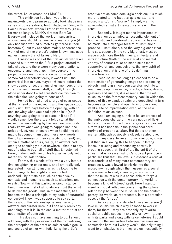the street, i.e. of street life (IMAGE).

This exhibition had been years in the making—its basic premise actually took shape in a series of conversations, first initiated in 2004, with Paulo Herkenhoff, whom I got to know through my former colleague, MuHKA director Bart De Baere—and included the work of many artists whose name should be familiar to many of you (if only because we find ourselves gathered in their hometown), but my anecdote mainly concerns the work of one of the project's better known, marquee names, namely that of Ernesto Neto.

Ernesto was one of the first artists whom we reached out to when the A Rua project started to take shape, and there were many conversations, encounters, and meetings in the course of the project's two-year preparation period—yet somewhat characteristically, it wasn't until the proverbial last minute, maybe 36 hours before the show opened or so, that any of us, members of the curatorial and museum staff, actually knew (let alone understood) what Ernesto's contribution to the exhibition was going to consist of.

He had been allotted a large circular space at the far end of the museum, and this space stood empty until two days before the opening, with no one knowing what would take place in it (or if anything was going to take place in it at all). I vividly remember the anxiety felt by all at the museum when walking by this vast void—nobody really knew what was going to happen until the artist arrived. And of course when he did, the old magic happened (I am using these very words in the full awareness of their capacity to offend) and within a matter of hours, really, an artwork had emerged seemingly out of nowhere—that is to say, out of a plastic bag full of stuff that Ernesto had brought along with him on his trip as his only set of materials, his sole toolbox.

For me, this whole affair was a very instructive, enlightening experience, and I am really only interested in curating insofar as it allows me to learn things, to be taught and instructed, enriched—by artists as much as artworks, by contexts and moments as much as situations and events. Now what this particular circumstance taught me was first of all to always trust the artist to deliver the goods. This, in the meantime, has become the basic principle of my code of curatorial conduct—I know I was supposed to say certain things about the relationship between artist, artwork and curator here, but I can only really say one thing: that it is, in the end, a matter of trust and not a matter of contracts.

This does not have anything to do, I should add here, with the persistence of the romantiizing the perception of the artist as sole creative genius and source of art, or with fetishizing the artist's

creative act as some demiurgic decision; it is much more related to the fact that as a curator and museum and/or art "worker", I simply want to acknowledge that art inevitably starts with the artist.

Secondly, it taught me the importance of improvisation as an integral, essential element of both artistic and curatorial practice that has yet to be made into a stronger feature of institutional practice—institutions, also the very big ones (that is to say, especially the very big ones), must be made much more flexible; their architecture and infrastructure (both of the material and mental variety, of course) must be made much more supportive of, and conducive to, the very spirit of improvisation that is one of art's defining characteristics.

Because art has long ago ceased to be a mere matter of generating images and producing objects, and long since been transformed into a realm made up, in essence, of acts, actions, deeds, gestures and rumors, it is essential that the art museum, as the foremost memory bank in which the traces of this expanded realm are deposited, in turn becomes as flexible and open to improvisation, itself a site of improvisation even, as the new definition of art as such.

And I am saying all this in full awareness of the ambiguous charge of the very notion of flexibility of course; I know how strategically important a term it has become in the global neoliberal regime of precarious labor. But that is another matter, although obviously a closely related one.

In any case, to revert to my anecdote, it was just then, in allowing this to happen, in letting loose, in trusting and renouncing control, in creating space, that, first of all, the spirit of the street that is so essential to Carioca art practice in particular (but that I believe is in essence a crucial characteristic of many more contemporary art practices), was allowed to trickle into the museum—through which the museum as a social space was activated, animated, energized—and that the museum was in a sense able to forge a connection with the contemporary life-world, to become a kind of "street" itself. Here I want to insert a critical reflection concerning the optimal relationship between the museum and the contemporary life-world, as represented, in this particular case, by the "street."

As a curator and devoted museum person ( love museums, which is why I choose to work in them, for them—they are probably my favorite social or public spaces in any city or town—along with its parks and along with its cemeteries. I could expand on the similarities between museums and cemeteries here but I wisely won't—the only thing I want to emphasize is that they are quintessentially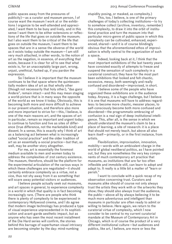public spaces away from the pressures of  $publicity$ ) — as a curator and museum person,  $i$  of course want the museum I work at or the exhibitions I organize to be well-attended and appreciated, I want them to be busy and lively, and in this sense I want them to be either extensions or reflections of the life that goes on outside the museum; but I also want them to be critical of the life that goes on outside the museum, I want them to be spaces that are in a sense the obverse of the world as it exists today outside the museum $-\dot{l}$  am still very much attached, in other words, to the notion of art as the negation, in essence, of everything that exists, because it is clear for all to see that what exists is, for an unacceptably large part, wrong, unjust, unethical, fucked up, if you pardon the expression.

So I believe it is important that the museum continues to be that space where the quintessentially modern idea of art as that wholly other (though not necessarily that holy other), "das ganz Andere", remain intact—and this may mean staging a world-picture that is in many ways the opposite of the world as we know it today. Obviously, this is becoming both more and more difficult to achieve in our present situation, and therefore also more and more important to strive for—this, I believe, is one of the main reasons art, and the spaces of art in particular, remain so important and urgent today: to continue to function and live as sites of difference (true difference, not the marketable kind) and dissent. In a sense, this is exactly why I think of art as a balancing act between what is increasingly called "social practice" and the older tradition of art as an essentially a-social practice—but that, as well, may be another story altogether.

For me, art is essentially the foremost medium available to men and women today to address the complexities of 21st century existence. The museum, therefore, should be the platform for the experimental articulation of the various ways in which these challenges are negotiated—it should certainly embrace complexity as a virtue, not a vice, thus not shy away from it as something that will scare away potential visitors or audiences.

I believe people actually seek out museums, and art spaces in general, to experience complexity in a world in which that quality is in fact becoming increasingly rare. (There are people who think there is plenty of complexity to be experienced in contemporary Hollywood cinema, and I do agree that modern image technology has produced a type of visual experience unprecedented in its sophistication and avant-garde aesthetic impact, but as anyone who has seen the most recent installment of the Die Hard series will confirm, the stories behind this barrage of superhuman visual intricacy are becoming simpler by the day: mind-numbing

stupidity posing, or masked, as complexity.)

This, too, I believe, is one of the primary challenges of today's collecting institutions—to try to somehow collect (archive, inventory, remember) this complexity, to draw it into the orbit of institutional practice and turn the museum into that particular micro-genre of public space in which this complexity can be cultivated, enhanced, experienced, shared—and it is of course blindingly obvious that the aforementioned ethos of improvisation is wholly central to the organization of such a space.

Indeed, looking back at it, I think that the most important exhibitions of the last twenty years have consisted exactly of attempts to freeze and suspend the sensation of such complexity in a curatorial construct; they have for the most part been exhibitions that looked and felt chaotic, excessive, messy, both seemingly and really confused and disordered—improvised, in short.

I believe some of the people who have organized these exhibitions are in the audience today. Anyway, it is a huge challenge, but I believe it is one that museums will have to address regardless: to become more chaotic, messier places, to self-consciously become both more confused and disordered—the programmatic embracing of confusion is a real sign of deep institutional intelligence. This, after all, is the sense in which we should understand the museum's claim to be a place of learning, a site of research: it is a place that should not merely teach, but above all also learn itself—primarily, or in the first instance, from artists.

Flexibilization, improvisation, innovation, mobility—words with an ambivalent charge in the world of global neoliberal politics, as I have pointed out, but they are nonetheless the very key components of much contemporary art practice that museums, as institutions that are far too often inflexible and immobile still, can learn to adopt and adapt to. It really is a little bit a matter of "learn or perish."

I want to conclude with a quick recap of my observation concerning trust. Curators and museums alike should of course not only always trust the artists they work with or the artworks they show; they should also always trust the audience, the public—above all by always believing it to be much more adventurous and intelligent than museums in particular are often ready to admit or willing to believe. Here again, we return to the curatorial virtue of complexity, which I now consider to be central to my current curatorial mandate at the Museum of Contemporary Art in Chicago, which is of course the product of a very different institutional culture—but audiences and publics, like art, I believe, are more or less the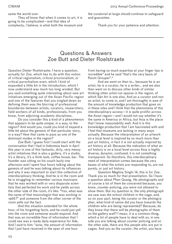same the world over.

They all know that when it comes to art, it is going to be complicated—and that idea of complexity, I believe, is what both the museum and the curatorial at large should continue to safeguard and guarantee.

Thank you for your patience and attention.

### Questions & Answers Zoe Butt and Dieter Roelstraete

Question Dieter Roelstraete: I have a question, actually for Zoe, which has to do with this notion of critical regionalism, critical provincialism, or critical parochialism even, which I kind of expanded a little bit in the introduction, which I now understand was much too long winded. But you said something quite interesting about new art initiatives emerging out of the Asian Pacific region and one of the features that you singled down as defining them was the blurring of professional boundaries between artists, curators, researchers, field workers of all kinds, professionals, from you know, from adjoining academic disciplines.

Do you consider this a kind of a phenomenon that appears to be quite unique, in a way, to the region? And would you, could you kind of expand a little bit about the genesis of that particular story, in a way? How that came to pass as one of the dominant modes in the region?

Zoe Butt: I guess first I could start with the conversation that I had in Indonesia back in April this year in one of this fantastic, dirty, very messy artist initiatives that is also a gallery, it's a studio, it's a library, it's a think tank, coffee house, bar. The founder was sitting on his couch lazily one afternoon and I spent four hours talking about the genesis of and he was talking about its influences and why it was important to start this collective of interdisciplinary thinking. And he is in the room and he is struggling to remember various musicians that he was worked with or very disparate scientists that perfected his work and he yields across the other side of the room, it's like: "Yoo, what was the name of that musicologist that was working in 1966?" and someone from the other corner of the room yells out the fact.

And this situation extended for the whole hour, of his forgetting facts, and he could just yell into the room and someone would respond. And that was an incredible flow of information that I could see was a ready daily experience for Ade. And I said to him: "wow, the amount of information that I just have received in the span of one hour

from having so much expertise at your finger tips is incredible" and he said "that's the very basis of Room Grouper".\*

And we went on then to… because he is an artist, he is a curator, he is a writer… and we also then went on to discuss other kinds of similar thinking other artist-run spaces in the region, of which Sàn Art is one also. And as a curator and non an artist, to come in, and I am thoroughly in awe of the amount of knowledge production that goes on in these sites and I think that the phenomena of this interdisciplinary access—it is quite prolific across the Asian region—and I would not say whether it's the same in America or Africa, but Asia is the place that I know reasonability well. And it is this knowledge production that I am fascinated with and I feel that museums are lacking in many ways actually. Because the interpretation of an artwork on a local level is inspired by so much more than just art history, in fact it is not actually inspired by art history at all. Because the indication of what an art history is on a local level across Asia is highly diverse, dynamic, confused, it is not something transparent. So therefore, this interdisciplinary need of interpretation comes because the very bases of what the artists are responding to, are not purely, or just art history.

Question Meghna Singh: Hi, this is for Zoe. Thank you so much for that presentation. So I have a question about Phan Quang. His photographs and of course a lot of them be conceived because, you know, counter-policing, you were not allowed to show them. But my question is, the only photograph we saw was the school children in the cage, and, so on your part, being the curator or the photographer, what kind of sense did you have towards the children who are being represented? Because, do they know that there will be photographs of them on the gallery wall? I mean, it is a common thing, which a lot of people have to deal with so, in one side you are talking about counter policing and on the other side, there are this people who are put in cages. And you as the curator, the artist, you have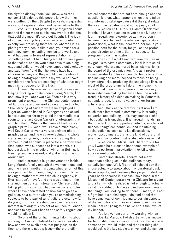the right to display them, you know, was their consent? Like do, do this people know that they were putting on the… [laughs] so yeah, my question was about representation and be sensitive to that.

Zoe Butt: That particular photograph I could not and did not made public, however it is the one that sold the most; it's sold out [laughs]. The idea of communicating to your subjects as to what exactly you are using them for, so whereas it is a photography piece, a film piece, your muse for a painting… communicating how culture works and what happens in terms of representation is not something that…. Phan Quang would not have gone to that school and he would not have taken a big cage and children would have jumped out excitedly and said "wow" and then he would have had children running and they would love the idea of having a photograph taken, they would not have considered the forward meaning of what that might mean in retrospect for this kids.

I mean, I have a really interesting case in Beijing working with Xu Zhen at Long March, I do not know if you are aware Xu Zhen he is a very prominent prankster in the Chinese contemporary art landscape and we worked on a project called "The Starving of Sudan" where he employed a Nigerian woman based in Guangzhou and asked her to place her three-year old in the middle of a room to re-enact Kevin Carter's photograph, that won him that…. What is the name of that photographic prize? … yeah, well I have a mind black, well Kevin Carter won a very prominent photographic prize, and he was re-enacting this whole stage and as gallery, curator, contracting this women to put her child in place for a performance that lasted, was supposed to last a month, six hours a day, in the middle of winter, in Beijing, is freezing and he is naked, and just with a little cloth around him.

And it created a huge conversation inside Long March, funnily enough the women in one end and the men in another, arguing whether or not this was permissible. I thought highly uncomfortable having a mother that over the child regularly, is like: "sit, don't move", and she was sitting on the site and then constant streams of Chinese public taking photographs. So I had numerous examples where I have been tested on how far to go as a gallerist, as a curator when you're commissioning subjects to be a part of an artistic project, how far do you go…. It is interesting because there was interest in taking this project of Xu Zhen to London; needless to say work-health and safety regulations would not allow it.

So one of the brilliant things I do find about working in Asia is—I talked to Tania earlier about how can we do exhibitions that put glass on the floor and there is not big issue—there are still

ethical concerns that are not hard enough and the question is then, what happens when this is taken into international stage cause if it they just relate the local, the debates would not appear, at all.

Question DO: Hi this is Didem Özbek from Istanbul. I have a question to you as well. I want to learn through your experience as the person in between the artist and the artist-run space. As a professional, what is the ideal for a person in your position both for the artist, for you as the professional director and the artist-run space, to like program, to communicate?

Zoe Butt: I would say right now for San Art my goal is to have a completely local interdisciplinary team who are mentored by artists—which is the board of the organization. And as a professional curator I am less inclined to focus on exhibition making and more inclined to focus on being knowledge links, producing the knowledge links so most of the programming I do at the moment is educational. I am moving more and more away from exhibition making because I feel the whole trend in history of exhibition making in Vietnam is not understood, it is not a value marker for an artistic practice.

And I think as the director right now I am much more interested in community, in creating networks, and building—this may sounds cliché - but building friendships. It is through friendships that in a lack of the supportive network, in a lack of finance, things can continue... and maintaining social activities such as talks, discussions, workshops, dinners… that is the kind of curatorial practice in my context that is absolutely essential.

Question ML: Maria Lind: Dieter this is for you, I would be curious to hear some example of how you perform improvisation, flexibility etc. in your current position?

Dieter Roelstraete: There's not many American colleagues in the audience today, actually just one. Well, first of all I should say that I chose actually to speak about my curatorial past, these projects, well certainly this project dated two years back because in a sense I have been in the Museum of Contemporary Art in Chicago for a year and a half which I realized is not enough to actually call it my institution home yet, and you know, one of the things I am looking to do there… I mean, it is not a fight but it is a challenge, I do kind a feel that I have some way of contributing to certain aspects of the institutional culture in an American museum. I mean I am not going to be naïve about the level of my impact.

You know, I am currently working with an artist, Goshka Macuga, Polish artist who is known for her institutionally specific work, you know she is someone you would invite and the first thing she would ask is the key studio archive, and the number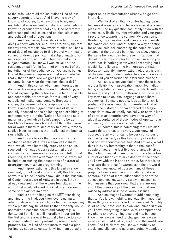to the safe, where all the institutions kind of less savory secrets are kept. And I have no way of knowing of course, how new this is to my new institutional environment but she is an artist who is known to produce work that very, kind of directly addresses political issues and political situations and political kind of questions.

And, you know, I was struck in fact, I was doing a show with her, and I was struck by the fact that my new, that this new world of mine, still has a great deal of resistance to this type of work that is so kind of directly political in it subject matter, not in its application, not in its intentions, but in its subject matter. You know, I was struck for the resistance that I felt in fact, not on the part of the institution or of the audience but you know, but just kind of the general impression that was made "oh really, that political are we going to go, that militant… is that what the museum should do?".

And in this sense, what I am interested in doing in this new position is kind of stretching, is kind of expanding the notions a little bit of possible and acceptable art practice for this kind of very established institutional context. Because of course, the museum of contemporary is big, you know is one of the biggest museums of its kind actually, focused on the collecting and exhibiting of contemporary art in the (United) States and so a major institution which I can't expect to be as flexible as I sometimes hope. But I think that curatorial work is there to kind of try to slowly, 'processually', insert proposals that really test the boundaries a little bit.

And I have to say that the show, my first exhibition at the MCA, was a show of Goshka's work which I was incredibly happy to see so well received in Chicago's very substantial artist community. So there was a real sense, I felt in that reception, there was a demand for those exercises in kind of stretching the boundaries of curatorial programming, museum programming.

And improvisation is… this Brazilian show (well not, not a Brazilian show at all) this Carioca show, this Rio de Janeiro show I did in the Museum of Contemporary art of Antwerp in 2011, I then already realized that there were few places in the world that would allowed this kind of a freedom to some of the artists involved.

And is hard to imagine the MET ever doing anything of the kind, you know ever trusting an artist to show up thirty six hours before the opening with a plastic bag full of things that probably would not make to pass the health and safety regulations… but I think it is still incredibly important for the Met and its survival to actually be able to also accommodate those important impulses in artistic practice. So I'm kind of here more to make a plea for improvisation as curatorial virtue than actually

report on its implementation already, so go and improvise!

Well first of all thank you for having ideas, because it is quite rare to have ideas so it is a real pleasure. And my question has totally to do with the same issue, flexibility, improvisation and your good irreverence towards the cannon. My question is, flexibility, improvisation and irreverence towards the canon can be a kind of action, a way of action for as you said, for embracing the complexity and expanding the borders but it can be also, exactly the same behavior can be present in actions that denial totally the complexity. So I am sure for you know that, is nothing knew what I am saying but I would like to listen a little bit more about that. Because flexibility, improvisation, etcetera is part of the dominant mode of subjectivation in a way. So how could you describe this difference please?

As I said, when you kind of hear these buzz words: flexibility, improvisation, mobility, malleability, adaptability…. everything that starts with this basically and you know if difference, so those are key terms to unlock the language of neoliberal economics. So many people, look at Boltanski is probably the most important one—have kind of traced the history of, or have traced the tragic scenario of how art really basically, or certain kind of parts of art rhetoric have paved the way of global acceptance of these modes of operating as economic, of this economic rationale.

Of course, this is something that I am also aware that, art has to be very… you know, of course, the art world has to be very conscious of its role as this test, as this laboratory of certain kind of new economic realities. And actually, what I think it is very interesting is that in the last of couple of years, the last five years, actually since the global financial crises of 2008 there have been a lot of exhibitions that have dealt with the crises, you know with the labor as a topic. So there is no shortage there of self-awareness in the art world really but you know, of course, many of these projects have taken place in smaller artist run centers, in kind of more independently operated venues and you know, very rarely in museums, in big museums that you know, that are a anxious about the complexity of the questions that are raised by addressing those various issues.

And so, maybe I wanted to add something that…. You know, mobility, malleability, I mean, all those things are also incredibly overrated. Mobility is, of course, produces its own kind immobilization, you know, everything is mobile, this computer and my phone and everything else and me, but you know, they always need to charge, they always need cables, that kind of, anchors to the world, you know. And I think that, you know, a mobility or stasis, and silence and quiet and actually dead, are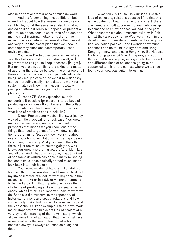also important characteristics of museum work.

And that's something I lost a little bit but when I talk about how the museums should reassemble life, but at the same time, also kind of not denied or ignore it really but oppose, or present a picture, an oppositional picture then of course, for me the most inspiring metaphor is that of the museum as a cemetery. Because it is the quietest and very often the nicest place that we know in contemporary cities and contemporary urban environments.

You know I've to other conferences where I said this before and it did went down well, so I might want to ask you to keep it secret… [laughs]. But mm. you know, so I think it is a kind of a matter of guarding the balance between the embrace of all these virtues of 21st century subjectivity while also being maximally aware of the extent to which they can be incredibly easily manipulated to work for the system that, you know, this museum is totally posing an alternative. So yeah, lots of work, lots of philosophy…

Question ZB: So my question is... this concept: is it possible for museums to go beyond producing exhibitions? If you believe in the collection of relations is the forward step for a museum, what kind of activities does it look like?

Dieter Roelstraete: Maybe I'll answer just by way of a little proposal for a task case. You know, many museums facing very grim financial prospects that mean that you know, one of the things that need to go out of the window is exhibition programming. So, you know, worrying about over- production of exhibitions may perhaps be no longer very necessary. And you know, I think that there is just too much, of course going on, we all know, you know, the art market, art fairs, biennials and all that. And what this has done, what this kind of economic downturn has done in many museological contexts is it has basically forced museums to look back into their history.

You know, we do not have a million dollars for this Olafur Eliasson show that I wanted to do all my life so instead let's look at what happens in the museums in 1973 or in 1988 or whatever happens to be the fancy. And that in particular raises the challenge of producing still exciting visual experiences, which I think is an important part of what we do. So this is the museum as the repository of historical relations and spatial relations and how you actually make that visible. Some museums, and the Van Abbe is a good example, I think, have made major steps towards this exact kind of project of a very dynamic mapping of their own history, which allows some kind of activation that was not always associated with the very notion of collection, because always it always sounded so dusty and dead.

Question ZB: I quite like your idea, like this idea of collecting relations because I find that this is the context of Asia. It is a cultural context, there are memory is built according to your relationship to someone or an experience you had in the past. What concerns me about museum building in Asia is that they are copying the West very much, in the development of their departments, in their acquisition, collection policies… and I wonder how much openness can be found in Singapore and Hong Kong right now, and plus in Hong King, the National Gallery Singapore, SAM in Singapore, and you think about how are programs going to be created and different kinds of collections going to be supported to mirror the context where we are, so I found your idea was quite interesting.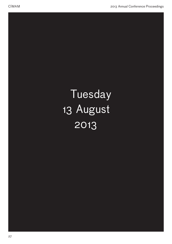# Tuesday 13 August 2013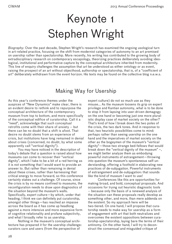# Keynote 1 Stephen Wright

*Biography:* Over the past decade, Stephen Wright's research has examined the ongoing usological turn in art-related practice, focusing on the shift from modernist categories of autonomy to an art premised on usership rather than spectatorship. More recently, his writing has contributed to the growing body of extradisciplinary research on contemporary escapology, theorizing practices deliberately avoiding ideological, institutional and performative capture by the conceptual architecture inherited from modernity. This line of enquiry challenges the assumption that art be understood as either ontology or as event, raising the prospect of an art without objecthood, authorship or spectatorship, that is, of a "coefficient of art" deliberately withdrawn from the event horizon. His texts may be found on the collective blog n.e.w.s.

## Making Way for Usership

As this year's conference themes under the auspices of "New Dynamics" make clear, there is an evident desire to rethink and to repurpose the conceptual architecture of the contemporary museum from top to bottom, and more specifically of the conceptual edifice of curatorship. Call it a "need", acknowledge that such conceptual retrofits come with their share of anxiety -- but there can be no doubt that a shift is afoot. That desire no doubt stems from an experience of crisis, but institutions have long remained in denial about crises (concerned, no doubt, by what some apparently call "vertical dignity").

You may have noticed in the description of today's debate that a question is raised about how museums can come to recover their "vertical dignity", which I take to be a bit of a red herring as it is not something that I would want to provide an answer to. But rather than remaining in denial about these crises, rather than harnessing that critical energy to move forward, so this conference certainly stakes out a challenge. Of course, since the crisis is by no means confined to museums, the reconfiguration needs to draw upon diagnostics of the situation beyond the museum's walls. Specifically, expert culture—by which, under that heading, I think we can definitely put curatorship, amongst other things—has reached an impasse across the board as it has come up headlong against a more intensive and more expansive form of cognitive relationality and profane subjectivity, and what I broadly refer to as usership.

Nothing in the museum's conceptual architecture has prepared it for the usership challenge: curators care and users (from the perspective of

expert culture) do not so much use as they misuse... As the museum loosens its grip on expert privilege and Kantian autonomy, what is to be done to stop it from lapsing into user-driven demagogy on the one hand or becoming just one more pluralistic display case of market society on the other? That's kind of how I break down the two poles of the crisis, the two dark tones. And in response to that, two heuristic possibilities come to mind: perhaps rather than seeing usership on the one hand and the imperatives of market society on the other as the bogeymen of the museum's "vertical dignity"—those two strange bed-fellows that would break down the "vertical dignity of the museum" –, we might better analyze them as embodying powerful instruments of estrangement—throwing into question the museum's spontaneous self-understanding, offering a foothold in elaborating new practices of de-subjugation. Powerful instruments of estrangement and de-subjugation: that sounds like the kind of museum I want to use!

Conferences like this are opportunities for making broad, and bold, conceptual proposals. And occasions for trying out heuristic diagnostic tools -- because only the basis of a renewed analysis of the situation can these proposals really develop as something other, and more, than mere addenda on the existent. So my approach here will be two-tiered. On one hand, I will propose that curatorship needs to make way for usership as a form of engagement with art that both neutralizes and overcomes the existent oppositions between curatorship-spectatorship, laying bare the terms of their antinomy. On the other hand, I will try to deconstruct the consensual and misguided critique of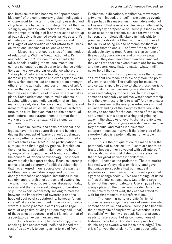neoliberalism that has become the "spontaneous ideology" of the contemporary global intelligentsia who are wont to muster it to disqualify usership and cling to entrenched expert privilege. It's not that I'm siding by any means with neoliberalism, but I think that the type of critique of it only serves to shore up already deeply entrenched expert privilege and it's ultimately a losing bound. New dynamics and languages of observation cannot afford to fall back on traditional schemas of collective norms.

Museums are of course sites of many modes of relationality. With the "deactivation of art's aesthetic function", we can observe that artist talks, panels, reading rooms, documentation centers no longer so much serve to enhance exhibitions as the showcase par excellence where art "takes place" where it is activated, performed; increasingly, they displace and even replace exhibitions, which become just one more option amongst others for the activation and performance of art. Of course that's a huge critical problem to crises for the physical architecture of spaces where art takes place. Some artists continue to make objects in keeping with the aesthetic paradigm of art; but many more only do so because the architecture and infrastructure of museums—the physical architecture, to be sure, but even more so, the conceptual architecture—encourages them to format their work in this way, often against their emergent intuitions.

Some museums, and some art-critical ideologues, have tried to square this circle by introducing the concept of "participation", a defanged category often fattened up and readied for market with adjectives like "free". "Free participation", I'm sure you read that in gallery guides. Usership, on the other hand, although it might seem to be a synonym of participation is not broadly admitted in the conceptual lexicon of museology—or indeed anywhere else in expert society. Because usership names a broad category of political subjectivity that has emerged in our society over the past ten or fifteen years, and stands opposed to three deeply entrenched conceptual institutions in our society: spectatorship, expertise, and ownership. To which, for the purposes of our discussion today, we can add the transversal category of curatorship—the expert desperately seeking to mediate between the imperatives of ownership and the hobbled desires of spectatorship, however "emancipated", it may be described in the works of some writers. Usership names a category of engagement, of cognitive privilege (if one may call it that), of those whose repurposing of art is neither that of a spectator, an expert nor an owner.

Let's take an example: Curatorship, broadly speaking, has accustomed itself, and indeed the rest of us as well, to seeing art in terms of "event".

Exhibitions, publications, manifestos, movements, artworks -- indeed, art itself -- are seen as events. It is perhaps this masculinist, nominative notion of art as event that is most conclusively challenged by the everyday perspective of usership. Since events never exist in the present, but are forever on the horizon, or ontologically stable in hindsight, to premise curatorship of them is to accord oneself the luxury of being able to contemplate them or wait for them to occur –, to "own" them, as that despicable saying goes. Usership shares none of this outlook; users always and only play away games—they don't have their own field. And yet they can't wait for the event; events are for owners, and the users know that, no matter what, it will never be all theirs.

These insights into perspectives that appear self-evident are made possible only from the point of view of usership. The challenge for museums, and curatorship, is to come to share those heuristic viewpoints, rather than seeing usership as the unwashed category of the Other. In that respect someone reasonably asked me: what spectatorship is to the event, usership is to what? And the answer to that question is: the everyday—because without an understanding of the everyday there would be no way to account for the occurrence of the events at all. And it is this deep churning and grinding away in the shadows of events that usership takes place. And that's what gives usership an emancipatory potential and makes it a dialectical category—because it gives it the other side of the sword—it also is a potentially instrumentable category.

This is the critique of course made from the perspective of expert culture: "users are not to be trusted because they're vested with self-interest". This is also what would distinguish usership from that other great universalist collective subject—known as the proletariat. The proletariat had that worm's eye view on history, and gave it that unique perspective that both made it powerless and empowered it as the only potential agent to change society: "We are nothing, let us be all", as the International says. Usership is absolutely not this type of category. Usership, as I say, always plays on the other team's side. But at the same time they can't wait, they cannot afford to wait for that moment of transformation.

That opening up to usership (which of course becomes urgent in an era of user-generated content and value, and where usership has become the primary site of surplus value extraction in 2.0 capitalism) will be my proposal. But that proposal needs to take account of its own conditions of historical possibility. Usership is very much a double-edged sword: what is the other edge? The crisis ( ah yes, the crisis!) offers an opportunity to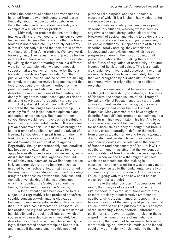rethink the conceptual edifices and vocabularies inherited from the twentieth century. And, parenthetically, about the question of vocabularies, I think that what I'm talking about here today is an example of a much broader problem.

Ultimately the problem that we are facing intellectually is that we need to rethink our conceptual lexicon. Because the paradox is that the lexical toolbox is not incomplete, it's certainly not empty. In fact it's perfectly full and the tools are in perfect working order. There's no problem. We have words for everything. They're just the wrong words for the emergent intuitions, which they can only designate by twisting them and formatting them in a different way. So, for example, when we spontaneously suppose that a synonym or the name for the relationality to words are "spectatorship" or "the public" or "the audience" and so on, we are making extremely profound normative judgements, and that type of vocabulary which we inherited from the previous century, and which worked perfectly to describe the artistic intuitions of that century, are deeply failing now to name these types of relationalities and new types of productivity and so on.

But just what kind of crisis is this? With respect to the challenges facing curatorship, it is certainly fruitful to insist upon the epistemic and conceptual underpinnings. But in and of themselves, these would never have pushed institutions toward such a fundamental overhaul. It is not even just an economic crisis—it is the crisis brought on by the triumph of neoliberalism and the advent of free-market society; that great transformation that took place some years ago and that hasn't yet moved towards the end-point of its agenda. Regrettably, though understandably, neoliberalism has become the catch-all term that we tend to apply to everything and everybody we really, really dislike. Institutions, political agendas, even individual behaviors, inasmuch as we find them particularly uncongenial, are apt to be stigmatized as infected by the neoliberal logic that has upturned the way our world has always functioned, reconfiguring the relationships between the individual and the collective, shaking all the institutions upon which it is founded (the State, the school, the family, the law and of course the Museum).

A lot of attention has been devoted to this subject, but regrettably it has produced an unforeseeable consensus—eliminating cleavages between otherwise very disparate political sensibilities—around a basic lamentation: neoliberalism has eroded the logic of "community" in the name of individuality and particular self-interest, which of course is why usership can so immediately be described as embedded with neoliberalism. By this logic, disinterested spectatorship, as Kant put it, and it made it the complement to this notion of

purpose / dis-purpose, and the autonomous museum of which it is a linchpin, has yielded to, for instance—usership.

A whole vocabulary has been developed to describe this situation, whereby what is seen as negative is anomie, deregulation, disorder, the breakdown of society, and what is to be done is the restoration of social bonds, and giving meaning to collective institutions. But speech acts of this kind describe literally nothing; they establish an ideology and cosmovision—one which has put progressive theory in the most crippling of all possible situations: that of talking the talk of order, of the State, of regulation, of normativity—an utter inversion of its historical values. This is a situation we should never have found ourselves in; one that we need to break free from immediately; but one that was brought on by our absolute un-readiness to contend with the originality of the neoliberal revolution.

In the same years that he was formulating his thoughts on usership (for instance, in The Uses of Pleasure, the second volume of his History of Sexuality), Michel Foucault undertook a thorough analysis of neoliberalism in his 1978-79 seminar famously published under the title Birth of Biopolitics. Many commentators have sought to describe Foucault's interpretation as testimony to a liberal turn in his thought late in his life. And to be sure there is an evident fascination in his analysis for neoliberalism as a body of thought that breaks with any existent paradigm, defining the marketform alone as a valid framework. He painstakingly dissociated neoliberalism from conservative or reactionary ideologies; he relativized the concept of freedom (and consequently of "natural law") in neoliberal thought, insisting that the key concept was plurality, not freedom—which is very important as well when we see how that might play itself within the aesthetic decision-making in museums—and the market-form was the only mode of regulation suited to the fundamental diversity of contemporary forms of existence. But where was Foucault going with this and how can it help us make room for usership?

Take the infamous claim: "Society does not exist", that many read as a kind of battle cry against socially inspired institutions and reforms; or more precisely, a performative statement of neoliberalism's utopia. In another respect, it is a terse expression of the very type of perception that Foucault was seeking to put forward in his analysis of the increasingly local, sectorial, differential, partial forms of power struggles—including those waged in the name of users of institutions or services –, that could not be subsumed to broader more totalizing, or universalist models, and indeed could only gain visibility in distinction to them. In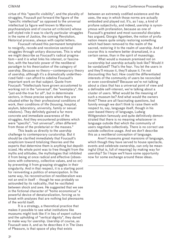virtue of this "specific visibility", and the plurality of struggles, Foucault put forward the figure of the "specific intellectual" as opposed to the universal intellectual (a figure well known to Marxism, psychoanalysis and of course art criticism) whose self-styled role it was to clarify particular struggles in the name of Justice, the coming Revolution, Historical process, always with capital letters.

Foucault refused this permanent temptation to resignify, recode and recolonize sectorial struggles through unitary discourses. This is what we might describe as Foucault's radical pragmatism—and it is what links his interest, or fascination, with the heuristic power of the neoliberal paradigm to his theorization of the category of usership. Because no theory—contemporary theory of usership, although it's a dramatically undertheorized field—can afford to sideline Foucault's important work on that subject. Quote from Foucault: "Intellectuals have grown accustomed to working not in the "universal", the "exemplary", the "just-and-the-true for all", but in determinate sectors, in those precise spots where they are situated either by their professional conditions of work, their conditions of life (housing, hospital, asylum, laboratory, university, family or sexual relations). They definitely gained a far more concrete and immediate awareness of the struggles. And they encountered problems which were "specific", "not universal", often different from those of the proletariat or the masses."

This leads us directly to the usership challenge to contemporary curatorship. But it should be clarified immediately that Foucault's scepticism toward totalizing theories and the experts that determine them is anything but depoliticized. His whole point was to free thought from the myths and attitudes, the mythologies that inhibited it from being at once radical and effective (obsessions with coherency, collective values, and so on) by preventing it from grasping struggles in their singularity. And in that respect, it is a starting point for reinventing a politics of emancipation. In the same way, his reconstruction of neoliberalism was not an end in itself -- though he was probably so astounded by its radicality, that he vacillated between shock and awe. He suggested that we see in the fictional character of "homo economicus" a powerful device of denaturalization, forcing us to break with analyses that are nothing but pleonasms of the world itself.

It is a strategy, a theoretical practice that makes it possible to see what institutions like museums might look like if in lieu of expert culture and the upholding of "vertical dignity", they dared to make way for usership. Usership of course, as Foucault sees it, and as he describes it in The Uses of Pleasure, is that space of play that exists

between an extremely codified existence and the uses, the way in which those norms are actually embodied and played out. It's, as I say, a kind of profane subjectivity, and indeed, usership is synonymous with profanation, because as one of Foucault's greatest and most successful disciples has argued, Giorgio Agamben, the notion of profanation means quite simply restoring something which had been removed to the realm of the sacred, restoring it to the realm of usership. And of course this is nowhere better dramatized, in a certain sense, than in the spirit of museology.

What would a museum premised not on curatorship but usership actually look like? Would it be vandalized? That's the fear. You let the users in and they'll misuse it, they'll abuse it. I'm not discounting this fact. How could the differentiated interests of the community of users be reconciled or even coordinated? Because we're not talking about a class that has a universal point of view and a definable self-interest, we're talking about a cluster of users. What would be the meaning of such a museum be? And what would the owners think? These are all fascinating questions, but funnily enough we don't think to raise them with respect to, say, language itself, though in his user-based theory of language, Ludwig Wittgenstein famously and quite definitively demonstrated that there is no meaning whatsoever in language outside that which the community of users negotiate collectively. There is no correct use outside collective usage. And we don't describe this as a neoliberal conception of language.

Aren't museums great mansions of language, which though they have served to house spectacle, events and celebrate ownership, can only be meaningful (that is, full of meaning) by making way for usership? So I hope we'll have some opportunity now for some exchange around these ideas.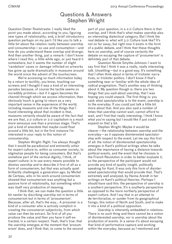## Questions & Answers Stephen Wright

Question Dieter Roelstraete: I really liked the point you made about, according to you, figuring new types of relationality, and, a brief introductory question perhaps on my part: I'd like you to talk a little bit about the relation really between usership and consumership—so use and consumption—and how do you understand these overlap and diverge. And then another thing, just a remark: I don't know where I read this, a little while ago, or just heard it somewhere, but it seems the number of slight 'vandalism' cases or damage inflicted on artworks has gone up quite dramatically in museums around the world since the advent of the touchscreen.

We're accessing so much information today by a return to tactility, you know, touching our screens and I thought it was a kind of an interesting paradox because, of course the tactile seems so incredibly primitive—but if it again becomes the channel through which we access information, then obviously touch is going to return as a very important sense in the experience of the world, including museums and one of the things that I found interesting about that incident is that, museums certainly should be aware of the fact that we are that, 2.0 culture or 2.0 capitalism is a much more sensuous one than a previous stage. That's just a kind of anecdote that maybe could float around a little bit, but in the first instance I'm interested in your reply to this notion of consumership.

Stephen Wright: Right. I've always thought that it would be paradoxical and eminently unfair for expert culture to, within us consumer society, to stigmatize people for being consumers. But that's somehow part of the vertical dignity, I think, of expert culture: is to use every means possible to dismiss usership and to describe it first of all as a form of consumerism, but that was actually quiet brilliantly challenged, a generation ago, by Michel de Certeau, who in his work around consumerism showed that consumerism was anything but a passive form of relationality, but something which was itself very productive of meaning.

I think that, we can make the question a little bit nastier by discribing usership not in terms of consumerism but in terms of 'prosumerism'. Because, after all, that's the way... A prosumer is a kind of a consumer who is actively complicit in creating the consumerist subjectivity, from which value can then be extract. So first of all you produce the value and then you have it self-extracted, in a certain respect. Yeah, that's true: that the usership emerges at the moment that 'prosumerism' does, and I think that, to come to the second

part of your question, in a 2.0 Culture there is that overlap, and I think that's what makes usership also an interesting dialectical category. But I think the real debate is: what will 3.0 Culture look like? It's not so far away, but right now it exists in the form of a public debate, and I think that these thoughts here on usership, and of course certainly the debate on escaping the capture of 'prosumerism' is definitely part of that debate.

Question Nicole Smythe-Johnson: I want to say first that I think it was a really, really interesting talk. Unsettling—but in a good way. It's something that I often think about in terms of trickster narratives, or trickster politics. I don't know if that's something near or familiar with the whole idea of radical pragmatism. That's another way of thinking about it. My question though is: there are two things that you said about usership, that I was hoping you could unpack. The first thing is: you said: what spectatorship is to the event, usership is to the everyday. If you could just talk a little bit more about that. And you also said a number of times that usership cannot wait, cannot afford to wait, and I find that really interesting. I think I know what you're saying but I would like if just could expand on that a bit.

Stephen Wright: Maybe it would be clearer—the relationship between usership and the everyday—as it opposes disinterested spectatorship with respect to the event. Let me say this first of all: the notion of disinterested spectatorship emerges in Kant's political writings when he talks about the importance of having a distance towards political events, and the event that he chooses is the French Revolution in order to better evaluate it, so the perspective of the participant would not provide any kind of quality insight, politically speaking for Kant. It was only this form of disinterested spectatorship that would provide that. That's extremely well analyzed, by Hanna Arendt in her writings on Kant's political theories. Perhaps I should have said this: the perspective of usership is a southern perspective. It's a southerly perspective as opposed to the more northerly perspective of expert culture. And I say that in an attempt to de-territorialize, or sunder from its geographical fixings, this notion of North and South, and to make it into a kind of a political opposition.

Usership is inherently embedded in relations. There is no such thing and there cannot be a notion of disinterested usership, nor is usership about the production of events. In a sense it's about escaping that kind of performative capture and working within the everyday, because as I mentioned and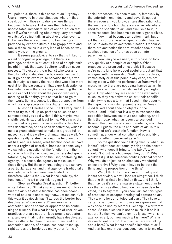you point out, there is this sense of an 'urgency'. Users intervene in those situations where—they speak out  $\frac{1}{2}$  in those situations where things become intolerable. But where the intolerable necessitates immediate kind of action: action that, even if we're not talking about very, very dramatic events. We're just talking about everyday events. But where there is no time to follow the logic provided by expert culture but to grapple with and tackle those issues in a very kind of hands-on way, tactile way, on the ground.

It seems paradoxical to say that is linked to a kind of cognitive privilege, but there is a privilege, or there is at least a kind of an epistemic insight in that, that expert culture itself can never possess. The expert, the urbanist who works for the city hall and decides the bus route number 481 must go on this exact route because that's, after much study, is exactly the route that would be more useful for the passengers. That expert, despite her best intentions—there is always something that he or she cannot know about the person who every morning at five thirty, gets on that bus to go to their work. So, in a sense, it's that perspective from which usership speaks in its subaltern voice.

Question Charles Esche: Thanks very much. I want to try to pick up or, perhaps pause on one sentence that you said which, I think, maybe was slightly quickly said, at least to me. Which was that you said at one point that art's aesthetic function was deactivated, or has been deactivated, which is quite a grand statement to make in a group full of museums, and it's well-worth imagining as well. My question really relates this idea: the function that art has, and in a sense, what function does art have under a regime of usership, because in some ways we switch the question of the function from the work, which is then enjoyed, in disinterested spectatorship, by the viewer, to the user, containing the agency, in a sense, the agency to make use of these things. But these things, being art, also have a particular agency, and that agency is traditionally aesthetic, which has been deactivated. So therefore, what is the... what is the usability, the function, of the art under this regime?

Stephen Wright: Great question! I'll better write it down so I'll make sure to answer it... To say that the art's aesthetic function has been deactivated of course is not to say that... Let me qualify it this way: it obviously hasn't across the border been deactivated –"loin s'en faut" you know—its aesthetic function seems or appears to be continuing to triumph. But what is the type of user-driven practices that are not premised around spectatorship and event, almost inherently have deactivated their aesthetic function, it seems to me, and that aesthetic function, of course, has been taken up, right across the border, by many other forms of

social processes. It's been taken up, famously by the entertainment industry and advertising, but there's even an, you know, an anesthetization of... the aesthetic function place a massive role where used to be specific to art, and exclusive to it, in some respects, has become extremely generalized.

Now, that becomes an option in art, but an art that is not premised on spectatorship, has no cause to activate its aesthetic function. Of course, there are aesthetics that are attached too, but the aesthetic function of art has been put into parenthesis.

Now, maybe we need, in this case, to look very quickly at a couple of examples. What practices are premised on usership? Because we're not talking here about useful art, but art that engages with the usership. Well, those practices, immediately or at this point in any case, are not taking place within the performative framework of museums, so there are not being framed as art. In fact their coefficient of artistic visibility is negligible. Only when they are re-territorialized into a museum, they are activated as art, their specific visibility—to use a term that I used in the paper  $-$ . their specific visibility... parenthetically: Donald Judd talked about specific objects in the 1960s—and I think that is a way to transcend the opposition between sculpture and painting, and I think that today what has been transcended through the question of specific visibility, which has become, I guess, the nuts and bolts of art, is this question of art's aesthetic function. How is something, under what conditions of possibility of use is something perceived as art?

So the question your asking then is: what use is that?, what does art actually bring to the conversation?, what does it bring to the table?, why shouldn't it just be a house-painting outfit? Why wouldn't it just be someone holding political office? Why wouldn't it just be an absolutely wonderful online archive? Why does it have to be both the thing and the proposition of the thing?

Well, I think that the answer to that question is that otherwise, we will lose art altogether. I think that one thing that's implied by this... and I think that may be it's a more massive statement than to say that art's aesthetic function has been deactivated, it's to say that... you know, art has this types of practices of escaped ontological capture as art. They are no longer ontologically art. They have a certain coefficient of art, to use an expression that was once coined by Marcel Duchamp, in a different sense. So the question is not so much is it or is it not art. So then we can't even really say, what is its agency as art, but how much art is there? What is its coefficient of art? How much art are we talking about here? What is that specific injection of art? And that has enormous consequences in terms of...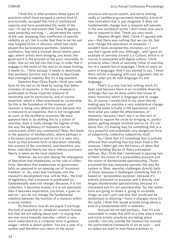I think this is what protects these types of practices which have escaped a certain kind of, provisionally, escaped that kind of institutional capture, and have penetrated the realm of the real—to use an expression that Tania Bruguera used yesterday morning –... penetrated the realm of the real, dropping their coefficient of specific visibility as art, but in order that they're not be just new fangled forms of altruism, which has really played this participatory aesthetic, relational aesthetics, that had a triumph about twenty years ago, where artists were bringing, you know, the good word to the poorest of the poor, invariably. In order, that art not fall into that trap, in order that it engage in the realm of the real on an equal footing, it needs to... I think escape, it needs to deactivate that aesthetic function and it needs to deactivate that ontological stability. But it's a big question.

Question Kian Chow Kwok: I think you really have hit the nail on its head by saying that defensiveness of museums, in the way a museum is predicated on these tripartite relations of ownership and its particularity, and of course expertise, which is often expressed as curatorship. So this is the foundation of the museum, and museum is being very defensive now because this is reduced to an expertise, that is not recognized as such, in the neoliberal economy. My main question here is: by shifting this to a notion of usership, does it really change the regime of the, the way the legitimacy of museums can be constructed, within any community? Now, this leads to the question of neoliberalism, where perhaps in a European perspective and so on it is seen very much as that extreme form of liberalism. whereby this erosion of the community, and therefore, you know, individual liberty but more intense economic liberty is taken as the most important.

However, we are also seeing the emergence of liberalism that emphasizes on the role of collectivity, liberalism that emphasizes on governmentality as opposed to an opening out of 'economic freedom' or. So, what that translates into the museum's development now, will be that... the kind of legitimacy that a museum is predicated on, fundamentally does not change. Because, if is not collection, it becomes events; if it is not spectacle then it becomes experience, you know, it goes on and on—you do not change the fundamental relations between the function of a museum within a social context.

So therefore, how do we argue if we forgo the kind of expertise or, whatever museum foundation that we are talking about and—in saying that we now move towards usership—which is very much understood as a computer term in general usage—which is about system. You are a user of a system and therefore you return to the social

structure and social system, and we're looking really at neoliberal government mentality, a kind of new centralism that is just imagined. It does not fundamentally change how a museum will operate in the new neoliberal world. I don't know how you'd like to respond to that. Thank you very much.

Stephen Wright: Well, I think if I agreed with you—that there was nothing that we can do, that ever change the operations of museums—I wouldn't have accepted this invitation, so I can't say that I agree with you. Although... and I gave an example of usership around 2.0 Culture, which is of course is associated with digital culture. I think primarily when I think of usership I think of usership not of a system but of language. I think of users as users of language. And if you wanted to say, I mean there will be in keeping with your argument, that no matter what you do with language it's still language.

That's in a way true but nothing much it's been said because there is an incredible diversity of things that can be done within that house of many mansions which is language and its usage. So, of course, I would stick to my claim that by making way for usership a very substantive change would be make actually in the operations, and I think what you called the effectiveness, of museums, because I don't see it as that sort of attempt to square the circle by bringing in, participation, getting people involved and so on. It's not about that, it's making way for something that is a very powerful and potentially very dangerous form of subjectivity, collective subjectivity itself.

So, I think that it's something that is entirely different than anything that has been tried in the museum. I didn't get into the history of ideas that are the building blocks of these conceptual edifices. But I think that I mentioned in passing two of them: the notion of a purposeless purpose and the notion of disinterested spectatorship. Those premised the way museums operate, the way the system is. Now, usership challenges directly both of those, because it challenges something that it's based on 'purposeless purpose', because it's entirely premised on purpose, and it directly challenges disinterested spectatorship, because it's interested and it's not spectatorship. So, the institutions are going to shake it, going to scramble things up and I can't see how that would just be tantamount to allowing—more it changes more it's the same. I think that would actually bring about a kind of a fundamental shift in relations.

And just let me add perhaps... that it's only reasonable to make that shift at a time where more and more artistic practices are taking place outside—not only outside the museum but outside the performative framework of art as such –, and so unless we want to lose those practices to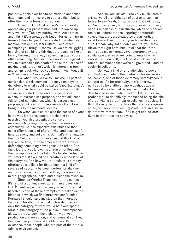posterity, some ever has to be made to accommodate them, and not merely to capture them but to offer them some form of attraction.

Question Luiz Guilherme Vergara: I really appreciate your presentation and it followed-up very well with Tania yesterday, with 'Aest-ethics', and I think it's a great contribution for us to think in terms of this change. I'm interested in—when you mention that culture, 2.0 Culture—and other examples you bring. It seems like we are struggling in a kind of still binary thinking. 2.0 could be like a binary thinking. It's always something against the other something. And so... the usership is a great way to synthesize the death of the author, or the of making a 'plura-author', which is interesting too, and brings back what do you brought with Foucault in "Freedom and Sovereignty".

So, what I would like to—maybe it's part of our tension of this moment—to move on beyond dichotomy to what could be called 'tripartite ethics'. And the tripartite ethics could be an offer for, still, we are interested in the kind of experiences, events, of purposeless purpose, and we still need this kind of combination, which is purposeless purpose, you know, is in the everyday life... How to bring this to the moments, events...

So when you also criticize the sense of event in the way it creates spectatorship and not usership. you also brought the sense of meaning—language inside, within the users and community. So, the tripartite, this ethics or that could offer a sense of of creativity, and a sense of, heterogeneity and solidarity. So, that's what may be the 3.0 Culture. How to move beyond this kind of trap all the time, into the timer we "are", always defending something new against the other. And the tripartite, you know, it's a little bit of Foucault in the micropolitics, a little bit of Michel de Certeau as you referred, it's a kind of a creativity in the land of the everyday. And how we—our culture is already offering possibilities for that being in a kind of a reverse of causality between de-territorialization and re-territorialization all the time, micro-events or micro-geographies, inside and outside the museum.

Stephen Wright: Thank you for the comment. It's kind of a continuation rather than a question. But, I'm entirely with you when you recognize that usership is one of those attempts to breakdown the binaries in which we find ourselves confounded. Perhaps I should have insisted on that more, but thank you for doing it, is that... Usership names not only the category of what would be place spectatorship: the category of the public. It encompasses also... it breaks down the dichotomy between production and reception, and it names, if you like, the community of the stakeholders in art's existence, those people who are part of the art-sustaining environment.

And so, yes, artists... are very much users of art, as we all are, although of course to say that today, to say "yeah, I'm an art user", it's ok to say you're not art-lover, but to say you're not art user, of course smacks of philistinism, which only serves really to underscore the lingering aristocratic values that are perpetuated by the art critical establishment. As for the... your tripartite ethics... sure, I mean, why not? I don't want to, you know, riff on that right here, but I think that the three points you make—creativity, heterogeneity and solidarity—are really key components of what usership is. Foucault, in a kind of an offhanded remark, mentioned that we're all governed—and as such—in solidarity.

So, was a kind of a relationship to power, and that was made in the context of his discussion of usership, one of those extremely heterogeneous categories. As for creativity, that's a term... perhaps I'd be a little bit more cautious about, because it may be that, when I said that art is deactivated as aesthetic function, I think it's also, probably quite definitively, renounced being the site of creativity, a sort of 'par excellence' in society. I think these types of practices that are usership-oriented, or usership-driven—3.0 art—are, in a sense, de-creative rather than... So I might add de-creativity to that tripartite analysis.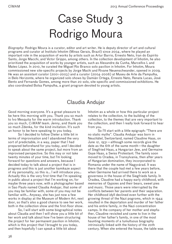# Case Study 3 Rodrigo Moura

*Biography:* Rodrigo Moura is a curator, editor and art writer. He is deputy director of art and cultural programs and curator at Instituto Inhotim (Minas Gerais, Brazil) since 2004, where he played an important role in the acquisition of works by artists such as Artur Barrio, Ernesto Neto, Iran do Espírito Santo, Jorge Macchi, and Victor Grippo, among others. In the collection development of Inhotim, he also prioritized the acquisition of works by younger artists, such as Alexandre da Cunha, Marcellvs L and Mateo López. In 2010, he curated the Miguel Rio Branco solo pavilion in Inhotim. For Inhotim, Moura commissioned new site-specific projects by Jorge Machi and Rivane Neuenschwander, opened in 2009. He was an assistant curator (2001-2003) and a curator (2004-2006) at Museu de Arte da Pampulha, in Belo Horizonte, where he organized solo shows by Damián Ortega, Ernesto Neto, Renata Lucas, José Bento and Fernanda Gomes, among more than 20 solo, site-specific and commissioned exhibitions. He also coordinated Bolsa Pampulha, a grant program devoted to young artists.

## Claudia Andujar

Good morning everyone. It's a great pleasure to be here this morning with you. Thank you so much to Ivo Mesquita for the warm introduction. Thank you so much, *CiMAM* team. Jenny, and thank you so much Zdenka, for the kind invitation. It's such an honor to be here speaking to you today.

So I decided to follow Dieter a little bit in terms of improvisation and I abandoned the very sort of predictable, in a way, paper that I had prepared beforehand for you today, and I decided to speak about the same project, but more from an improvised perspective. So this may or not take twenty minutes of your time, but I'm looking forward for questions and answers, because I decided today to talk about a project that is in progress and this is just another kamikaze aspect of my personality, so this is… I will introduce you… Actually this is the very first time that I'm speaking in public about a project that I'm working on, for maybe three years now, with a photographer based in Sao Paulo named Claudia Andujar, that some of you may be familiar with, some of you may not be familiar with… Anyway, she has just now a few works in display at the Museum of Modern Art, next door, so that's also a good chance to see her work, both in the collection show and the first-floor show.

So, I will start with some biographical notes about Claudia and then I will show you a little bit of her work and talk about how I've been structuring the project for her permanent pavilion in Inhotim, which is this project that I brought to you today, and then hopefully I can speak a little bit about

Inhotim as a whole or how this particular project relates to the collection, to the building of the collection, to the themes that are very important to the collection, and then I really look forward to hear from you.

So I'll start with a little epigraph: "There are no static myths". Claudia Andujar was born in Neuchâtel, Switzerland, named Claudine Haas, on June 12, 1931—although some records give the date as the 6th of the same month—the daughter of Siegfried Haas, a Hungarian Jew, and Germaine Guye Haas, a Swiss Protestant. The family soon moved to Oradea, in Transylvania, then after years of Hungarian domination, they incorporated to Romania under the name of Nagyvárad. It was there that the couple had met a few years before, when Germaine had arrived there to work as a governess in the house of the Siegfrieds family. In Oradea, Claudine had a happy early childhood, with memories of Gypsies and their bears, sweet pies and music. Those years were interrupted by the conflicts between her parents and their separation. Her childhood idyll declined even further with the growing threat of the Nazi pogroms, which in 1944 resulted in the deportation and murder of her father and his entire family, in the Nazi concentration camps. In the company of her mother and stepfather, Claudine revisited and came to live in the house of her father's family, in one of the most haunting moments of a tumultuous biography intrinsically linked with the history of the 20th century. When she entered the house, the table was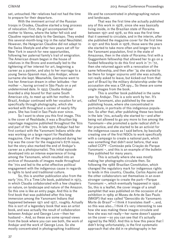set, untouched. Her relatives had not had the time to prepare for their departure.

With the imminent arrival of the Russian troops in Oradea, Claudine started a long process of relocation. First, the girl accompanied her mother to Vienna, where the latter fell sick and Claudine reported daily to the Gestapo. They ended this several-month-long trip in the natal Neuchâtel. However, the Hungarian Claudine did not adapt to the Swiss lifestyle and after two years set off for New York in search for new opportunities, following her paternal family's trail of emigration. The American dream began in the house of relatives in the Bronx and eventually led to the tightening of her interest for art, beginning a career as a painter, and also to her marriage to a young Swiss-Spanish man, Julio Andújar, whose surname she kept. Meanwhile, Germaine went to live her American dream in other latitudes –her mother –, having arrived in São Paulo on a yet undetermined date. In 1955 Claudia Andujar boarded a ship bound for that same South American city, to meet up with her mother. In Brazil, Andujar continued with her vocation for art, specifically through photography, which she worked with throughout a career of nearly fifty years. She has lived in Sao Paulo ever since.

So I want to show you this first image. This is the cover of Realidade, it was a Brazilian big reportage magazine published throughout the '60s and part of the '70s. In late 1970 Andujar had her first contact with the Yanomami Indians while she was working on a large report for Realidade magazine. One of the images produced during her trip was the cover for the magazine's 67th issue, but the story also marked the end of Andujar's career as a photojournalist. This initial episode developed into an intense experience of living among the Yanomami, which resulted into an archive of thousands of images made throughout the '70s and led to the artist effective political engagement with the indigenous cause in regards to rights to land and traditional culture.

So, this is another publication also from the early '70s. It's a Time Life book, published in 1973, in which Claudia collaborated with a few chapters on nature, on landscape and nature of the Amazon. So this one is like an entry page. And this is the first book that was published after this long immersion among the Yanomami Indians that happened between 1971 and 1977, roughly. Actually this is sort of a legendary book that was an artist book, and was actually the result of collaboration between Andujar and George Love—then her husband –. And, so these are some spread views from the book where you can see both, the work of Andujar and the work of George Love. So she mostly concentrated in photographing traditional

That was the first time she actually published any of this work in 1978, since she was basically living inside, in the Brazilian state of Roraima between 1971 and 1978, so this was the first time that it seemed to circulate, and in the interim, after she published the magazine cover for the first time in 1971 and this book in 1978, those were the years she started to take more often and longer trips to the Yanomami population, first in the state of Amazonas, then in the state of Roraima; first with a Guggenheim fellowship that allowed her to go on a funded fellowship to do this first work in '71-'72, then she returned again with a renovation of the same fellowship, and then after '74 she started to be there for longer sojourns until she was actually, not really asked to leave, but kicked-out from that part of Brazil by the military dictatorship under the accusation she was a CIA spy… So these are some single images from the book.

This is another book published in the same year by Andujar. This is a solo work by her. It's called Yanomami, also published by the same publishing house, where she concentrated in portraiture, in portraits of this indigenous population. So after that, after publishing these two books in the late '70s, actually she started to—and after being not allowed to go any more to live among the Yanomami—she promoted a quite radical shift in her practice, and she started to be an activist for the indigenous cause as I said before, by basically creating one of the first NGOs to work specifically with a campaign to create a national park, which was something that didn't exist before, that was called CCPY –Comissão pela Criação do Parque Yanomami –, and this is an example of the bulletin they published for many years.

This is actually where she was mostly making her photographs circulate then. So following the 1988 Brazilian Constitution, which changed the regulatory mark for indigenous rights to lands in this country, Claudia, Carlos Aquino and the other collaborators set themselves in an even stronger campaign to create the park-Parque Yanomami –, which eventually happened in 1992. So, this is a leaflet, the cover image of a small pamphlet that was published on the occasion of an exhibition in 1989 at Museu de Arte de Sao Paulo (MASP) that was called "Genocídio do Yanomami: Morte do Brasil" $-$ I think it translates itself  $-$ , and, so this was also… I think it's very interesting to see how she was making these images circulate and how she was not really—her name doesn't appear on the cover—so you can see that it's actually signed by the NGO. And this is how this piece that I didn't bring unfortunately, is the first systematic approach that she did in re-photography in her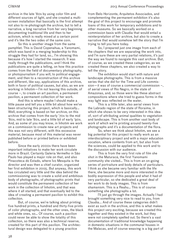archive in the late '80s by using color film and different sources of light, and she created a multiscreen installation that basically is the first attempt not also to re-photograph the archive, but to tell a narrative, a long narrative from her very beginning documenting traditional life and then to her activism, which is really mixed at a certain point and it's like the two sides of the same coin.

So this is another image from the same pamphlet. This is David Copenahua, a Yanomami, which was band in a merging leadership to this struggle they had for land, so… I'm showing this because it's how I started the research. It was really through the publications, and I think the publications are quite a telling, on how this practice comes from the field of documentary photography, or photojournalism if you will, to political engagement, and then to a reconstruction of this archive and different, like say, applications of this archive, both in favor of political causes, but also, as we are working in Inhotim—I'm not leaving this outside, of course –, to create an art pavilion, a permanent pavilion, a permanent collection of her work.

And this is where maybe I should make a little pause and tell you a little bit about how we've been structuring this project, which is basically… Well, everything is based on her archive, on this archive that comes from the early '70s to the mid '80s, mid to late '80s, and a little bit of early '90s. And, as some of you may know, in Inhotim we work on a commission to create new art projects and this was not very different, with this excessive material, because most of this material was never published before or printed before or exhibited before.

Since the early 2000s there have been important initiatives to make her work circulate more in Brazil. Certainly Galeria Vermelho in São Paulo has played a major role on that, and also Pinacoteca do Estado, where Ivo Mesquita is the director and was then a chief curator, organized her first exhibition in 2005. But anyway, this work has circulated very little and the idea behind the commissioning was to create a solid and ambitious body of photographs, of photographic prints that would constitute the permanent collection of her work in the collection of Inhotim, and that was where it all started, and that eventually led to the idea of creating a permanent pavilion to exhibit this collection.

But, of course, we're talking about printing five hundred prints, a hundred and thirty-five prints of color photographs, and the other ones, the black and white ones, so… Of course, such a pavilion could never be able to show the totality of this collection, so there was also a technical reserve, created for this part of this pavilion. The architectural design was delegated to a young practice

from Belo Horizonte, Arquitetos Associados, and complementing the permanent exhibition it's also the goal of this project to encourage and promote loans of this work for temporary exhibitions and to other museums. So we basically worked on a commission basis with Claudia that would entail a reinterpretation of her archive, but also to create a narrative that would somehow tell the story that I'm trying to tell you here today.

So, I prepared just one image from each of the chapters that we are separating the work into, and I'm sure these are very partial relations, it's just the way we found to navigate this vast archive. But, of course, as we created these categories, as we created these chapters, we also created a way to tell the story.

The exhibition would start with nature and landscape photographs. This is from a massive series that she did for the Time and Life commission—it was of course a commercial commission –, of aerial views of Rio Negro, in the state of Amazonas, and, so those were like these abstract compositions where she tried to guess forms in the way light was reflected on the water.

This is a little later, also aerial views from the Labrado region of the state of Roraima, in which she shows to be very interested in this idea of, sort of attributing animal qualities to vegetation and landscape. This is from another vast body of work of which we're printing around twenty-five photographs and it's a documentation of the flora.

So, when we think about Inhotim, we see a big potential for this project to really work as an interdisciplinary project and with a major education vocation, where contents from art, but also from the sciences, could be applied to this work and to the discussion with our audience.

This is from the very first role of film she shot in the Maturacá, the first Yanomami community she visited… This is from an on-going series of portraiture and body details of particulars. I think as she became very familiar with the life there, she became more and more interested in the bodily expression of this people and what it had of very particular, so she dedicated a great deal of her work to do body images. This is from shamanism. This is a Reahu… This is of course something she photographs a lot.

I'll just go through the images. Actually I had brought something very nice to read to you, from Claudia... And of course these categories didn't exist as such in the archive, and this is what makes this project very exciting, because we created this together and they existed in the work, but they were not completely spelled out. So there's a vast documentation of traditional knowledge happening in domestic situations in the communal houses in the Malacas, and of course weaving is a big part of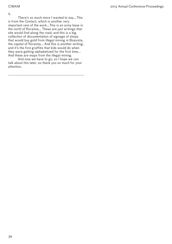it.

There's so much more I wanted to say... This is from the Contact, which is another very important vein of the work...This is an army base in the north of Roraima... These are just writings that she would find along the road, and this is a big collection of documentation of signage of shops that would buy gold from illegal mining in Boavista, the capital of Roraima... And this is another writing, and it's the first graffitis that kids would do when they were getting alphabetized for the first time... And these are maps from the illegal mining.

And now we have to go, so I hope we can talk about this later, so thank you so much for your attention.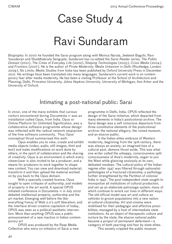## Case Study 4

## Ravi Sundaram

*Biography:* In 2000 he founded the Sarai program along with Monica Narula, Jeebesh Bagchi, Ravi Vasudevan and Shuddhabrata Sengupta. Sundaram has co-edited the *Sarai Reader series, The Public Domain* (2001), *The Cities of Everyday Life* (2002), *Shaping Technologies* (2003), *Crisis Media* (2004), and *Frontiers* (2007). He is the author of *Pirate Modernity: Media Urbanism in Delhi* (Routledge, London 2009). *No Limits: Media Studies from India* has been published by Oxford University Press in December 2012. His writings have been translated into many languages. Sundaram's current work is on contemporary fear after media modernity. He has been a visiting Professor at the School of Architecture and Planning, Delhi, Princeton University, Johns Hopkins University, University of Michigan, Ann Arbor and the University of Oxford.

## Intimating a post-national public: Sarai

In 2002, one of the many exhibits that curious visitors encountered during Documenta 11 was an installation called Opus, from India. Opus or Online Platform for Unlimited Signification, was a collaborative software programme whose design was inflected with the radical network utopianism of the free software community. Thus Opus' conceptual thrust summarised this well:

Opus enables you to view, create and exhibit media objects (video, audio, still images, html and text) and make modifications on work done by others, in the spirit of collaboration and the sharing of creativity. Opus is an environment in which every viewer/user is also invited to be a producer, and a means for producers to work together to shape new content. You can view and download material, transform it and then upload the material worked on by you back to the Opus domain.

With a specially created licence, Opus sought to open critiques of authorship, and models of property in the art world. A special OPUS initiated conference in Documenta 11 in July 2002 debated intellectual property, authorship and the art market. Emerging well before the likeeverything frenzy of Web 2.0's soft liberalism, and the interface driven creative capitalism of today, OPUS was seen as a political-aesthetic intervention. More than anything OPUS was a public announcement of a new inactive in Indian contemporary art

OPUS was produced by the Raqs Media Collective who were co-initiators of Sarai a new

programme in Delhi, India. OPUS reflected the design of the Sarai initiative, which departed from many elements in India's postcolonial archive. The Sarai design was a self conscious departure from three constitutive elements of the postcolonial archive: the national allegory, the ruined museum, and an elusive public.

In the Indian elites embrace of Western modernity, beginning from the 19th century, there was always an anxiety, an imagined loss of a cultural past, demons thrust aside. This was what one writer called the unhappy, consciousness split consciousness of Asia's modernity, eager to join the West while glancing anxiously at its own, defeated residues. The cultural policy of the Indian regime after 1947 was filtered through nationalist pathologies of a fractured citizenship, a pathology further strengthened by the Partition of colonial India in 1947. The post-independent state sought to monopolize all institutions of cultural production, and set up an elaborate patronage system, many of which continue to wreck our lives in different ways. The old official model saw art and culture as vehicles to groom populations into a new national-cultural citizenship. Art and cinema were mobilised for their pedagogic and affective possibilities, managed by a host of intermediate state institutions. As an object of therapeutic culture and nurture by the state, the elusive national public became a project of permanent deferment—a category of both yearning and fear by state elites.

This anxiety crippled the public museum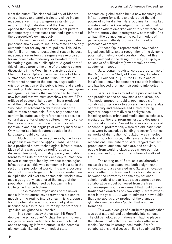from the outset. The National Gallery of Modern Art's unhappy and patchy trajectory since Indian independence in 1947, allegorises its still-born nature. Until globalisation and the Asian boom opened the floodgates after 2000, most private contemporary art museums remained signatures of the bourgeoisie's own modesty.

The main implication of all these post independence moves was to set up the state as the only authentic filter for any cultural politics. This led to the familiar critique of postcolonial reason by post independence writers: the regime was exorcised for an incomplete modernity, or berated for not intimating a genuine public sphere. A good part of this climaxed around the time of the public sphere discussions in the West. In his classic book the Phantom Public Sphere the writer Bruce Robbins summarises the mood at that time:, "the list of writers that announce the decline, degradation, crisis or extinction of the public is long and steadily expanding. Publicness, we are told again and again and again, is a quality that we once had but have now lost and that we must somehow retrieve." The critique of postcolonial reason in India produced what the philosopher Wendy Brown calls a "wounded attachment." A dramatisation of the failure of the postcolonial State, only seemed to confirm its status as only reference as a possible cultural guarantor of public culture. In every sense this was a police order of culture, with careful location, place and language of alterity marked out. Only authorised interlocutors counted in the language of public culture.

Much of this was swept away by the forces of globalisation from the 1990s. Globalisation in India produced a new technological infrastructure. Much of this was based on proliferation and dispersal, low-cost, informality, piracy and indifferent to the rule of property and capital. Vast new networks emerged lined by low cost technological infrastructures—this was common in India as in the rest of the postcolonial world. This was a post-medial world, where large populations generated new multiplicities. All over the postcolonial world a new media geography has altered the image of the population, first theorised by Foucault in his College de France lectures.

 These massive expansions of the newer media infrastructures have thrown the old control models of the regime into disarray: this is a population of potential media producers, not just an uneducated mass to be nurtured by the state for a 'genuine' enlightened citizenship.

In a recent essay the curator Irit Rogoff deploys the philosopher' Michael Feher's notion of non governmental action to artists and political action occupying infrastructures. In the postcolonial contexts like India with modest state

economies, globalisation built a new technological infrastructure for artists and disrupted the old power of cultural elites. Here Documenta 11 marked a watershed in acknowledging this transition, all the Indian artists emerged out of this new technical infrastructure: video, photography, new media. And all had little connection to the earlier models of patronage and alterity produced by the older postcolonial archive.

Of these Opus represented a new technological sensibility, and a recognition of the dynamic potential or network collaboration. Much of this was developed in the design of Sarai, set up by a collective of 3 filmakers(now artists), and two academics in 2000.

Sarai began its existence as a programme of the Centre for the Study of Developing Societies (CSDS). Founded in 1964, the CSDS is one of India's best-known independent research institutes, and has housed prominent dissenting intellectual voices.

Sarai's aim was to set up a public research and practice space on new media and urban life. The model argued for public, open models of collaboration as a way to address the new agendas of creativity and research and aimed to bring together people from diverse backgrounds, including artists, urban and media studies scholars, media practitioners, programmers and designers, and social activists. Present here was a strategy of conceptual proliferation, where the old institutional sites were bypassed, by building research/practice networks of distribution. Circulation was inflected with a production force, with new attachments and rescensions. The 'public' of Sarai ranged from art practitioners, students, scholars, and activists, people from working class areas where our labs are active, and ordinary citizens from all walks of life.

The setting up of Sarai as a collaborative research practice space was both a significant innovation and a calculated risk. Sarai's innovation was its attempt to transcend the classic divisions between the university and the city, between scholar, activist and artist, as also suggest an open collaborative model borrowed from the free software/open source movement that could disrupt traditional hierarchies of knowledge. Sarai's experiment in the year 2000 was to intimate a new public that emerged as a by-product of the changes globalisation period—a 'public' that is still in formation.

This was a design of distributed practice,that was post national, and comfortably international. The old pathologies of nationalism had no place in the international collaborative models after new media. Despite its strong local model Sarai's collaborations and discussion lists had almost fifty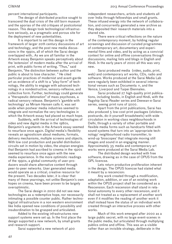percent international participants.

The design of distributed practice sought to transcend the dual crisis of the still born museum and the aporias of the old critiques of postcolonial reason. This design took technological infrastructure seriously, as a pragmatic and porous site for the deployment of new potentialities.

It is important to set this design in the framework of larger 20th century discussions of art and technology, and the post new media discussions in the 1990s, all of which the Sarai design overlapped with.. As we are all familiar in the Artwork essay Benjamin speaks perceptively about the 'extension' of modern media after the arrival of print, with public forms of writing. "Thus," said Benjamin, "the distinction between author and the public is about to lose character. " He cited particular practices of modernist and avant-garde art as evidence of a shift to a "play-form" of technology, the ability to engage with advanced technology in a nondestructive, sensory-reflexive, and collective form. Further, technology could generate a "therapeutic detonation" of mass psychoses, a radical sensory release. Benjamin's 'gamble with technology' as Miriam Hansen calls it, was set aside when postwar media industries seemed to integrate and normalize the very technologies in which the Artwork essay had placed so much hope.

Suddenly, with the arrival of technologies of video and new digital media in the 1980s, Benjamin's arguments in the Artwork essay seemed to resurface once again. Digital media's flexibility reveals an agnosticism about mediums, formats, delivery mechanisms, multiple screens and objects. With low cost production and parallel distribution circuits set in motion by video, the utopian energies that Benjamin had ascribed to cinema in the 1920s seemed to resurface once again with the new media experience. In the more optimistic readings of the 1990s, a global community of user-producers would share alternative content through peer-to-peer networks. User generated media would operate as a critical, creative resource for the present. Two decades later, it is clear that many of these yearnings, not unlike Benjamin's own hopes on cinema, have been proven to be largely overoptimistic.

The Sarai design in 2000 did not see new technologies as a redemptive hope, nor necessarily intimating a possible counter public. Rather technological infrastructure in a non western environment like India opened new conditions of possibility and insubordination to be grasped and articulated.

Added to the existing infrastructures new support systems were set up. In the first place the design supported a new network, by small grants and research support.

Sarai supported a new network of 400

independent researchers, artists and students all over India through fellowships and small grants. These infused energy into the network of collaboration, and concurrently generated a new archive as they deposited their research materials into a shared site.

There were critical reflections on the nature of the contemporary moment, by holding regular screenings and discussion of curated programmes of contemporary art, documentary and experimental films and video, and by acting as a convivial context for online and offline conversations through discussions, mailing lists and blogs in English and Hindi. In the early years of 2000 all this was very new.

Sarai produced media (video, audio, print, web) and contemporary art works, CDs, radio and software. Works produced at the Sarai Media Lab were regularly been exhibited in several international venues such as Documenta 11, and the Venice, Liverpool and Taipei Biennales.

Sarai produced 27 high-quality print publications, including books, in English and Hindi, with the flagship Sarai Reader series and Deewan-e-Sarai series, seeing print runs of 5000.

Apart from the print publications, Sarai has also produced 5 low-cost print packages (stickers, postcards, do-it-yourself broadsheets) with wide circulation in working-class neighbourhoods in Delhi, through a variety of other portable and flexible media forms such as handcarts fitted with sound systems that turn into an 'appropriate technology' neighbourhood radio transmitter, to wind-up 'bioscopes' that integrate moving still images and sound in an engaging manner. Approximately 35 media and contemporary art works were produced at the Sarai Media Lab.

The distributed design worked with free software, drawing as in the case of OPUS from the GPL licencse.

Lets return productive proliferation inherent in the design. The OPUS licencse had stated what it meant by a rescencion:

Any work created through a modification, adaptation, addition, or use of an existing work within the OPUS project shall be considered as a Rescension. Each rescension shall stand in relational autonomy to every other rescension, and it shall not treated as a replacement of another work even if it modifies the reading of another work it shall instead have the status of an individual work created through an interactive process with other works.

Much of this work emerged after 2000 as a large public secret, with no large event-scenes in the public media, but articulated through multiplying publics online and offline. This was an a-visible rather than an invisible strategy, deliberate in the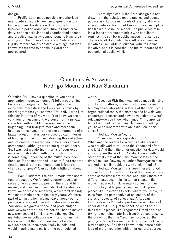### design.

Proliferation made possible unauthorised interlocuters, signally new languages of disturbance and insubordination. This disjunction between a police order of culture, against creativity, and the articulation of unauthorised speech and practice may draw comparisons to Ranciere's writings. In fact it was Ranciere's Proletarian Nights, rather than his aesthetic writings that was known at that time to people in Sarai and appreciated.

More significantly the Sarai design did not draw from the debates on the publics and counter publics, nor European models of alterity, it was a specific intervention to address and seed multiplicities from a distributed model. The public realm in India faces a permanent crisis with neo liberal regimes, the still born public museum remains so. The model of distribution has influenced new art initiatives like CAMP in Mumbai, with its PAdma initiative, and it is here that the future theatre of the postcolonial public will lie.

## Questions & Answers Rodrigo Moura and Ravi Sundaram

Question RM: I have a question to you about application, I guess... I couldn't follow everything because of language… But I thought it was extremely interesting and I was really struck by that diagram that you showed first and… I was just thinking in terms of my work. You know we are a very young museum and we come from a private collection with a public mission, since the beginning—but trying to more and more think itself as a museum, or one of the components of a bigger project that is very museological, in terms of holding a collection and showing this collection and, of course, research would be a very strong component—although we're not quite still there. So, I was just wondering in terms of your experience in collaborating with other institutions if this is something—because of the multiple connections, as far as understood—also to fund research that it's not directly connected, but it feeds a chain, so to speak? Can you talk a little bit about this?

Ravi Sundaram: I think our model was not to fund production. We funded research, because research was a very big point in the art and filmmaking and creative community. And the idea, you know, we addressed research, we weren't dealing with many institutions in the early years. We were part of an institution. We just gave money out to people who applied interesting ideas and created… You know, we gave a space, and producing an archive was part of this project. You had to make a new archive, and I think that was the key. So, institutions—we collaborate with a lot of institutions now—but the institution was not a site available for us then, specifically in India, and I would imagine many parts of the post-colonial

world.

Question RM: But I was not so much thinking about your platform, funding institutional research, but maybe collaborating in terms of the tools—your organizational tools, the methods and how do you encourage research and how do you identify what's relevant—do you know what I mean? The application of a model, rather than… Is there something you have collaborated with an institution in this sense?

Rodrigo Moura: No, no.

Question: I have a question for Rodrigo: What was the reason for which Claudia Andujar was not allowed to return to the Yanomami after she left? And then, the other question is: How would you compare the work of Claudia Andujar with other artists that at the time, more or less at the time, like Juan Downey or Lothar Baumgarten also worked on similar subjects with similar media?

Rodrigo Moura: That's very interesting. Of course I got to know the works of the three of them at the same time more or less, and I think there are different aspects. I think in Lothar's case—the works I know –, I think he really comes from an anthropological language, and I'm thinking on pieces like Unsettled Objects, where, you know, he talks from the perspective of collection, of the status of objects, of collecting… And, Juan Downey's work I'm not super familiar with but as I understand it… So, just to conclude with Lothar, I think that in pieces like Fragmento Brasil he's also trying to combine materials from three sources, like the drawings that the Yanomami produced, the photographs he took and the details from Eckhart's bird paintings… So I don't know, I think there's this idea of more mediation with other cultural sources.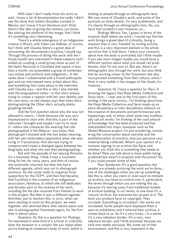With Juan I don't really know his work so well. I know a lot of documentation but sadly I didn't see the show that Julieta González curated in Mexico, but I know it from literature and I think there's this idea of giving the camera, you know, like sharing the platform of the image, that I think it's something very interesting.

There's a whole emergence of an indigenous cinema in Brazil, with Vídeo nas Aldeias, of course, but I think with Claudia there's a great deal of reinventing the documentary practice, I would say. Through the process of doing this work with her I found myself very interested in these subjects and I ended up curating a small group show as part of the Salón Nacional in Colombia that opens in less than a month: we assembled a group of contemporary artists and artifacts and indigenists… In the same show I collaborated with a friend anthropologist and we interviewed many artists about this, and something that came about in the interview with Claudia was—and this is why  $\overline{I}$  also started with the biographical notes—is that she's always trying to create a rapport with her own identity and her own story, so she always says that when she's photographing the Other she's actually photographing herself.

And the first question about why she was not allowed to return… I think because she was very traumatized to start with. And this is part of the interview I brought and maybe I can try to read it—where she compares the weaving that she photographed in the Malaca—you know, that photograph I showed with the two ladies weaving, with her own embroidery apprentice when she was living in Transylvania. And she was trying to compare and create a dialogue again between her biography and what she was then photographing.

But with the episode of her leaving Roraima it's a traumatic thing. I think it was a traumatic thing for her for many years, and then of course she eventually returned, but then she had a different agenda, which was not to photograph anymore. So she came really to organize local supporters for the CCPY, and then that became, that fructified in the creation of an indigenous association, Hutukara, to which she still dedicates and donates part of the revenue of her work, including the fee she received from Inhotim to work in this project. But then it was a different agenda. And then, just to mention this, in 2010, when we were starting to work on this project, we went together, she returned there after eleven years and she re-photographed Yanomami again, for the first time in eleven years.

Question: Hi, this is a question for Rodrigo. I'm interested in what kind of a critical or criticality does the museum or a curator like you adopt when you're looking at someone's body of work, which is looking at people through an ethnographic lens. We saw some of Claudia's work, and some of the portraits on body details, it's very problematic, and it's clearly through an ethnographic lens. So, you have that curated in your museum, so…

Rodrigo Moura: Yes, I guess in terms of the museum itself where we work… I would say that her work brings a great deal of criticality, being a museum that is very 'trended' by mining activity, and this is a very important element in the whole narrative that is told there. I share your concerns about how the body is portraited, but I think maybe if you see more images maybe you would have a different opinion about what you would call problematic, that I'm not sure of. But yes, there's an ethnographic lens through her work, but also think that by working closer to the Yanomami she also incorporated something from their culture, which I think is very visible in the images of the rituals, for instance.

Question: Hi, I have a question for Ravi. In knowing the legacy that Raqs Media Collective and Sarai have … I was one of the first users of this writing in the early 2000s… I'm thinking about how the Raqs Media Collective and Sarai made up an extra-disciplinary or inter-disciplinary network on the creation of documents and performances and happenings and, at times, what some may traditionally call art works. I'm thinking of the vast amount of knowledge that has been produced and has interpolated into major museums such as the Global Museum project. I'm just wondering, considering the conversation about usership and the aestheticization of practice, how you perceive your material being collected. What's your opinion of a museum signing to an archive like Sarai and whether you think this is something that needs to be done? Now you talk about a mass public being produced but wasn't it properly with the press? So, if you could answer some of that.

Ravi Sundaram: It's a good question, but people are already archiving the work we've done… one of the challenges when you set up something like this is: when you claim or even want to intimate an archive, you have no control over it, particularly the terms through which you are setting this up, because it's moving away from traditional models of archive building. In our terms, at one level it's a 'secure' archive, but everyone has access to it. The texts you produce have no copyright. They circulate. Everything is circulated—the works are circulated. Some people have displayed them a spot on exhibitions and it entered their archive, it comes back to us. So it's a very tricky… In a sense it's a very nebulous border. It's a very, very nebulous border, and I think precisely because we took new media seriously. We come out of that environment, and this is very important in the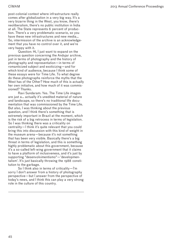post-colonial context where infrastructure really comes after globalization in a very big way. It's a very bizarre thing in the West, you know, there's neoliberalism, there's no public institution in India at all. The State represents 6 percent of production. There's a very problematic scenario, so you have these new infrastructures and new media… So, intermission of the archive is an acknowledgement that you have no control over it, and we're very happy with it.

Question: Hi, I just want to expand on the previous question concerning the Andujar archive, just in terms of photography and the history of photography and representation—in terms of romanticized subject and exoticizing—and for which kind of audience, because I think some of these essays were for Time Life. To what degree do these photographs reinforce the myths that the West has of the Other? How much of this is actually her own initiative, and how much of it was commissioned? Thanks.

Ravi Sundaram: Yes. The Time Life images are just a… actually it's unedited material of nature and landscape, so there's no traditional life documentation that was commissioned by the Time Life. But also, I was thinking about the previous question, and I think there's something that is extremely important in Brazil at the moment, which is the risk of a big retrocess in terms of legislation. So I was thinking there was a criticality on centrality—I think it's quite relevant that you could bring this into discussion with this kind of weight in the museum arena—because it's not something that has been very visible. Basically there's a big threat in terms of legislation, and this is something highly problematic about this government, because it's a so-called left-wing government that it claims to have a platform of inclusiveness, and it's just by supporting "desenvolvimentismo"—'developmentalism'. It's just basically throwing the 1988 constitution to the garbage.

So I think also in terms of criticality—I'm sorry I don't answer from a history of photography perspective—but I answer from the perspective of today's news, and I think this can play a very strong role in the culture of this country.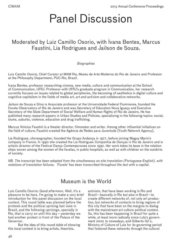## Panel Discussion

## Moderated by Luiz Camillo Osorio, with Ivana Bentes, Marcus Faustini, Lia Rodrigues and Jailson de Souza.

### *Biographies*

Luiz Camillo Osorio, Chief Curator at MAM Rio, Museu de Arte Moderna do Rio de Janeiro and Professor at the Philosophy Department, PUC-Rio, Brazil.

Ivana Bentes, professor researching cinema, new media, culture and communication at the School of Communication, UFRJ. Professor with UFRJ's graduate program in Communication, her research currently focuses on issues related to global peripheries, the becoming of aesthetics in digital culture and cognitive capitalism in the fields of media art, art and activism and collaborative networks.

Jailson de Souza e Silva is Associate professor at the Universidade Federal Fluminense, founded the Favela Observatory of Rio de Janeiro and was Secretary of Education Nova Iguaçu and Executive Secretary of the State Department of Social Welfare and Human Rights of Rio de Janeiro. He has published many research papers in Urban Studies and Policies, specializing in the following topics: social, slums, suburbs, violence, education and drug trafficking.

Marcus Vinicius Faustini is a theater director, filmmaker and writer. Among other influential initiatives on the field of culture, Faustini created the Agência de Redes para Juventude [Youth Network Agency].

Lia Rodrigues, choreographer, founded the Grupo Andança in 1977, before joining Maguy Marin's company in France. In 1990 she created the Lia Rodrigues Companhia de Danças in Rio de Janeiro and is artistic director of the Festival Dança Contemporanea since 1992. Her work takes its base in the relationships woven among the women of the favelas, in public hospitals, as well as with children on the outskirts of society.

*NB. The transcript has been adapted from the simultaneous on-site translation (Portuguese-English), with notations of translation failures. 'Favela' has been transcribed throughout the text with a capital.*

## Museum is the World

Luis Camillo Osorio: Good afternoon. Well, it's a pleasure to be here. I'm going to make a very brief introduction for this panel discussion on the local context. This round table was planned before the protests and the political uprising last June in Brazil, and the following uprisings, specially in Rio, that is carry on until this day—yesterday we had another protest in front of the Palace of the Governor.

But the idea of this round table of showing this local context is to bring artists, theorists,

activists, that have been working in Rio and Brazil—basically in Rio but also in Brazil—to create different networks of, not only art production, but networks of contacts to bring regions of this city that have been on the margins to dialog with the mainstream art culture political context. So, this has been happening in Brazil for quite a while, at least more radically since Lula's government 2002 to nowadays, and Gilberto Gil`s, Ministry of Culture of Lula for its governing period that fostered these networks through the cultural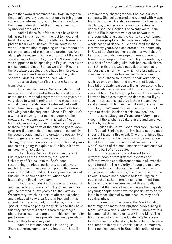points that were disseminated in Brazil in regions that didn't have any access, not only to bring them some more information, but to let them produce their own material, to let them create their own symbolical production.

And all these four friends here have been taking part in this reality in the last ten years, at least. So, apart from that, the title I've chosen is a phrase from Hélio Oiticica, "the museum is the world", and the idea of opening up this art space to a broader space of creation and production. And, although the museum is the world, not all the world speaks fluidly English. So, they didn't know that it was supposed to be speaking in English, there was a misunderstanding... But, as we are in Rio, and there's always a solution, we have to improvise, and my dear friend Jessica who is an English speaker living in Brazil for quite a while...

Jessica Gaughan (Translator): But not a translator...

Luis Camillo Osorio: Not a translator... but an educator that worked with us here and coordinated our educational program for three years, so very close to what is going on in the museum and with all these friends here. So she will help with translation. I'm going to make quick introductions following here the sequence. Marcus Faustini. He's a writer, a playwright, a political actor and he created, some years ago, what is called Youth Network, an agency for youth networks that goes to these marginal parts of the cities to get to know what are the demands of these people, especially the youth people, and try to create the possibility of them to generate their own desire of production. This agency has been very successful the last years and so he's going to explain a little bit, in his five minutes, what he's doing.

Then, Ivana Bentes. She's a film theorist. She teaches at the University, the Federal University of Rio de Janeiro. She's been researching on global periphery, and also very much linked with these cultural points that were created by Gilberto Gil, and is very much aware of this cultural social political situation that is happening in Brazil nowadays.

Then, Jailson de Souza is also a professor at another Federal University in Niterói and sociologist: he created, a few years ago, the Favelas Observatory, which is a sort of alternative school and a place at Favela da Maré in Rio, and in this school they have trained, for instance, more than 500 children with photography skills and they have this very successful school there for photographers, for artists, for people from this community to get to know with these possibilities, new possibilities that they have a way out.

And the last one here is Lia Rodrigues,. She's a choreographer, a very important Brazilian contemporary choreographer. She has her own company. She collaborated and worked with Maguy Marin in France. She also organizes the Panorama da Dança, which is a contemporary festival in dance since the nineties. For twenty years I think, that put Rio in contact with great networks of choreographers around the world, very contemporary choreographers. That was very helpful to the whole scene of dance in Rio and Brazil for these last twenty years. And she created in a community in Rio, at da Maré too, her studio, her workshop for her group, and also developed there a place to bring these people to the possibility of creativity, a new part of producing with their bodies, which are something that is always put aside or seen as a dangerous part of the life, which she brought to a creative part of their lives—their own bodies.

So all these four, they'll speak very briefly, we have only one hour and we want, at least, a little bit of debate. Jailson will start because he has another talk this afternoon, at two o'clock. So we are a bit late... So he's going to start. Unfortunately he won't be able to stay to the debates, but if you have any questions just give it them me and we'll send an e-mail to him and he will kindly answer, I'm sure. So, I don't want to take time anymore and again to thanks Jessica for this new position.

Jessica Gaughan (Translator): Very improvised... If the English speakers in the audience want to flinch, feel free.

Jailson de Souza: Good afternoon. I'm sorry I don't speak English, but I think that is not the most important issue in this event. One of the things that it is really important is the notion of democratization of the arts and the notion of "museum is the world" as one of the most important questions that I think is part of this debate.

This is a very important event to bring different people from different aspects and different worlds and different contexts all over the world together. The majority of people don't have access to English, like Faustini and myself, who come from popular origins, from the context of the Favela. There's not a context to learn English in public schools. So, there is the notion... that translation of course is expensive, but this actually means that that level of money means the majority of young people don't have the possibility to participate in these kinds of events because they don't speak English.

I come from the Favela, the Maré Favela, there might be more than 130,000 people living in Maré Favela, which is where I work. There are four fundamental themes to our work in the Maré. The first theme is to form, to educate people, essentially to give them the ability to be able to intervene and interject in city life. At this particular moment, in the political context in Brazil, this notion of really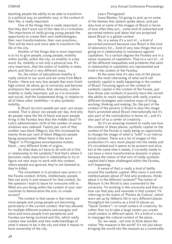teaching people the ability to be able to transform in a political way an aesthetic way, in the context of their life, is really important.

One of the things that is really important, is that they don't work out of this idea of a civilization. The importance of really giving young people the opportunity to create their own methodologies, their own transformations, their own practices... That will be more and more able to transform the life of the city.

Another of the things that is most important is to try to give people, young people, mobility within worlds, within the city, so mobility is a key word. So, mobility is not only a physical one. It's very important...that the notion of mobility is metaphoric and literal in very different ways.

So, the notion of educational mobility is really central to our work and we come from Maré Favela—there are very few people that even finish high school, let alone, go to university and become professors like ourselves. And, obviously, culture mobility is really important, just as it is economic and social. And the fundamental thing, in relation to all of these other mobilities—is also symbolic mobility.

In Brazil 50,000 people per year, are assassinated. That is about 130 people per day. And why do people value the life of black and poor people living in the Favelas less than the middle class? In Lula's administration 20% of the number of assassinations was reduced: Twenty per cent of that number was black (Negro), but this increased by twenty three per cent of black (Negros) people being assassinated. When there is the word "Negro" in Portuguese encompasses mulato, black... very different kinds of origins.

So what does art have to do with all of this in relationship to the symbolic? And that's where it becomes really important in relationship to try to figure out new ways to work with this context, where people are ignored, they're not listened to, they're killed.

The investment is to produce new actors in the Favela context: Artists, intellectuals, people that can work in and research for that context. So the question I want to leave for everyone with is: What are you doing within the context of your own countries to democratize the arts, to create access?

The context in that sense is that more and more people and young people are becoming, particularly in the current context, that has allowed for multiple different protests and energies and more and more people from peripheries and Favelas are being involved and this, which really creates new models and new understandings of what it means to be in the city and what it means to have ownership of the city.

Learn Portuguese!

Ivana Bentes: I'm going to pick up on some of the themes that Jailson spoke about, and just also look at some of the images of Brazil in terms of how often they are... some kind of subverted and perverted notions and ideas that are projected about Brazil in a global context.

So, in a sense it's a sort of... a kind of perverted postcard because now Brazil is this kind of laboratory for... kind of very new things that are going on in relationship to resistance against capitalism. To a certain degree the Favelas are in a sense museums of capitalism. They're a sort of... of all the different inequalities and problems that exist in relationship to capitalism are represented and lived in the context of the Favelas.

At the same time it's also one of the places where the most interesting of what we'd call symbolic capital is really happening in the context of Brazil. Focusing again on the context of symbolic capital in the context of the Favela, just how those sub-contexts of poverty have this incredible ability to resist capitalism with really creative different strategies and creative ways of living, working, thinking and making. So, the part of the context of the poverty in Brazil is also this image that's promoted about Brazil internationally but it's also part of the contradiction in terms of... and it's also part of as a center of creativity.

So it's an amazing moment to really see how the context of these places, symbolic capital on the context of the Favela is really being an opportunity to change the image of what is "sold" in an international context. There are a lot of images of this production it's very much played into the media and it's circulated and it seems to be present and alive, but at the same time it needs, it currently needs to can have a more transformative dynamic in place because the notion of that sort of really symbolic capital that's been challenged within the Favelas, isn't happening.

A sense of that is really a kind of battle around this symbolic capital. Who owns it and who intellectualizes about it? And who produces, thinks about it in the different contexts? The notion of *Museum Is the World* is also connected to the university. I'm working in the university and then so how can that play and resonate in that context. I'm referring to the notion of 'Pontos de Cultura', which were set up by Gilberto Gil in very different places throughout the country as a kind of places as "Quick Centers"—or small centers of creativity. So rather than try to take a large center you create small centers in different spots. It's a kind of a way to massage the cultural context of the place.

So, we need... not only to think about the notion "the museum is the world" it's not just about bringing the world into the museum as a commodity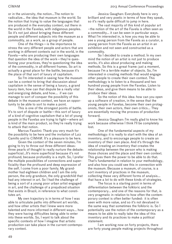or in the university, the notion...The notion to radicalize... the idea that museum is the world. So the notion that trying to value the languages that are produced in the everyday context, out there in the world in the Favelas, with indigenous peoples. So it's not just about bringing these different people and different subjects into the museum as a commodity, as a work, as a group of people.

One of the things—is the importance to stress the very different people and actors that are working in different contexts out in the world, in the Favela—who are producing their own languages that question the idea of the work—they're questioning your practices, they're questioning the idea of the commodity, in all different frames. So art is actually a great place for the battle, because it's the place of that sort of luxury of capitalism.

So I'm interested in seeing how the museum can be a context to bring that discussion about capitalism in the sense of being a luxury, a grand luxury item, how can that dispute be a really vital and energizing debate, and how... if we can manage to sort of conquer the possibility of this debate in the museum context, we have an opportunity to be able to sort to make a point.

This is one of the strongest points of battle. It's to sort of dispute or battle—this sort of luxury of a kind of cognitive capitalism that a lot of young people in the Favelas are trying to fight—where art is kind of the main product, so they're really trying to attack that notion.

Marcus Faustini: Thank you very much for the possibility to be here and the invitation of Luiz Camillo and to *CIMAM*. It's a pleasure to be here.

Given the context of the seven minutes, I'm going to try to throw out three different ideas: three pearls of thought to really nurture the debate: superficial...It's more superficial because it's not profound, because profundity is a myth. So, I prefer the multiple possibilities of connections and superficiality than the profound and deep expression of the self. I come from a poor family. My grandmother had eighteen children and I am the only person, the only grandson, the only grandchild that had any interest in art. So I had the challenge of being a sort of a young poor urban artist engaged in art, and the challenge of a prejudiced situation that exists in Brazil, in reference to what constitutes art.

My own trajectory is in terms of how I was able to articulate paths into different art worlds, and how other artists that I knew were more talented and more informed in different ways... how they were having difficulties being able to enter into these worlds. So, I want to talk about the specific contexts of how I imagine that artistic production can take place in the current contemporary context.

Jessica Gaughan: Everybody here is very brilliant and very poetic in terms of how they speak, so it's really quite difficult to jump in here.

The vast majority of this kind of popular art –the notion of the art of the Favela is often seen as a commodity... it can be seen in particular ways. What I'm interested in, is how you may be able to see a young person from the Favela as a curator, a young person from the Favela as an artist in an exhibition and not seen and constructed as a commodity.

So I decided to create a method. In my own mind the notion of an artist is not just to produce works, it's also about producing and making methods. So this is a great frame: just a moment, because I'm a terrible maker of objects. So, I'm interested in creating methods that would engage other people to create their own context. This methodology is to listen to a thousand and two hundred young people from the Favelas. Listen to their ideas, and give them means to be able to produce their ideas.

So the notion of this idea: how can you open up a software of creation, in the sense that the young people in Favelas, become their own protagonists, their own actors, their own critics... They are essentially moving the process of production forward.

Jessica Gaughan: I'm really glad to know his work because otherwise I think I'll be completely lost.

One of the fundamental aspects of my methodology: it is really to start with the idea of an inventory, and to encourage people to create an inventory of their own place. And it's through the idea of creating an inventory that creates the relationship between the person who is making those choices and the place and their own context. This gives them the power to be able to do that. That's fundamental in relation to your methodology, and also how you could see this in connection with the museum. Because a museum, of course, is a sort inventory of practices in the museum, collecting these very different forms of analysis... that have a lot to do with these kinds of strategies.

The focus is a starting point in terms of differentiation between the folkloric and the contemporary... and one of the reasons for that, is very pragmatic in relation to how often the contemporary context is often better funded: it is often seen with more value, and so it's not devalued in the same way that sometimes the folkloric is. So I potentiality use the notion of the contemporary as a means to be able to really take the idea of this inventory and its practices to make a political statement.

I am working now on forty projects, there are forty young people making projects throughout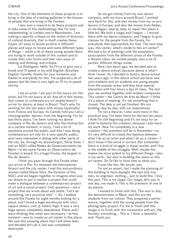the city. One of the elements of these projects is to bring in the idea of creating galleries in the houses of people that are living in the Favelas.

I also won a reward to do these projects and to take some of this methodology that I'm now implementing, to London and in Manchester. I am making a specific critique on the notion of diversity, of cultural diversity, that in-itself creates these (types of) ways to locate poverty in different places and ways to locate and name different types of things —while a lot of these young people there. are trying to work outside of this context and to create their own forms and their own ways of making and thinking, and critique.

Lia Rodrigues: Hello. So I'll try to give you a break and I'll speak in my wild English, Brazilian-English. Camillo, thanks for your invitation and thanks to everybody for this. I've prepared a lot of papers but the time is very tight so I'll try to speak shortly.

I am an artist. I am part of this luxury art: the artist, but I'm not luxury at all. And all of this money that comes to contemporary art maybe doesn't arrive for dance, at least in Brazil. That's why I'm working for the last years with money (specially) from France and Europe. As Camillo told you I am a choreographer, dancer, from the beginning. For he last thirty years, I've been running my dance company in Rio de Janeiro and also this festival but at a certain moment, in 2003, I had a lot of questions around the public, and why I was doing contemporary art only for a very specific public, and I was interested in dialog with other parts of the city. So, through my dramaturgist, Silvia Soter, I met an NGO called Redes de Desenvolvimento da Maré—in the same Favela as Observatório de Favelas is based. It's a huge Favela, the largest in Rio de Janeiro.

I think you pass through this Favela when you arrive in Rio. It's between the International Airport and the city center. I met this extraordinary woman called Eliana Silva, the Director of this NGO, and we began together to imagine what was our dream to put in motion a project that could make a dialogue between a contemporary project of art and a social project. Only questions—not a project that we wrote about and settle: "Let's do something, very practical also" –. So, İ walked around this Favela for eight months looking for a place, and I found a huge warehouse with 1200 square meters, and 15 meters-high. It was a very huge space, completely abandoned. Eliana and I were thinking that what was necessary—at that moment—was to create an art center in this place. We saw this amazing place that I will show later, and decided let's do it, but was completely destroyed.

So we got money from my own dance company, with my tours around Brazil. I worked very hard for this, and also money from my co-producers in Europe, and also the money from Redes, so we began, step by step, to repair this place a little bit. We built a stage and I began ... I moved there with my dance company, and I began to give classes for the people from the Favela, for everybody that approached, for free. The next step was, this center, what's inside to this art center? We had a lot of meetings with the population, associations from the different areas of the Favela: a theatre class, we invited people, also a lot of parties, different things inside.

Now, two years ago, we decided also to create a dance school, because dance is what I think I know. So I decided to build a dance school two years ago. In this dance school we have now 300 students and 50 students are young people from the popular areas and they have special education with four hours a day of class. The last year we worked together with modest companies. This center—the Centro de Arte da Maré—I think it's a place of meeting. It's not something that is closed. The idea is not yet finished. We are building, day-by-day, with our experiences.

I'm not a theorist. I also work more in this practical way. I've been there for the last ten years. I think I'm still beginning and it's not easy for an artist to balance this creation, because I also have my work. Now I'm completely in a new creation—the premiere will be in November—so it's very difficult to create this balance between what  $\frac{1}{1}$  do as an artist and what  $\frac{1}{1}$  do as a citizen  $\frac{1}{1}$ don't know if this word is correct. But sometimes there is a kind of struggle in these worlds, and I live in the middle of this struggle. Well, maybe this makes me more potent to try different things—also in my work– but also in building this place or this art center. So I'd like to have time to show you.

It was like this. No words, just.

I'm not an expert, but I made the planning of this building to have daylight. We had only five men, no engineer, nothing... just to build this. I love this part. This is my stage. Our stage, let's say. In one day, we made it. This is the premiere of one of my pieces.

I wanted to finish with this. This was in July, the demonstration in Maré, and this are the students from our school. They prepared a performance, together with the young people from the photography project. For me to finish with this image is to finish with this connection with art, life, Society, everything... This is, I think, a beautiful end. Thank you.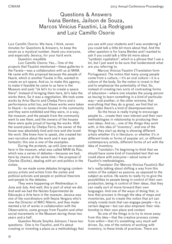## Questions & Answers Ivana Bentes, Jailson de Souza, Marcos Vinicius Faustini, Lia Rodrigues and Luiz Camillo Osorio

Luiz Camillo Osorio: We have, I think, seven minutes for Questions & Answers, to keep the seven as a mystical number, thank you everyone, and especially Jessica, for your hard work.

Question: inaudible

Luiz Camillo Osorio: Yes... One of the projects that Faustini mentioned—these galleries in the Favela—was a collaboration with us at MAM. He came with this proposal because the people of Huaré, which is another Favela in Rio, wanted to create an art space. And so, to make this agency, to make it feasible he came to us here in the Museum and said: "ok let's try to create a space there". Instead of bringing them here, let's take the works there. So it was a negotiation. We took some works by Artur Barrio and Chelpa Ferro and a performance artist too, and these works were taken to Huaré—to some chosen houses in the community and they were exhibited and they were, in a way, the museum, and the people from the community went to see them, and the owners of the houses there were quite proud of having the works. With the sound piece by Chelpa Ferro, the owner of the house was absolutely kind and nice and she loved the work. She knew how to speak, she created her own narrative about the work and it was quite fantastic: this one is one of the examples.

During the protests, up until June we created here in the museum, what was called MAM da Rúa, which was a series of debates—because we had, here by chance at the same time—the proposal of Charles (Esche), dealing with art and politics in the sixties.

So we made some debates bringing contemporary artists and artists from the sixties and political activists and people or political theorists and people to the debates.

They were happening on Wednesdays in June and July. And well, this is part of what we did. And well we had the Núcleo Experimental de Educação e Arte here in the museum. Jessica was one of the coordinators with Ileana Vergara who's now the Director of MAC Niterói, and they implemented a lot of works in collaboration with the Observatório, some groups from Faustini and other social movements in the Museum during those two years and a half.

Question Nicole Smythe Johnson: I have two questions: One is for Faustini, and it's about creating or inventing a place as a methodology that you use with your students and I was wondering if you could talk a little bit more about that. And the other question is for Ivana Bentes and I wanted to ask if you could talk a little bit more about "symbolic capitalism", which is a phrase that I use a lot, but I just want to be sure that Iunderstandi what are you referring to.

Marcos Vinicius Faustini (Translation form Portuguese): The notion that many young people come from a culture,—it's an oral culture—it is a culture of the body. So the notion is invest in that and to emphasize the potentiality of that. So, instead of creating two sorts of contrasting forms of education—where one situates the young person as having to learn something in a kind of particular way—and another, in the other extreme, that everything that they do is great, we find that on both sides there's a kind of disempowerment.

So the focus is really trying to encourage people to... create their own interest and their own methodologies in relationship to producing their own ideas. And so... one of the things they work with, is this idea of "inventory", and one of the things they start up doing is showing different artists whether it's in literature. or whether it's in different kinds or forms of popular art, or different contemporary artists, different forms of art with the idea of inventory.

Translator: I'm beginning to think that we should have some kind of translated text that we could share with everyone—about some of Faustini's methodologies.

Translator (for Marcos Vinicius Faustini): But he's really talking about shifting a way from this notion of the subject as passive, as opposed to the subject as active. He wants to really try to give the possibilities to people being in control of their own production, being in control of their ideas, that they can really sort of move forward their own languages. And one of the ways of doing that, is how that process is through the idea of maps and inventories, just to create this notion that art can simply create tools that can engage people—to a certain degree—but can also empower their relationship to their own place and context.

So one of the things is to try to move away from this idea—that the creative process comes from within—that it's something very much self driven. So, one of the notions of working with inventory, is these kinds of practices. There are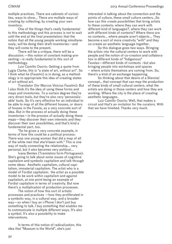multiple practices. There are cabinets of curiosities, ways to show... There are multiple ways of creating by collecting, by creating your own inventory.

One of the things that's really fundamental to this methodology and this process is not to wait until the end at the final presentation: that the notion that all the young people working simultaneously, will be doing their draft inventories—and they will come to the present.

There will be a critique, there will be a discussion.—this notion of constant making-presenting—is really fundamental to this sort of methodology.

Luiz Camillo Osorio: Getting a quote from Lygia Clarke, this is "a state of art, without art". So I think what he (Faustini) is in doing, as a methodology is to appropriate this idea of creating states of art without art.

Translator (for Marcos Vinicius Faustini): But I also think it's the idea of using these forms and maps and inventories. To a certain degree they're very direct tools, but they're also very 'personalizable' tools. So it's very effective for an individual to be able to map of all the different houses, or doors of houses in the Favela, as a very concrete sort of idea. But in the process of actually doing these inventories—in the process of actually doing these maps—they discover their own interests and they discover their own possibilities, and that's kind a fundamental part, too.

"So he gives a very concrete example, in terms of how this could be a political process: There was one young woman that did a map of all of the white men that she'd been with." This is one way of really connecting the relationship... very personal, but it also becomes very political...

Ivana Bentes (Translation form Portuguese): She's going to talk about some issues of cognitive capitalism and symbolic capitalism and talk through some ideas: Aesthetic capitalism, cultural capitalism, immaterial capitalism. The artist who is a model of Fordist capitalism: the artist as a possible model to be work within capitalism and against capitalism, at one point being an example of Fordist capitalism in terms of creativity. But now there's a multiplication of production processes.

The notion of how this sort of artistic processes and practices —how they proliferated in a symbolic way, in a cultural way, and a broader way—so when I buy an i-Phone I don't just buy something to talk. I buy something that enables me to communicate in multiple different ways. It's also a symbol. It's also a possibility to make interventions.

In terms of this notion of radicalization, this idea that "Museum is the World", she's just

interested in talking about the connection and the points of culture, these small culture centers...So how can this create possibilities that bring artists to these contexts: where they can work with different kind of languages?, where they can work with different kinds of contexts? Where there are no contexts... where people aren't objects... They become a sort of more creativity "with" and they co-create an aesthetic language together.

So this dialogue goes two ways. Bringing the artists into the cultural centers to work with people and the notion of co-creation and collaboration in different kinds of "Indigenous" Favelas—different kinds of contexts –but also bringing people into workshops and spaces – where artists themselves are coming from. So, there's a kind of an exchange happening.

So thinking about that desire of a Biennial concept… that concept that can map the production of these kinds of small cultural centers, what the artists are doing in those centers and how they are working. Where the city is the place of creating aesthetic languages.

Luiz Camillo Osorio: Well, that makes a circuit and that's an invitation for the curators. With that we have finished. Thanks very much.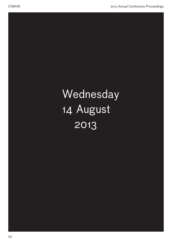

# Wednesday 14 August 2013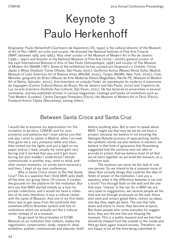# Keynote 3 Paulo Herkenhoff

*Biography:* Paulo Herkenhoff (Cachoeiro de Itapemirim, ES, 1949) is the cultural director of the Museum of Art of Rio—MAR, art critic and curator. He directed the National Institute of Fine Arts Funarte (INAP, between 1983 and 1985). Was chief curator of the Museum of Modern Art in Rio de Janeiro (1985—1990) and director of the National Museum of Fine Arts (2003—2006), general curator of the 24th International Biennial of Arts of São Paulo (*Antropofagia*, 1998) and curator of The Museum of Modern Art (MoMA / NY). Some of the exhibitions he has curated are *Guignard e o Oriente: China, Japão e Minas* (Instituto Tomie Ohtake, São Paulo, 2010), *Guillermo Kuitca* (Museo Reina Sofía, Madrid; Museum of Latin American Art of Buenos Aires, MALBA, 2003), *Tempo* (MoMA, New York, 2002), *Cildo Meireles, geografia do Brasil* (Museu de Arte Moderna Aloisio Magalhães, Recife-PE, Museum of Modern Art of Bahia, Salvador, 2002), *Arte brasileira na coleção Fadel: da inquietação do moderno à autonomia da linguagem* (Centro Cultural Banco do Brazil, Rio de Janeiro and São Paulo, 2002) and *Trajetória da Luz na arte brasileira* (Instituto Itaú Cultural, São Paulo, 2001). He has lectured at universities in several continents, and has published articles in various magazines, catalogs and books of institutions such as Tate Modern (London), Centre Georges Pompidou (Paris), the Museum of Modern Art in Paris (Paris), Fundació Antoni Tàpies (Barcelona), among others.

## Between Santa Croce and Santa Cruz

I would like to express my appreciation for the invitation to be here, *CIMAM*, and for your presence and patience but I must advise you that one day I went to speak in Madrid, when I arrived they gave me a very pompous table and chair, they turned out the lights and just a light on my paper and as I read, usually my voice gets very boring and it worked that way and it got more boring but also sudden I understood I should communicate in another way, mind to mind, and after certain moments, no words were necessary and then, I slept at my own conference.

Why is Santa Croce closer to Rio that Santa Cruz? This is a question that I think MAR asks itself, all the time, our group there. Of course, it creates the grounds for the platform for the institution. But let's say that MAR started initially as a host for private collections, and it would not have a collection of its own, therefore, it was a cultural center with the name of Museum. And one of my first tasks there was to get away from the syndrome that somehow afflicts Brazilian system with lots of institutions which are actually act like a cultural center instead of as a museum.

So go back to the principles of ICOM. Museum as an institution that collects, makes the registration, conservation, study, research, does exhibition, publish, communicate and educate, itself

before anything else. But to start to speak about MAR, I might say that may be we do not have a project, because we believe in not knowing the Georges Bataille process of approaching reality, the symbolic world, we also believe in intuition, we believe in that kind of ignorance that Rosenberg suggested that the universe was not able to provide to artists. And we believe most of all that we all learn together as we build the museum, as a collective task.

The museum can never be the task of only one person. So we intend to be a museum more of ideas than actually things that could be the idea of fetish of power of the institution. I ask you a question, what is the difference between a cat and a brick? You through both on the wall and the one that says: "miaow" is the cat. So in MAR we are very open to suggestions, we receive people all the time and we through proposals on the wall, those who stick and remain glued there, remain as ideas, one day they might go back. The one that falls down and starts to move, they become projects. But those people who come everyday for suggestions, they are the one that are shaping the museum. This is a public museum and we feel that should be shaped from the outside to the inside and then go back again toward society. Therefore, we are happy to be all the time being submitted to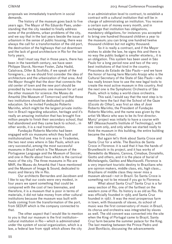proposals we immediately transform in social demands.

The history of the museum goes back to five years ago. The Mayor of Rio Eduardo Paes, understanding that the city needed to finally address some of the problems, urban problems of the city, and we say that in the last years beside the issue of urbanism in the sense of public housing, there was always the call for a transformation of the old port, the destruction of the highways that cut downtown and the lack of good architecture in Rio for the last forty years.

And I must say that in those years, there has been in the twentieth century, we have seen Philippe Starck, Norman Foster, Zaha Hadid, Calatrava, Diller & Scofidio, if we speak of the foreigners... so we should first consider the idea of architecture and the urbanization of that area. And the Mayor thought that the door that connects the old center of town and the new port should be presided by two museums: one museum for art and the other museum for science: the Museu do Amanhã (the Museum of Tomorrow) and that those two institutions should be dedicated to public education. So he invited Fundação Roberto Marinho, which might be the largest private institution in Brazil regarding education, heritage and it's really an amazing institution that has brought five million people to finish their secondary school, that had abandoned and they came back to school... in other words, it is a real transformation.

Fundação Roberto Marinho had been engaged with six museums which they built and institutionalized. The first one was in Tiradentes, the two next ones where in São Paulo, which are very successful, among the most successful museums in Brazil which is The Museum of the Portuguese Language and the Museum of Soccer, and one in Recife about frevo which is the carnival music of the city. The three museums in Rio are MAR, the Museu do Amanhã that I have mentioned and the Museum of Image & Sound, dedicated to music and literary life in Rio.

Our architects Bernardes and Jacobsen and I like to say that our costs were very modest, in four years we spent something that could be compared with the cost of two biennales, and therefore, it is a museum that is poor in terms of materials, it did not take money from other cultural institutions because the museum was built with funds coming from the transformation of the port, from SEDUR which is the company connected to that.

The other aspect that I would like to mention to you is that our museum is the first institution– cultural institution in Rio—which is administrated under the system of social organization, which is a law, a federal law from 1998 which allows the city

in an administration level to contract, to establish a contract with a cultural institution that will be in charge of administrating an institution. You receive a certain sum of money every month, and in exchange that institution has obligations, mandatory obligations, for instance: you accepted to bring one hundred thousand children a year to the museum; you can bring one hundred twelve thousand children but not eighty thousand.

So it is really a contract, and if the Mayor wishes to abide the law, he signs this and there is no way the public budget is smaller etcetera… it is an obligation. This system has been used in São Paulo for a long period now and two of the very best institutions of that kind in the country, Pinacoteca do Estado de São Paulo—and we have the honor of having here Marcelo Araújo who is the Cultural Secretary of the State of São Paulo—who has really known how to use the new legal tools to create the most active museum in this country. And the next one is the Symphonic Orchestra of São Paulo, which is today a world-class orchestra.

This said, I would say that the next step is to mention here the fact that the School of the Gaze (*Escola do Olhar*), was first an idea of José Roberto Marinho, the President of Fundação Roberto Marinho, and the name was given by the artist Vik Muniz who was to be its first director. Muniz' project was initially to have a course with MIT (Massachusetts Institute of Technology), with one room only, and only when we started really to think the museum in this building, the entire building became the school.

But again let's think about Santa Croce and Santa Cruz for a while. The Basilica de Santa Croce in Florence: it is said that it has the hands of Brunelleschi in its project, and it has works of Benedetto da Maiano, Canova, Cimabue, Donatello, Giotto and others, and it is the place of burial of Michelangelo, Galileo and Machiavelli. Florence is a very important touristic destiny to Brazilians who are opinion makers, middle class, etc, high class… Brazilians of middle class they never miss a museum abroad—not in Brazil. So Santa Croce is something not to be missed if you go to Florence.

What about Santa Cruz? Santa Cruz is a far away section of Rio, one of the farthest on the western zone of Rio. Its history is as old as Rio. Rio was officially founded in 1565 and Santa Cruz founded in 1567. It was the most prosperous farm in town, with thousands of slaves, its school of music was the first conservatory of music in Brazil, its chorus and orchestra was integrated by slaves as well. The old convent was converted into the site when the King of Portugal came to Brazil, Santa Cruz farm became the summer palace for the King. The last meeting between the Prince Pedro and José Bonifácio, discussing the advancements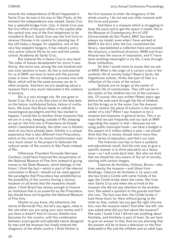towards the independence of Brazil happened in Santa Cruz: he was in his way to São Paulo, at the moment the independence was sealed. Santa Cruz has a splendid bridge from 1752. In Santa Cruz was the first office of the post office in the capital after the central one; one of the first telephones to be installed in Brazil. Santa Cruz was the first farm to receive Chinese in its country for planting tea. It has still today a hangar for zeppelins, one of the very few zeppelin hangars. It has industry and a very active cultural life by its own and the samba school, Academia de Santa Cruz.

But material life in Santa Cruz is very hard. The index of human development for 2000 it was the119, the worst one, among the one hundred and one sixty sections in town. So this is instrumental for us at MAR: we have to work with the poorest areas in town. We are initiating a process now with Maré, which will be the same process we do in other projects. And here we are speaking about a museum that's very much interested in the violence of poverty.

Rio is a very strange city. No one goes to Santa Cruz. Rio is a city that most of the time bets on the failure, institutional failure, failure of institutions. We know that Brazil needs to rethink its museological paradigms and this has started to happen. I would like to mention three museums that we are in a way, keeping, outside of Rio, keeping an eye to: the first one is Pinacoteca do Estado which I mentioned already, the other one is Inhotim; most of you have already been. Inhotim is a unique experience that is also different from Pinacoteca, which at the roots of its recent transformation was very much closer to the project to dislocate the cultural center of the country to São Paulo instead of Rio.

Otherwise, President Fernando Henrique Cardoso, could have financed the recuperation of the National Museum of Fine Arts instead of giving money to the State Museum, which belongs to the Union. I think the fact—which is part of the internal colonialism in Brazil—should not be used against the paradigms that Pinacoteca has established as the possibility of this country having a serious museum on all levels that the museums should place. I think Brazil has money enough to finance an institution that is as powerful as the Pinacoteca but should have not forgotten the National Museum of Fine Arts.

Inhotim as you know, the adventure, the mania of Bernardo Paz, but let's say again, what is the rule when you are using your own money and if you have a dream? And of course, Inhotim now becomes for the country, with this combination between avant-garde and splendid nature designed by man and the museum has finally entered the imaginary of the whole country. I think Inhotim is

the first museum to enter the imaginary of the whole country. I do not see any other museum with this force and power.

And there is a museum which is struggling to keep the pace and to get the space it needs, this is the Museum of Contemporary Art of USP (Universidade de São Paulo), MAC has been always my model, even when I have worked at MAM in the 80's after the fire, constituted the library, reestablished a collection here and curated the structure, a technical structure. MAM and Araci Amaral was the source of inspiration, and if I have done anything meaningful in my life, it was through those institutions.

So then I would come to issues that we ask at MAR. What is the origin of a certain crisis in the symbolic life of society today? Beatriz Sarlo, the Argentinian scholar, thinks that part of that is a reflection of the crisis of the school.

Schools are no longer at the center of symbolic life of communities. They still can be in the center of the children but not of the communities. Of course, this was written fifteen years ago before the web went through the life of children, but this brings us to the issue: Can the museum help to restore the place of schools in the symbolic center of a city? When I say museum is not a museum but museums in general terms. This is an issue that we ask frequently and our task at MAR regarding this aspect is that—because we are using public municipal funds—we have a budget in this aspect of 6 million dollars a year—we should think that this is money should return more than that in terms of education, and that's our task.

The financial cost has to have a symbolic and educational result. And the only way to give a specific answer is to think education as a heavy issue—as I will come back later. But also we think that we should be very aware of the art of society, starting with certain images.

Catarina de Anchieta, Orbison, Bruno—who lives nearby the museum—and Ulises from Botafogo. Catarina de Anchieta is 75 years old, she has hired a Combi with some friends of her age; the Combi broke when she came. She lives near Santa Cruz and when she arrived at the museum she did not pay attention to the architecture. She asked a question to the guards and then she runs. The fact was that, the Combi broke; it took three hours for them without going to the toilet so they rushed, but you get the right information, was the museum clean? And after she left, she was asked what did you feel about the museum? She said, I loved it but I did not see anything about Anchieta, and Anchieta is part of town. So we have to give an answer to that. And we are planning that the answer will be to have a television on the floor dedicated to Rio and the children and an adult type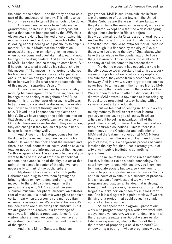the name of the school—and that they appear as a part of the landscape of the city. This will take us two or three years to get all the schools to be done.

Orbison lives far away from Catarina his grandmother, he lives in Triagem, a very violent favela that has not been passed by the UPP. He is eleven years old, he has flunked once or twice, his mother is sick, and he does not know his father. He is looking at drug dealing as a possibility to help his mother. But he is afraid that the pacification process that is going on might give him trouble when police come and overtake that area that now belongs to the drug dealers. And he wants to come to MAR. His school has no money to come here. But if he gets here, what would be his relationship to this museum? The museum is not going to change his life, because I think no one can change other one's life, but we can give people tools to change his or her own life. So what are the responsibilities of this museum regarding Orbison?

Bruno came, he lives nearby, on a Sunday morning he came again to the museum, because he belongs to the society of neighbors of MAR, he brought this three teenager children, his wife was left at home to cook. And he discussed the exhibition Rio while he went through and at the end he said, "I loved it but I cannot see any slaves and black". So we have changed the exhibition in order that Bruno and other people can have an answer. Our exhibitions are never finished. They can go on, they can change if they feel an art piece is badly hung or is not working well…

And Ulises from Botafogo, comes for the third time to the museum and now he brings his father. He wanted the book about the museum and there is no book about the museum. And he says his teacher needs more information about the museum. So this is again a task, Ulises is middle class, if you want to think of the social arch, the geopolitical aspects, the symbolic life of the city, put art at this point of the symbolic center of the city, we have necessarily to think of the public sphere.

My dream of a seminar is to put together Habermas and Klug to have them fighting and bringing ideas on how to deal and bring the museum to the public sphere. Again, in the geographic aspect, MAR is a local museum, suburban museum, peripheral museum, an extraterritorial museum. It is local; this word gives people a certain fear when a person is very metropolitan, universal, cosmopolitan. We are local because it's the locals who are subsidizing this museum. But if we are good for ourselves, our knowledge of ourselves, it might be a good experience for our visitors who are most welcome. But we have to understand the space of the citizen and the nature of the space.

And this is Milton Santos, a Brazilian

geographer. MAR is suburban, suburbs in Brazil are the opposite of certain towns in the United States. Suburbs are the areas that are far away, they do not have the services necessarily—they are not updated, except now that the web is changing things—but suburban in Rio is a pejorative—peripheral. Santa Cruz is a peripheral region. And so that is part of our task. But also we understand that MAR should be extra-territorial. Because even though it is financed by the city of Rio, but those who live around the bay of Guanabara, who have the privilege or the condemnation to live in the great area of Rio de Janeiro, those all are Rio and they are all welcome to be present there.

Maybe the museum has occupied a void in the city because we understand that a large, a very meaningful portion of our visitors are peripheral, are suburban, they come from places that are very far away. And in a way, a very large proportion has never been to a museum in their entire life. So MAR is a museum that is relational in the context of Rio. We are open to act with other institutions like we did with MAM several, a few times at least bringing Farocki to be presented here, or helping with a seminar about art and education.

But we feel that collecting in Rio is in a very touchy moment. Brazilian art market is outrageously expensive, as you all know. Brazilian artists might be selling nowadays half of their production abroad, not here. The two main collections, admirable collections—unless there is a recent move—the Chateaubriand collection at MAM and the Satamini collection at MAC Niteroi they are not given, there are on loan. And to our point of view, this is a dangerous process because it makes the city feel that it has a strong group of artworks in public institutions but nothing guarantees.

The museum thinks that to run an institution like this, it should run as a social technology. You now know how to deal with society, you know how to manipulate society but we also know how to create, to plan comprehensive experiences. So it is not a museum of events, it is a museum of process, it is a museum of services, and we work with programs and diagrams.The idea that is strong, transformed into process, becomes a program if its target is a large portion of society in a long-term run. And it is a diagram in a point of view, if we are thinking of a project that could be just a sample, not a token but a sample.

As an aspect for a diagram, I present our work with pregnant teenagers, which we work with a psychoanalyst society, we are not dealing with all the pregnant teenagers in Rio but we are establishing an experience, what is the role of the art in the process of preparing a child to be born? Or empowering a poor girl whose pregnancy was not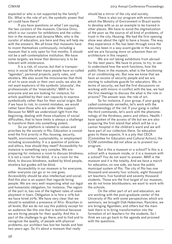expected or who is not supported by the family? Etc. What is the role of art, the symbolic power that art could have there?

If you have questions on what I am saying, the two curators of the museum, Clarissa Diniz, which is our curator for exhibitions and the collection in the museum and Janaina Melo, who is the curator of education, are here and they will help me with the answers. We all know that museums have to invent themselves continuously, including a museum that is only open for five months. It should not be a self-contemplative institution. We have some targets; we know that democracy is to be tolerant with intolerance.

It is a risk, of course, but that is transparency in social life when many people have so-called "agendas", personal projects, party rules, and etcetera. We also avoid the missionaries that think of art to save souls or their own souls; we also do not want explorers of the symbolic 'plusvalia', the professionals of the 'miserability'. MAR is for everyone and we are looking for instance, for artists qualified by their own capacity to express symbolically rather than for their social origin. But if we have to risk, to commit mistakes, we would rather have those who are under little support. Because for MAR we understood right from the beginning, dealing with those situations of social difficulties, that to have limits is always a challenge to transform them into something potent.

So our platform is related to values and priorities by the society in Rio. Education is considered the first priority in Rio, housing, security, health, environment, sustainability, or employment including accessibility. It is a question of policies and ethics, how should they meet? Accessibility for instance is something very complex. We are preparing for instance a room to discuss blindness; it is not a room for the blind. it is a room for the blind, to discuss blindness, walked by blind people, etcetera but guides will be blind.

Accessibility in our museum is for everyone, either everyone can go or no one goes. Accessibility should be also intellectual and social. And this also is an aspect that regards hiring people. We are very well respecting what our legal and humanistic obligation, for instance. The region of the port is, has one of the highest rates of unemployment in town. Obligation is to hire a 10% but we have hired 20%. We have very clear that we should to establish a presence of Afro- Brazilian in all levels. But we do not say this publicly except for an audience like this one that is technical because we are hiring people for their quality. And this is part of the challenge to go there, and to find and to recognize the quality, of people with physical problems; our architect has lost her hands and feet two years ago. So it's about a museum that really

should be a mirror of the city and society.

There is also our program with environment, which the Ministry of Environment in Brazil wants to develop with us as an example to be trained in other places. We have to avoid the stigmatization of the poor as the source of all kind of problems, of trash in the city. Housing. We had the first opening show was about the right to have a house. The way they experience in Rio has been through since the war, has been in a way avant-garde in the country and we are focusing more on urbanism than on architecture in this respect.

We are not taking exhibitions from abroad for the next years. We have to prove, to try, to see to understand how the work functions, how the public flows in the museum, what is the functioning of air conditioning etc. But now we know that we have an excess of security people and we are starting to substitute guards for educators. We, in terms of security, we had the first discussions on working with minors in conflict with the law, we had the first meetings to discuss the what is the role in prisons? The answer was: the role of art.

So for instance, if your group, if your gang is called commando vermelho, let's work with the phenomenology of the red. If your gang is called the third commando, let's work with the phenomenology of the thirdness, peers and others. Health: I have spoken of the access of life but we are also preparing the first island that which will be in a cancer hospital in the children's ward and we will have part of our collection there. So education goes to these aspects. It is a pity that CECA (Committee for Education and Cultural Action), the ICOM committee did not allow us to present our program.

But is this a museum or a school? Is this is a school with a museum inside, or it is a museum with a school? You do not want to answer. MAR is the museum and it is the totality. And we have a march for education, on one side, we have the public municipal system of Rio. The city of Rio has one thousand and seventy four schools, eight thousand art teachers, five hundred and seventy thousand students. Those are the first target of our museum, we do not know blockbusters; we want to work with the schools.

On the other part of art and education, we are working with the post-graduate center of the University of Rio with some perspectives which are seminars, we brought Didi-Huberman, Rancière, we are bringing Agamben, and others but the main task there is to bring transformation into the formation of art teachers for the students. So I think we can go back to the agenda and proceed with the questions.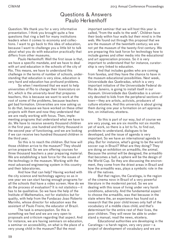## Questions & Answers Paulo Herkenhoff

Question: We thank you for a very informative presentation. I think you brought quite a few questions that ring a bell for many institutions leaders when it comes to economy and collections. I want to go back to this idea of education, because I want to challenge you a little bit to talk about what you do with education practically that differs from other museums.

Paulo Herkenhoff: Well the first issue is that, we have a specific mandate, and we have to deal with art and education in the schools of the city of Rio. This means, we have to understand this challenge in the terms of number of schools, understanding that education is very slow, education is very hard and education has profound problems.

So when I mentioned that we want to help universities of Rio to change their *licenciatura* on Art, which is the university-level that prepares teachers, this is because we want to work at the root of some of the problems, because teachers get bad formation. Universities are now asking us to do that, because we have worked on these other projects with them and now they understand that we are really working with focus. Then, implementing programs that understand what we have to do. We have to receive seventy thousand children in the first year, one hundred and thirty thousand in the second year of functioning, and we are looking if we can receive two hundred thousand children in the third year.

So this is to reach the children. But how will those children arrive to the museum? They should arrive prepared. So we are offering courses for three thousand teachers a year preparing material. We are establishing a task force for the issues of the technology in the museum. Working with the most advanced engineering system in this country and their laboratories.

And how that can help? Having worked with the city science and technology agency so as in one year we can start having enough programs for all the schools that have a video screen. How do we do the process of evaluation? It is not statistics—it has to be qualitative. So we have the help of the Institute of Mathematics, not for statistics but for quality, with help from the Fundacao Joao Roberto Marinho, whose director for education was the assistant of Paulo Freire, the educator of Brazil.

The task is emancipation. So this is something we feel and we are very open to proposals and criticism regarding that aspect. And for instance, we are having seminars on education, a seminar on accessibility, on what is the place of a very young child in the museum? But the most

important seminar that we will host this year is called, "from the walls to the web". Children have their body within four walls but their mind is in the web. We found out through this proposal that we are the museum of the twentieth century; we are not yet the museum of the twenty-first century. We are preparing this task force for technology how to include games and other media into the educational and art appreciation process. So it is very important to understand that for instance, curatorship is very linked to education.

And that includes guides who are coming from favelas, and they have the chance to have in the museum educational possibilities. Next week, Universidade das Quebradas, which is a very important initiative of the Universidade Federal do Rio de Janeiro, is going to install itself in our museum. Universidade das Quebradas is a university devoted to kids from the peripheral sections of town—they are artists, activists, producers of culture etcetera. And this university is about giving them during one year a formation on art appreciation, on initiatives, etcetera.

So this is part of our way, but of course we are very young, we are six months not six months yet of work, so there is a lot to fix, to find out, problems to understand, dialogues to be developed, and the issue of agenda is very important. So we have an international agenda to play. But for instance, what's going to be the world soccer cup in Brazil? What are they doing? They are doing an exhibition on armadillo, the animal. Because the animal will be designed, the armadillo that becomes a ball, a sphere will be the design of the World Cup. So they are discussing the environment, they come from the driest areas in Brazil and how the armadillo was, plays a symbolic role in the life of the natives.

But that region, the Caratinga, is the region of the cinema novo in Brazil of a very powerful literature in the modernist period. So we are dealing with this issue of living under very harsh conditions, adversity. And the fundamental aspect to choose the armadillo, was that because in the state where the, an experience has found out a research that the poor child knows only half of the vocabulary of a middle class child, and that's determinant for the entire rest of their lives, the poor children. They will never be able to understand a manual, read the news, etcetera.

Educational authorities are developing in the Caratinga—a harsh region, very very poor—a project of development of vocabulary and we are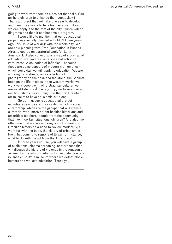going to work with them on a project that asks, Can art help children to enhance their vocabulary? That's a project that will take one year to develop and then three years to fully test because if it can, we can apply it to the rest of the city. There will be diagrams and then it can become a program.

I would like to mention that our educational project was initially planned with MoMA, ten years ago, this issue of working with the whole city. We are now planning with Proa Foundation in Buenos Aires, a course on curatorial work for Latin America. But also collecting is a way of studying, of education; we have for instance a collection of zero, zeros. A collection of infinities—because those are some aspects of modern mathematics– which some day we will apply to education. We are working for instance, on a collection of photography on the flesh and the stone, the Sennett book on the life in cities in the western world, we work very deeply with Afro-Brazilian culture, we are establishing a Judaica group, we have acquired our first Islamic work—might be the first Brazilian art museum to have an Islamic art piece.

So our museum's educational project includes a new idea of curatorship, which is social curatorship, which are the groups that will make a curatorial work more potent besides historians and art critics: teachers, people from the community that live in certain situations, children? And also the other way that we are working is sort of working Brazilian history as a need to review modernity, a work for with the body, the history of urbanism in Rio … but coming to regions of Brazil for instance, what to do with the art from the Amazonia?

In three years course, you will have a group of exhibitions, cinema screening, conferences that will discuss the history of violence in the Amazonia as seen by the arts. Or what is to live under precariousness? So it's a museum where we detest blockbusters and we love education. Thank you.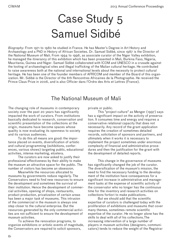# Case Study 5 Samuel Sidibé

*Biography:* From 1971 to 1980 he studied in France. He has Master's Degree in Art History and Archaeology and a PhD in History of African Societies. Dr. Samuel Sidibé, since 1987 is the Director of the National Museum of Mali. From 1994 to 1996, as associate curator of the Niger Valley exhibition, he managed the itinerancy of this exhibition which has been presented in Mali, Burkina Faso, Nigeria, Mauritania, Guinea and Niger. Samuel Sidibé collaborated with ICOM and UNESCO in a crusade against the looting of archaeological sites and illegal trafficking of the Malian cultural heritage. He contributed to raise awareness both at the national and international levels about the necessity to protect cultural heritage. He has been one of the founder members of AFRICOM and member of the Board of this organization. Mr. Sidibé is the Director of the 8th Rencontres Africaines de la Photographie. He received the Prince Claus Prize in 2006, and is also Officier dans l'Ordre des Arts et Lettres (France).

## The National Museum of Mali

The changing role of museums in contemporary society over the past 20 years has significantly impacted the work of curators. From institutions basically dedicated to research, conservation and scientific presentation of the collections at the origin, museums have become spaces whose quality is now evaluating its openness to society and its various audiences.

To do this all means are good: the importance placed on events, diversification of artistic and cultural programming (exhibitions, conferences, various shows) targeting public, educational activities, intense marketing, etcetera.

The curators are now asked to justify their professional effectiveness by their ability to make the museum an attractive space for the public. The number of visitors has become an obsession.

Meanwhile the resources allocated to museums by governments reduce regularly. The Conservators need to find new resources to ensure the development and sometimes the survival of their institution. Hence the development of commercial activities, opening of shops, restaurants, product production, privatization of certain areas has been a major task of museums. This intrusion of the commercial in the museum is always one step closer to the cultural enterprise. But the resources generated by the only commercial activities are not sufficient to ensure the development of museum activities.

To achieve the renovation programs, to organize exhibitions or artistic events of magnitude, the Conservators are required to solicit sponsors,

private or public.

This "project culture" as Menger (1997) says has a significant impact on the activity of preservation. It consumes time and energy and requires a conservative relational capacity that does not necessarily. Any record of the grant application requires the creation of sometimes detailed records, solicitation of sponsors and partners, and ultimately when it works it is necessary to implement the project sometimes under enormous complexity of financial and administrative procedures and then the justification for the grant with the development of detailed reports.

This change in the governance of museums has significantly changed the job of the curator. The diversification of the museum's mission, the need to find the necessary funding to the development of the institution have consequences for a significant increase in administrative and management tasks at the expense of scientific activity of the conservator who no longer has the continuous time for the inventory and research activities on collections fortiori to make publications.

But we should add that the scientific expertise of curators is challenged today with the proliferation of exhibitions and museums that cover many themes, sometimes remote scientific expertise of the curator. He no longer alone has the skills to deal with all of his collections.The increasing intervention of a large number of players in museum activities (designers, communicators) tends to reduce the weight of the Registrar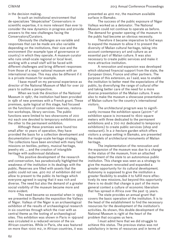in the decision making.

In such an institutional environment that de-specializes "déspécialise" Conservators in scientific expertise, it is more relevant than ever to consider the new dynamics in progress and provide answers to the new challenges facing the Conservators/Curators.

Obviously the challenges are variable and responses that can be made are also variable depending on the institutions, their size and the environment (for example type of governance or country) in which they operate. A museum curator who runs small-scale regional or local level, working with a small staff will be faced with different challenges and bring different responses from those of a major national museum with an international scope. This may also be different if it is a private museum for example.

I base myself on my personal experience as director of the National Museum of Mali for over 22 years to outline a perspective.

When we took the direction of the National Museum in 1987, the institution had been provided in 1981 of new premises with a French grant. These premises, quite logical at this stage, had focused on the functions of conservation reserves, restoration workshops, library services. The public functions were limited to two showrooms of 200 m2 each one devoted to temporary exhibitions and the other to the permanent exhibition.

Although these premises were found too small after 10 years of operation, they have provided the basis for a collection development and documentation of large-scale heritage strategy. The collections have been enriched with many field missions on textiles, pottery, musical heritage, jewelry etc ... and the creation of intangible heritage with audiovisual database.

This positive development of the research and conservation, has paradoxically highlighted the weakness of the institution in its dealings with the public. Reserves are filled with assets that the public could not see. 400 m2 of exhibition did not allow to present to the public its heritage which everyone agreed in saying that it was rich and diverse. The need but also the demand of a greater social visibility of the museum became more and more evident.

This need became so essential when in 1993 we presented in Bamako the exposition the Valleys of Niger. Valleys of the Niger is an archaeological exhibition of the results of archaeological research in six countries through which the river with as central theme as the looting of archaeological sites. This exhibition was shown in Paris in 1991and was circulated in a reduced version of the six African countries. While in Paris, she was featured on more than 1000 m2, in African countries, it was

presented as 400 m2, the maximum available surface in Bamako.

The success of the public exposure of Niger Valleys worked as a detonator. The National Museum could not continue to operate as before. The demand for greater opening of the museum to the public had become an obvious necessity.

Therefore it became imperative to find ways to expand the museum to allow it to present the diversity of Malian cultural heritage, taking into account contemporary art and culture as an essential part of Malian culture. It was also necessary to create public services and make it more attractive institution.

A renovation and expansion was developed which obtained financial support from the state, the European Union, France and other partners. The purpose of this extension, as I said, was to enable the institution to better meet the expectations of the public, by diversifying the range of cultural offer and taking better care of the need for a more diverse presentation of the Malian culture. It was also to make the museum a showcase presentation of Malian culture for the country's international visitors.

The architectural program was to significantly increase the exhibition space (400m ² of exhibition space is increased to 1600 square meters with three dedicated to the permanent exhibitions and a 700 m2 dedicated to temporary exhibitions) to create public services (shop and restaurant). In a 2-hectare garden which offers visitors a unique setting in Bamako, are presented the models of architectural monuments of Malian heritage.

The implementation of the renovation and the expansion of the museum was due to a change in the status of the museum, from an attached department of the state to an autonomous public institution. This change was seen as a strategy to give the museum renovated and expanded a greater opportunity for its cultural development. Autonomy is supposed to give the institution a greater flexibility to enable it to fulfill more effectively its new missions, but beyond this opportunity there is no doubt that change is part of the more general context a culture of economic liberalism that has spread in Africa over the past 15 years.

The state provides an annual grant that covers the basic operation of the institution. It is to the head of the establishment to find the necessary resources for the development of the institution's activities. As shown, this double development of the National Museum is right at the heart of the problem that occupies us here.

I must admit here that we did struggle to achieve this status. The previous status was not satisfactory in terms of resources and in terms of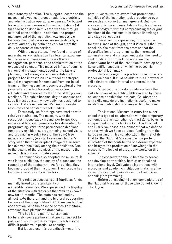the autonomy of action. The budget allocated to the museum allowed just to cover salaries, electricity and administrative operating expenses. No budget for acquisitions, conservation and exhibitions (all that had been done in this area was the through external partnerships). In addition, the proper management of the institution was impossible because financial decisions are made daily by a central authority by definition very far from the daily concerns of the service.

With the new status, if we found a range of more shares, consideration has been an exponential increase in management tasks (budget management, personnel) and administration at the expense of science. This massive influx of administration and management, added to the tasks of planning, fundraising and implementation of projects has imposed on us a model of entrepreneurial management far removed from our initial training. The museum has become a cultural enterprise where the functions of conservation, education and research by the force of things was sidelined. The public became king, to conquer and keep it must constantly new activities designed to seduce. And it's expensive. We need to create resources and constantly seek funding.

Fortunately, so far things have worked with relative satisfaction. The museum, with the resources it generates (around 100 to 150 000 euros) and finance it generates has diversified its programming. With three permanent exhibitions, temporary exhibitions, programming, school visits, and organizing weekly (every Thursday) free musical concerts, (we start sessions children's story when the crisis erupted) image the museum has evolved positively among the population. Due to the quality of the premises of the museum, the museum hosts many private events.

The tourist has also adopted the museum. It was in the exhibition, the quality of places and the reputation of the restaurant. As for politics, they became proud of their institution. The museum has become a must for official visitors.

This relative success is still fragile as fundamentally linked to the availability of non-stable resources. We experienced the fragility of the situation with the crisis that Mali has known now for 18 months. The state has reduced by almost 30% the grant and the bilateral cooperation because of the coup in March 2012 suspended their cooperation. With the absence of foreign visitors, revenues have plummeted drastically.

This has led to painful adjustments. Fortunately, some partners that are not subject to political rules of the states helped us solve some difficult problems in particular security.

But let us close this parenthesis—over the

past 10 years, we are aware that promotional activities of the institution took precedence over research and collection management. But how successful is the implementation of such a diverse cultural program without compromising the original functions of the museum to preserve knowledge and study collections?

Based on my experience, I propose the following lines of thought, and it is on this that I will conclude. We start from the premise that the diversification of programming, the increased administrative and management tasks, the need to seek funding for projects do not allow the Conservator head of the institution to develop only its scientific functions on which he bases his professional legitimacy.

He is no longer in a position today to be one leader on board. It must be able to run a network of skills that are either internal or external to the museum.

Museum curators do not always have the skills to cover all scientific fields covered by these collections or exhibition projects. Collaboration with skills outside the institution is useful to make exhibitions, publications or research collections.

The National Museum in 2005 has experienced this type of collaboration with the temporary contemporary art exhibition Contact Zone, by using independent curators N'Goné Fall, Rachida Triki and Bisi Silva, based on a concept that we defined and for which we have obtained funding from the European Union. This collaboration, the first of its kind for the National Museum was the perfect illustration of the contribution of external expertise can bring to the production of knowledge in the museum. The love of photography works on this scheme.

The conservator should be able to search and develop partnerships, both at national and international level. Cultivate collaborations with museums and academic institutions that share the same professional interests can pool resources enriching programming.

Before concluding I'll show some pictures of the National Museum for those who do not know it. Thank you.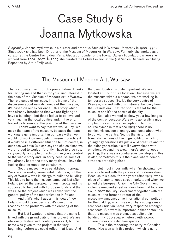# Case Study 6 Joanna Mytkowska

*Biography:* Joanna Mytkowska is a curator and art critic. Studied in Warsaw University in 1988-1994. Since 2007 she has been Director of the Museum of Modern Art in Warsaw. Formerly she worked as a curator at the Centre Pompidou, Paris. Also a co-founder of the Foksal Gallery Foundation, where she worked from 2001–2007. In 2005 she curated the Polish Pavilion at the 51st Venice Biennale, exhibiting Repetition by Artur Zmijewski.

## The Museum of Modern Art, Warsaw

Thank you very much for this presentation. Thanks for inviting me and thanks for your kind interest in the case of the Museum of Modern Art in Warsaw. The relevance of our case, in the frame of the discussion about new dynamics of the museum, it's based on our experience—this story which was already introduced that we are fighting to have a building—but that's led us to be involved very much in the local politics and, in the end, forced us to remodel the practice of the museum.

 I don't want to say that we would—by "we" I mean the team of the museum, because the team working is quite important in our case—that we would not work on remodeling museum practice if it would be in a different situation but, of course, in our case we have (we can say) no choice since we were forced to work differently. I have to give you, very quickly, a couple of facts to give you a context to the whole story and I'm sorry because some of you already heard the story many times. I have the feeling that I'm repeating constantly.

So, the museum was established in 2005. We are a federal governmental institution, but the city of Warsaw was in charge to build the building. This idea to build the museum came out just after Poland joined the European Union in 2004 and it's supposed to be paid with European funds and that was also the project which was linked with the general policy of the modernization in Poland.

And that's why, I guess, this idea of how Poland should be modernized it's one of the reasons of the problems with the erecting of the museum.

But just I wanted to stress that the name is linked with the grandiosity of this project. We are obviously dealing with contemporary art, but the name was given to the project in the very beginning, before we could reflect that issue. And then, our location is quite important. We are located at —our future location—because we are the museum without a space; we are working in temporary spaces. So, it's the very centre of Warsaw, marked with this historical building from the Stalinist era. That red spot is the lot for the museum and it's the centre of the city.

So, I also wanted to show you a few images of the centre, because Warsaw is generally a nice city but the centre is an exception... but it's of course symbolic that since 1989 there is no political vision, social energy and ideas about what to do with the centre. So, it's the historical traumatic remains of the huge building, which for younger generations it's just a wild creature and for the older generation it's still overwhelmed with emotions. Around the area, there's spontaneous parking, there was a spontaneous bus stop and this is also, sometimes this is the place where demonstrations are taking place.

But most importantly what I'm showing now are riots linked with the process of modernization. Because this place, for ten years after 1989, was a place of a spontaneous street market, and when we joined the European Union the City Government violently removed street vendors from that location. So, in 2007 the City Government together with the museum—the former director of the museum—announced the international competition for the building, which was won by a young swiss architect Christian Kerez, very respected amongst architects. But what is important in that context it's that the museum was planned as quite a big building: 35.000 square meters, with 10.000 square meters of exhibition spaces.

This is the rendering, the entry of Christian Kerez. Hee won with this project, which is quite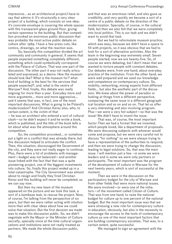impressive... as an architectural project.I have to say that admire it. It's structurally a very clear project of a building, which consists on one idea: it's concrete envelope is covering the whole spaces with this transparent glass ground floor, giving certain openness to the building. But that competition provoked an enormous public discussion that was probably the most active public debate on culture after 1989. I have a few press cuts, like comics, drawings, on what the reaction was.

So, basically this competition divided the art community and community in general. It seems that people expected something completely different, something which could symbolically correspond with the Palace of Culture. That was one part of the discussion. The other part it was not really articulated and expressed, as a desire. How the museum should look like? What is the museum for? what kind of building is the best for the services that people expected?, and, what is the centre of Warsaw? And, finally, this debate was really ongoing for more than a year. Everyday more and more arguments... more and more aggressive... and it seems that was, in fact, one of the most important discussions. What is going to be Poland's modernization? And Christian Kerez also, who, to certain extent, is the victim of that – he was an architect who entered a sort of cultural clash—so he didn't expect it and he wrote a book, which is published, and the title of the book tells a lot about what was the atmosphere around this competition.

So, the competition provoked... or somehow put a light on a conflict that was already there, but this discussion helped to articulate the conflict. Then, this situation, discouraged the Government of the city, and they were not really eager to continue. Plus, there were a lot of problems with management—budget was not balanced—and another issue linked with the fact that that was a quite pioneering project, one of the biggest investments into culture. So, finally this project ended up in a total catastrophe. The City Government was almost about to resign and finally they fired Christian Kerez and this building will never be completed, as we can say now.

But then my new team of the museum appeared on the picture and we took this task, a sort of a kamikaze task, to rescue the project. Now, of course, I'm talking from the perspective of six years, but then we were rather acting with intuition more than with clear ideas about how we could solve that situation. But the first decision we made was to make this discussion public. So, we didn't negotiate with the Mayor or the Minister of Culture secretly, specially since at the time cultural organizations and institutions were not really treated as partners. We made the whole discussion public,

and that was an enormous relief, and also gave us credibility, and very quickly we became a sort of a centre of a public debate on the direction of the modernization. Specially, of course, in the cultural field, but then we also felt that we were completely into local politics. This is our task and we didn't want to avoid that task.

But we had to reformulate museum practice, which was easy, because we didn't have a space to fill with projects, so it was obvious that we had to look for a sort of alternative activities. Also the team in the beginning was extremely small. Seven people started; now we are twenty-five. So, of course we were debating, but I don't mean that we wanted to torture people with constant debates. Our debates were, from one hand, about everyday practice of the institution. From the other hand, we were well prepared and we used our knowledge and competence on contemporary culture. So, mobility, networking, mixing experts from different fields... but also the aesthetic part of the discussion. We knew about the power of paradox or looking at things from a different perspective, comparing the same issue in a different geographical location and so on and so on. That let us offer a very interesting and also involving program. Plus—we were a very hot subject—so that was the issue! We didn't have to invent the issue.

That was, of course, the most important factor.Then we had a format that we invented, which people loved, like a department of proposals. We were discussing subjects with whoever would come and propose, but we were very careful not to discuss "for nothing" so we were always trying to have a representative of the authorities to respond, and then we were trying to change the discussion, leading to legal solutions. So, that was the main issue. I will mention just a few –in some we were leaders and in some we were only partners or participants. The most important was the program of the development of culture in Warsaw for the next twenty years, which is sort of successful at the moment.

Then we were in the discussion on the participatory budget for the city of Warsaw and from other fields that were more national issues. We were involved—or were one of the initiators—of the movement called Citizen of Culture. That was from one hand, to raise the national budget for culture up to one percent of the national budget. But the most important issue was that we were stressing a new role for contemporary culture in education, obviously, but also in the necessity to encourage the access to the tools of contemporary culture as one of the most important factors that are building contemporary societies. That was, to a certain extent, quite successful.

We managed to sign an agreement with the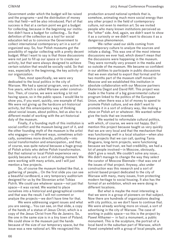Government under which the budget will be raised and the programs—and the distribution of money into that field—will be also introduced. Part of that success is that at a certain point we got a budget for collecting, because in the beginning our institution didn't have a budget for collecting... So that definition of the collection as a tool for social education led us to convince the Government to collect international contemporary art in a sort of organized way. So, four Polish museums got the possibility of regular collecting with a pretty decent budget. What I want to say is that those discussions were not just to fill up our space or to create our activity, but that were always designed to achieve certain solution that would be socially valid. So that was, especially in the beginning, the key activity of our organization.

Then, most specifically, we were very dedicated to the local politics in the city of Warsaw. We had a special program, very active for five years, which is called Warsaw under construction. Then, of course, we were working a lot not having space, so in the public space. I would like to show you, if you want, quickly, one example of that. We were not giving up the hardcore art-historical activity, but this emancipatory way of thinking about social issues, about politics, led us also to a different model of working with the art-historical duty of the museum.

Finally, if a founding myth of this institution is social conflict and the museum being part of it, and the other founding myth of the museum is the artist who engages—in different ways, sometimes artistically, sometimes more directly, politically—into social transformation and emancipation., and that, of course, was quite natural because a huge group of Polish artists who define Polish transformation. But that national or local Polish experience very quickly became only a sort of initiating moment. We were working with many artists, and I will just mention a few projects.

So, of course the museum looked like that, a gathering of people... On the first slide you can see a beautiful cardboard, a very temporary auditorium designed for us by the Slovenian artist Tobias Putrih. We could use whatever space—not just that space—it was varied. We wanted to place ourselves into a historical and geographical context and that was the result. I will not comment or analyze the projects—we don't have time for that.

We were addressing urgent issues and what you are seeing... You can see, on that slide, a copy of the hands of a statue of Jesus Christ, which is a copy of the Jesus Christ from Rio de Janeiro. So, the one in the same size is in a tiny town of Poland. We could show in the museum just the hands because of the size of our temporary space, but the issue was a new national art. We recognized this

production around national symbols that is, somehow, animating much more social energy than any other project in the field of contemporary culture, not even to mention art. So we invited people who many known institutions perceived as the "other" side. And, again, we didn't want to show it as a curiosity or we didn't want to discuss it as a dangerous phenomenon.

We rather used our skills coming from contemporary culture to analyze the sources and initiate a dialog. This was one of the most intense discussions we ever had, which doesn't mean that the discussions were happening in the museum. They were normally very present in the media and so outside of the museum. We became so confident in our abilities to participate in public discussions that we even started to export that format and for two months part of the museum staff moved to Moscow and we established this institution in absolute collaboration with our Moscow partners Ekaterina Degot and David Riff. This project was made in the frame of a big governmental cultural program linked to the politics of the European Union, when there was a lot of money to spend to promote Polish culture, and we didn't want to promote it in a sort of ordinary way, like making a show on Polish art or whatever. We wanted rather give the tools that we invented.

We wanted to reformulate cultural politics, with which, of course, we were not happy. But I mention this project because taught us very quickly that we are very local and that the mechanism that was functioning well in a local situation—when also these projects that we can call, quoting Tania Bruguera, long-term projects, were functioning because we had trust, we had credibility, we had a lot of people involved—in Moscow, obviously, didn't give a result. We couldn't solve any issue... We didn't manage to change the way they select the curator of Moscow Biennale—that was one of the issues of that project. Anyway, also under construction was this research and a sort of activist based project dedicated to the city of Warsaw with many, many issues, from protecting modern heritage to social housing. It also has the format of an exhibition, which we were doing in different locations.

But what is maybe the most interesting is that we were in a group of pioneers on that subject. Now there are hundreds of organizations dealing with city politics, so we don't have to continue that. We were already working more on visual, a sort of advertising in the city of Warsaw. The case of working in public space—so this is the project by Pawel Althamer— in fact a monument, a public monument. This is the sculpture, the portrait of a local band in the suburban part of Warsaw, which Pawel completed with a group of local people, and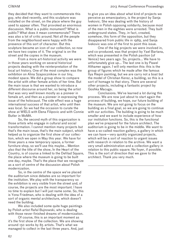they decided that they want to commemorate this guy, who died recently, and this sculpture was installed on the street, on the place where the guy used to appear often. That provoked an enormous discussion. What is a public monument? What is public? What does it mean commemorate? There was also a lot of critic around. Not all the people from the neighborhood were happy with the presence of this sort of character. But this sculpture became an icon of our collection, so now we have two copies of it. The original is on the street and the copies in the museum.

From a more art-historical activity we were in those years working on several historical projects dealing with the reinterpretation of the local art history. One of the most complex was the exhibition on Alina Szapocznikow in our tiny, modest space. We did a group show to compare the artist with other female artists of her time. But the main issue is that we wanted to introduce a different discourse around her, so being the artist that was very well known mostly as a pioneer in female art, and then as a pioneer in expressing the issue of the holocaust. The side effect was a huge international success of that artist, who until then was local. So we had the occasion to curate the show at WIELS with Elena Filipovic and with Connie Butler in MoMA.

So, the second myth of this organization is those artists who engage in cultural and social transformation. I cannot mention many projects but that's the main issue, that's the main subject, which helped us to organize the first show of our collection, which we open in May this year. We have for three years a new temporary space, a former furniture shop, so we'll use this maybe... Mention also that the title of the show, In the Heart of the Country, is of course a linked to the Defilad Square, the place where the museum is going to be built one day, maybe. That's the place that we recognize as a sort of centre of the discussion about Polish modernization.

So, in the centre of the space we've placed the auditorium since debates are so important for the institution. We play with the transparency so the exhibition is very visible from the street and, of course, the projects are the most important. I have no time to explain but I will just name some. So, this is Yona Friedman, who is dealing with the idea of a sort of organic mental architecture, which doesn't need the building.

We also included some quite huge paintings by Polish artist Rafal Bujnowski, who is dealing with those never-finished dreams of modernization.

Of course, this is an important moment as it's the first show of the collection. We are showing around 150 works by 85 artists. That's what we managed to collect in the last three years. And, just to give you an idea about what kind of projects we perceive as emancipatory, is the project by Sanja Ivekovic. She was dealing with the history of women in Polish opposing solidarity, because most of the men in the eighties were arrested. They built underground states. They, in fact, created, somehow, this form of the opposition, but they disappeared from public life in 1989, and Sanja Ivekovic was one of the first to point this issue.

One of the big projects we were involved in, and co-produced, was that project by Yael Bartana, which was presented in the Polish pavilion (of Venice) two years ago. So, projects... We have to unfortunately give up... The last one is by Pawel Althamer again. I will only mention this: this is the group of figures which he made after the famous Ilya Riepin painting, but we are carry not a boat but the model of Christian Kerez, a building, so this is a sort of homage to that story. There are several other projects, including a fantastic project by Goshka Macuga.

Conclusions. We've learned a lot during this process. We are now just about to start again the process of building, we hope, our future building of the museum. We are not going to focus on the building as a final goal, so we are going to continue with our activities. The building is going to be much smaller and we want to include experience of how our institution functions. So, this is the functional plan we've prepared for the future architect. The auditorium is going to be in the middle. We want to have a so-called reaction gallery, a gallery in which we can have—very quickly organized projects, which will be a sort of reaction to urgent issues with research in relation to the archive. We want a very small administration and a collection gallery in relation to this public square. No foyer, if possible. This is the sort of direction that we gave to the architect. Thank you very much.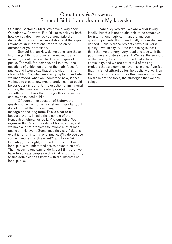## Questions & Answers Samuel Sidibé and Joanna Mytkowska

Question Bartomeu Marí: We have a very short Questions & Answers. But I'd like to ask you both how do you deal, how do you conciliate the demands for a local representation and the aspirations of an international repercussion or outreach of your activities.

Samuel Sidibé: How do we conciliate these two things: I think, of course the museum, any museum, should be open to different types of public. For Mali, for instance, as I told you, the questions of exhibition are not the main focus for public, and I would say that this is clear; this is clear in Mali. So, what we are trying to do and what we understood, what we understand now, is that we have to create new type of activities that could be very, very important. The question of immaterial culture, the question of contemporary culture, is something...—I think that through this channel we can have the local public.

Of course, the question of history, the question of art, is, to me, something important, but it is clear that this is something that we have to manage on the long term. This is clear to me, because even... I'll take the example of the Rencontres Africaines de la Photographie. We organize the Rencontres de la Photographie, and we have a lot of problems to involve a lot of local public on this event. Sometimes they say: "ok, this event is for an international public. Why do you use so much money for this event?" and I say: "ok. Probably you're right, but the future is to allow local public to understand art, to educate on art". The museum alone cannot do it, but I think that we have to educate people on this kind of topic and try to find activities to fit better with the interests of local public.

Joanna Mytkowska: We are working very locally, but this is not an obstacle to be attractive for international public, if I understand your question properly. If you are locally successful, well defined –usually those projects have a universal quality, I would say. But the main thing is that I think that we are very, very local and also with the public we are quite successful. We feel the support of the public, the support of the local artistic community, and we are not afraid of making projects that are complex, even hermetic. If we feel that that's not attractive for the public, we work on the programs that can make them more attractive. So these are the tools, the strategies that we are using.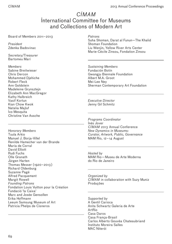## *CIMAM* International Committee for Museums and Collections of Modern Art

Board of Members 2011–2013

*President* Zdenka Badovinac

*Secretary/Treasurer* Bartomeu Marí

*Members* Sabine Breitwieser Chris Dercon Mohammed Djehiche Robert Fleck Ann Goldstein Madeleine Grynsztejn Elizabeth Ann MacGregor Kathy Halbreich Vasif Kortun Kian Chow Kwok Natalia Majluf Ivo Mesquita Christine Van Assche

*Honorary Members* Tuula Arkio Manuel J. Borja-Villel Renilde Hamecher van der Brande María de Corral David Elliott Rudi Fuchs Olle Granath Jürgen Harten Thomas Messer (1920–2013) Richard Oldenburg Suzanne Pagé Alfred Pacquement Margit Rowell *Founding Patrons* Fondation Louis Vuitton pour la Création Fundació 'la Caixa' Marc and Josée Gensollen Erika Hoffmann Leeum Samsung Museum of Art Patricia Phelps de Cisneros

*Patrons*

Suha Shoman, Darat al Funun—The Khalid Shoman Foundation Liu Wenjin, Yellow River Arts Center Marie-Cécile Zinsou, Fondation Zinsou

*Sustaining Members* Fundación Botín Gwangju Biennale Foundation Albert M.A. Groot Mei-Lee Ney Sherman Contemporary Art Foundation

*Executive Director* Jenny Gil Schmitz

*Programs Coordinator* Inés Jover *CIMAM* 2013 Annual Conference *New Dynamics in Museums: Curator, Artwork, Public, Governance* MAM Rio, 12–14 August

*Hosted by*  MAM Rio—Museu de Arte Moderna do Rio de Janeiro

*Organized by CIMAM* in collaboration with Suzy Muniz Produções

*Supported by* A Gentil Carioca Anita Schwartz Galeria de Arte ArtRio Casa Daros Casa França-Brasil Carlos Alberto Gouvêa Chateaubriand Instituto Moreira Salles MAC Niterói